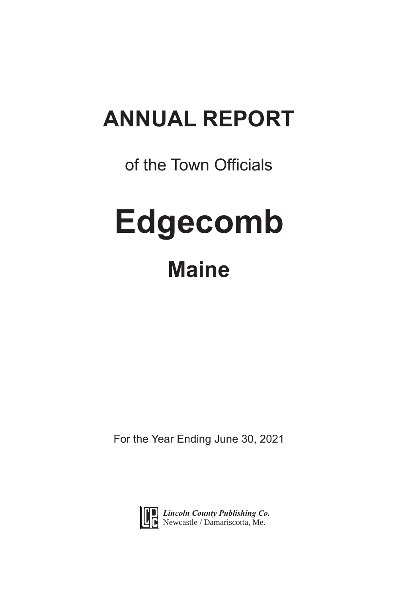of the Town Officials

# **Edgecomb Maine**

For the Year Ending June 30, 2021



*Lincoln County Publishing Co.* Newcastle / Damariscotta, Me.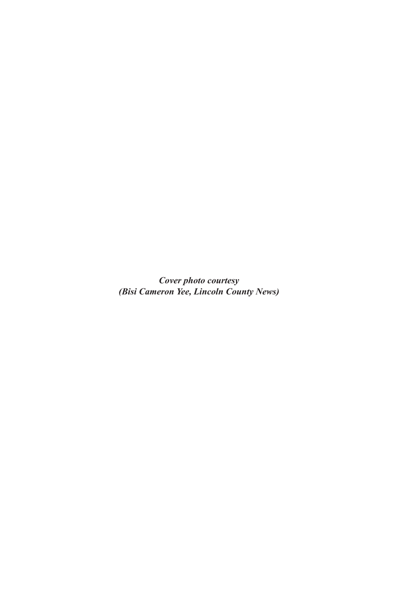*Cover photo courtesy (Bisi Cameron Yee, Lincoln County News)*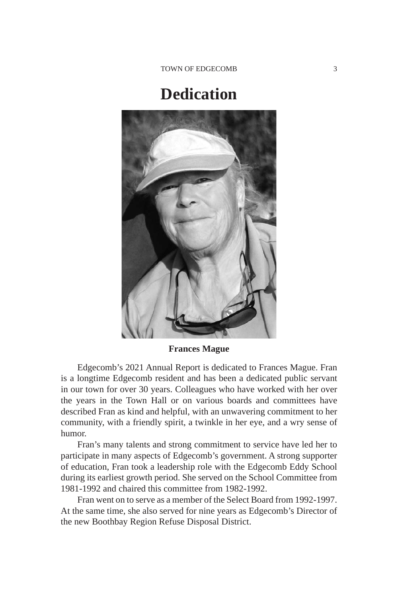# **Dedication**



**Frances Mague**

Edgecomb's 2021 Annual Report is dedicated to Frances Mague. Fran is a longtime Edgecomb resident and has been a dedicated public servant in our town for over 30 years. Colleagues who have worked with her over the years in the Town Hall or on various boards and committees have described Fran as kind and helpful, with an unwavering commitment to her community, with a friendly spirit, a twinkle in her eye, and a wry sense of humor.

Fran's many talents and strong commitment to service have led her to participate in many aspects of Edgecomb's government. A strong supporter of education, Fran took a leadership role with the Edgecomb Eddy School during its earliest growth period. She served on the School Committee from 1981-1992 and chaired this committee from 1982-1992.

Fran went on to serve as a member of the Select Board from 1992-1997. At the same time, she also served for nine years as Edgecomb's Director of the new Boothbay Region Refuse Disposal District.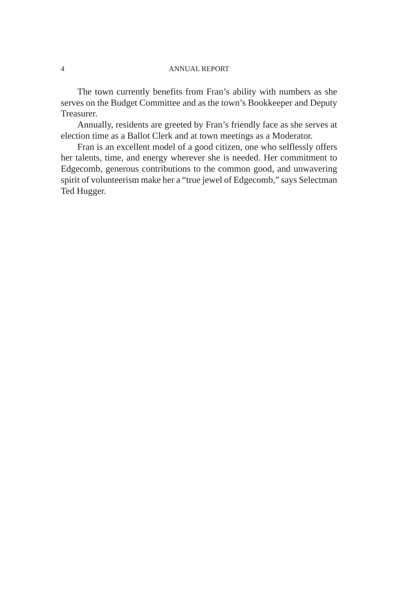The town currently benefits from Fran's ability with numbers as she serves on the Budget Committee and as the town's Bookkeeper and Deputy Treasurer.

Annually, residents are greeted by Fran's friendly face as she serves at election time as a Ballot Clerk and at town meetings as a Moderator.

Fran is an excellent model of a good citizen, one who selflessly offers her talents, time, and energy wherever she is needed. Her commitment to Edgecomb, generous contributions to the common good, and unwavering spirit of volunteerism make her a "true jewel of Edgecomb," says Selectman Ted Hugger.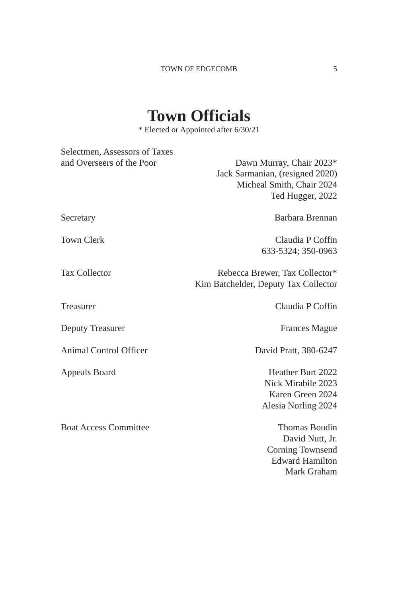# **Town Officials**

\* Elected or Appointed after 6/30/21

| Selectmen, Assessors of Taxes<br>and Overseers of the Poor | Dawn Murray, Chair 2023*<br>Jack Sarmanian, (resigned 2020)<br>Micheal Smith, Chair 2024<br>Ted Hugger, 2022 |
|------------------------------------------------------------|--------------------------------------------------------------------------------------------------------------|
| Secretary                                                  | Barbara Brennan                                                                                              |
| <b>Town Clerk</b>                                          | Claudia P Coffin<br>633-5324; 350-0963                                                                       |
| <b>Tax Collector</b>                                       | Rebecca Brewer, Tax Collector*<br>Kim Batchelder, Deputy Tax Collector                                       |
| Treasurer                                                  | Claudia P Coffin                                                                                             |
| Deputy Treasurer                                           | <b>Frances Mague</b>                                                                                         |
| Animal Control Officer                                     | David Pratt, 380-6247                                                                                        |
| Appeals Board                                              | Heather Burt 2022<br>Nick Mirabile 2023<br>Karen Green 2024<br>Alesia Norling 2024                           |
| <b>Boat Access Committee</b>                               | Thomas Boudin<br>David Nutt, Jr.<br>Corning Townsend<br><b>Edward Hamilton</b><br>Mark Graham                |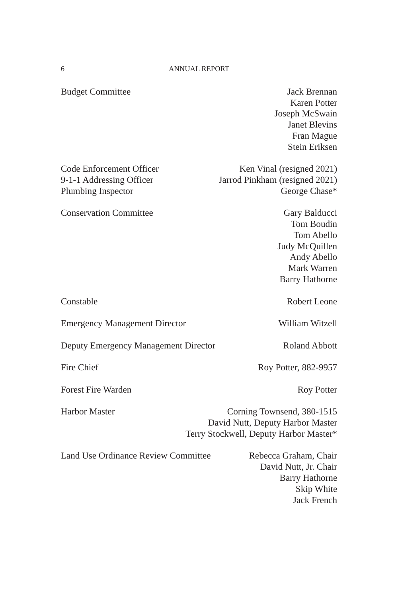#### Budget Committee Jack Brennan

 Karen Potter Joseph McSwain Janet Blevins Fran Mague Stein Eriksen

| Code Enforcement Officer | Ken Vinal (resigned 2021)      |
|--------------------------|--------------------------------|
| 9-1-1 Addressing Officer | Jarrod Pinkham (resigned 2021) |
| Plumbing Inspector       | George Chase*                  |

Conservation Committee **Gary Balducci** 

 Tom Boudin Tom Abello Judy McQuillen Andy Abello Mark Warren Barry Hathorne

Constable Robert Leone

Emergency Management Director William Witzell

Deputy Emergency Management Director Roland Abbott

Fire Chief Roy Potter, 882-9957

Forest Fire Warden Roy Potter

Harbor Master Corning Townsend, 380-1515 David Nutt, Deputy Harbor Master Terry Stockwell, Deputy Harbor Master\*

Land Use Ordinance Review Committee Rebecca Graham, Chair

 David Nutt, Jr. Chair Barry Hathorne Skip White Jack French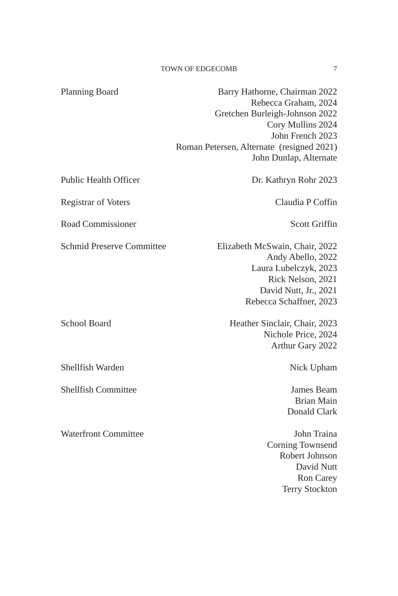Planning Board<br>Barry Hathorne, Chairman 2022 Rebecca Graham, 2024 Gretchen Burleigh-Johnson 2022 Cory Mullins 2024 John French 2023 Roman Petersen, Alternate (resigned 2021) John Dunlap, Alternate Public Health Officer Dr. Kathryn Rohr 2023 Registrar of Voters Claudia P Coffin Road Commissioner Scott Griffin Schmid Preserve Committee Elizabeth McSwain, Chair, 2022 Andy Abello, 2022 Laura Lubelczyk, 2023 Rick Nelson, 2021 David Nutt, Jr., 2021 Rebecca Schaffner, 2023 School Board<br>
Heather Sinclair, Chair, 2023 Nichole Price, 2024 Arthur Gary 2022 Shellfish Warden Nick Upham Shellfish Committee James Beam Brian Main Donald Clark Waterfront Committee **Solution** John Traina Corning Townsend Robert Johnson David Nutt Ron Carey

 $\overline{7}$ 

 Terry Stockton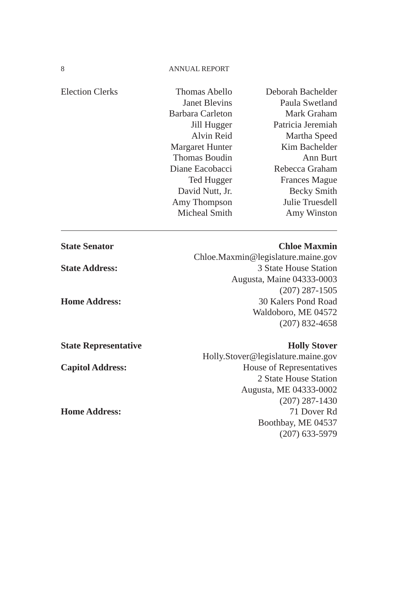| <b>Election Clerks</b>      | Thomas Abello          | Deborah Bachelder                  |
|-----------------------------|------------------------|------------------------------------|
|                             | <b>Janet Blevins</b>   | Paula Swetland                     |
|                             | Barbara Carleton       | Mark Graham                        |
|                             | Jill Hugger            | Patricia Jeremiah                  |
|                             | Alvin Reid             | Martha Speed                       |
|                             | <b>Margaret Hunter</b> | Kim Bachelder                      |
|                             | <b>Thomas Boudin</b>   | Ann Burt                           |
|                             | Diane Eacobacci        | Rebecca Graham                     |
|                             | Ted Hugger             | <b>Frances Mague</b>               |
|                             | David Nutt, Jr.        | <b>Becky Smith</b>                 |
|                             | Amy Thompson           | Julie Truesdell                    |
|                             | Micheal Smith          | Amy Winston                        |
| <b>State Senator</b>        |                        | <b>Chloe Maxmin</b>                |
|                             |                        | Chloe.Maxmin@legislature.maine.gov |
| <b>State Address:</b>       |                        | 3 State House Station              |
|                             |                        | Augusta, Maine 04333-0003          |
|                             |                        | $(207)$ 287-1505                   |
| <b>Home Address:</b>        |                        | 30 Kalers Pond Road                |
|                             |                        | Waldoboro, ME 04572                |
|                             |                        | $(207)$ 832-4658                   |
| <b>State Representative</b> |                        | <b>Holly Stover</b>                |
|                             |                        | Holly.Stover@legislature.maine.gov |
| <b>Capitol Address:</b>     |                        | House of Representatives           |
|                             |                        | 2 State House Station              |
|                             |                        | Augusta, ME 04333-0002             |
|                             |                        | $(207)$ 287-1430                   |
| <b>Home Address:</b>        |                        | 71 Dover Rd                        |
|                             |                        | Boothbay, ME 04537                 |

(207) 633-5979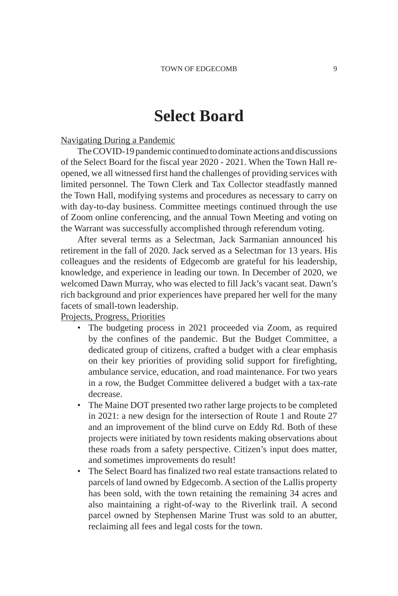### **Select Board**

#### Navigating During a Pandemic

The COVID-19 pandemic continued to dominate actions and discussions of the Select Board for the fiscal year 2020 - 2021. When the Town Hall reopened, we all witnessed first hand the challenges of providing services with limited personnel. The Town Clerk and Tax Collector steadfastly manned the Town Hall, modifying systems and procedures as necessary to carry on with day-to-day business. Committee meetings continued through the use of Zoom online conferencing, and the annual Town Meeting and voting on the Warrant was successfully accomplished through referendum voting.

After several terms as a Selectman, Jack Sarmanian announced his retirement in the fall of 2020. Jack served as a Selectman for 13 years. His colleagues and the residents of Edgecomb are grateful for his leadership, knowledge, and experience in leading our town. In December of 2020, we welcomed Dawn Murray, who was elected to fill Jack's vacant seat. Dawn's rich background and prior experiences have prepared her well for the many facets of small-town leadership.

Projects, Progress, Priorities

- The budgeting process in 2021 proceeded via Zoom, as required by the confines of the pandemic. But the Budget Committee, a dedicated group of citizens, crafted a budget with a clear emphasis on their key priorities of providing solid support for firefighting, ambulance service, education, and road maintenance. For two years in a row, the Budget Committee delivered a budget with a tax-rate decrease.
- The Maine DOT presented two rather large projects to be completed in 2021: a new design for the intersection of Route 1 and Route 27 and an improvement of the blind curve on Eddy Rd. Both of these projects were initiated by town residents making observations about these roads from a safety perspective. Citizen's input does matter, and sometimes improvements do result!
- The Select Board has finalized two real estate transactions related to parcels of land owned by Edgecomb. A section of the Lallis property has been sold, with the town retaining the remaining 34 acres and also maintaining a right-of-way to the Riverlink trail. A second parcel owned by Stephensen Marine Trust was sold to an abutter, reclaiming all fees and legal costs for the town.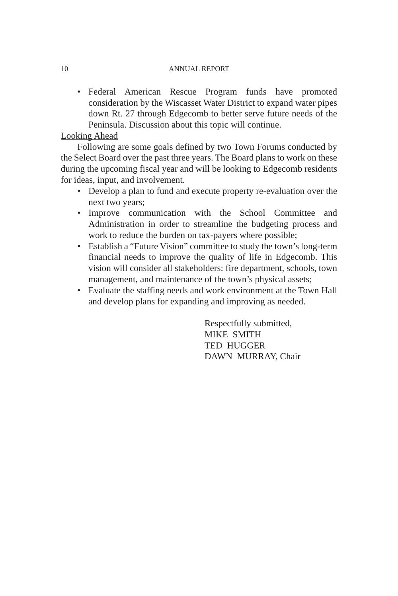• Federal American Rescue Program funds have promoted consideration by the Wiscasset Water District to expand water pipes down Rt. 27 through Edgecomb to better serve future needs of the Peninsula. Discussion about this topic will continue.

#### Looking Ahead

Following are some goals defined by two Town Forums conducted by the Select Board over the past three years. The Board plans to work on these during the upcoming fiscal year and will be looking to Edgecomb residents for ideas, input, and involvement.

- Develop a plan to fund and execute property re-evaluation over the next two years;
- Improve communication with the School Committee and Administration in order to streamline the budgeting process and work to reduce the burden on tax-payers where possible;
- Establish a "Future Vision" committee to study the town's long-term financial needs to improve the quality of life in Edgecomb. This vision will consider all stakeholders: fire department, schools, town management, and maintenance of the town's physical assets;
- Evaluate the staffing needs and work environment at the Town Hall and develop plans for expanding and improving as needed.

Respectfully submitted, MIKE SMITH TED HUGGER DAWN MURRAY, Chair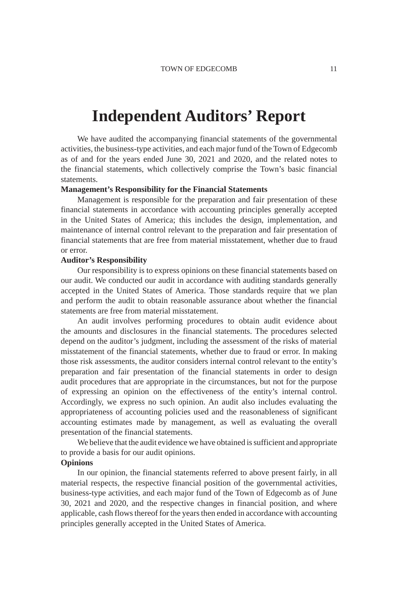## **Independent Auditors' Report**

We have audited the accompanying financial statements of the governmental activities, the business-type activities, and each major fund of the Town of Edgecomb as of and for the years ended June 30, 2021 and 2020, and the related notes to the financial statements, which collectively comprise the Town's basic financial statements.

#### **Management's Responsibility for the Financial Statements**

Management is responsible for the preparation and fair presentation of these financial statements in accordance with accounting principles generally accepted in the United States of America; this includes the design, implementation, and maintenance of internal control relevant to the preparation and fair presentation of financial statements that are free from material misstatement, whether due to fraud or error.

#### **Auditor's Responsibility**

Our responsibility is to express opinions on these financial statements based on our audit. We conducted our audit in accordance with auditing standards generally accepted in the United States of America. Those standards require that we plan and perform the audit to obtain reasonable assurance about whether the financial statements are free from material misstatement.

An audit involves performing procedures to obtain audit evidence about the amounts and disclosures in the financial statements. The procedures selected depend on the auditor's judgment, including the assessment of the risks of material misstatement of the financial statements, whether due to fraud or error. In making those risk assessments, the auditor considers internal control relevant to the entity's preparation and fair presentation of the financial statements in order to design audit procedures that are appropriate in the circumstances, but not for the purpose of expressing an opinion on the effectiveness of the entity's internal control. Accordingly, we express no such opinion. An audit also includes evaluating the appropriateness of accounting policies used and the reasonableness of significant accounting estimates made by management, as well as evaluating the overall presentation of the financial statements.

We believe that the audit evidence we have obtained is sufficient and appropriate to provide a basis for our audit opinions.

#### **Opinions**

In our opinion, the financial statements referred to above present fairly, in all material respects, the respective financial position of the governmental activities, business-type activities, and each major fund of the Town of Edgecomb as of June 30, 2021 and 2020, and the respective changes in financial position, and where applicable, cash flowsthereof for the yearsthen ended in accordance with accounting principles generally accepted in the United States of America.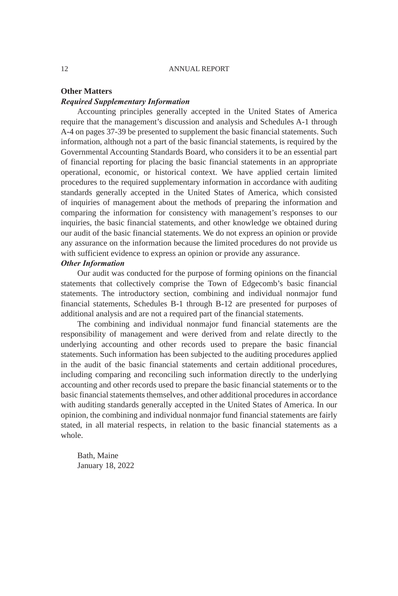#### **Other Matters**

#### *Required Supplementary Information*

Accounting principles generally accepted in the United States of America require that the management's discussion and analysis and Schedules A-1 through A-4 on pages 37-39 be presented to supplement the basic financial statements. Such information, although not a part of the basic financial statements, is required by the Governmental Accounting Standards Board, who considers it to be an essential part of financial reporting for placing the basic financial statements in an appropriate operational, economic, or historical context. We have applied certain limited procedures to the required supplementary information in accordance with auditing standards generally accepted in the United States of America, which consisted of inquiries of management about the methods of preparing the information and comparing the information for consistency with management's responses to our inquiries, the basic financial statements, and other knowledge we obtained during our audit of the basic financial statements. We do not express an opinion or provide any assurance on the information because the limited procedures do not provide us with sufficient evidence to express an opinion or provide any assurance.

#### *Other Information*

Our audit was conducted for the purpose of forming opinions on the financial statements that collectively comprise the Town of Edgecomb's basic financial statements. The introductory section, combining and individual nonmajor fund financial statements, Schedules B-1 through B-12 are presented for purposes of additional analysis and are not a required part of the financial statements.

The combining and individual nonmajor fund financial statements are the responsibility of management and were derived from and relate directly to the underlying accounting and other records used to prepare the basic financial statements. Such information has been subjected to the auditing procedures applied in the audit of the basic financial statements and certain additional procedures, including comparing and reconciling such information directly to the underlying accounting and other records used to prepare the basic financial statements or to the basic financial statements themselves, and other additional procedures in accordance with auditing standards generally accepted in the United States of America. In our opinion, the combining and individual nonmajor fund financial statements are fairly stated, in all material respects, in relation to the basic financial statements as a whole.

Bath, Maine January 18, 2022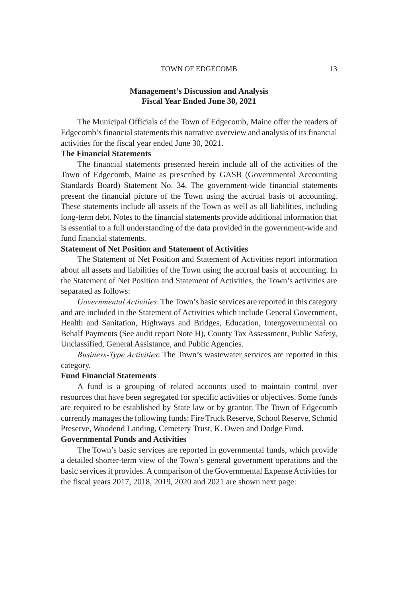#### **Management's Discussion and Analysis Fiscal Year Ended June 30, 2021**

The Municipal Officials of the Town of Edgecomb, Maine offer the readers of Edgecomb's financial statements this narrative overview and analysis of its financial activities for the fiscal year ended June 30, 2021.

#### **The Financial Statements**

The financial statements presented herein include all of the activities of the Town of Edgecomb, Maine as prescribed by GASB (Governmental Accounting Standards Board) Statement No. 34. The government-wide financial statements present the financial picture of the Town using the accrual basis of accounting. These statements include all assets of the Town as well as all liabilities, including long-term debt. Notes to the financial statements provide additional information that is essential to a full understanding of the data provided in the government-wide and fund financial statements.

#### **Statement of Net Position and Statement of Activities**

The Statement of Net Position and Statement of Activities report information about all assets and liabilities of the Town using the accrual basis of accounting. In the Statement of Net Position and Statement of Activities, the Town's activities are separated as follows:

*Governmental Activities*: The Town's basic services are reported in this category and are included in the Statement of Activities which include General Government, Health and Sanitation, Highways and Bridges, Education, Intergovernmental on Behalf Payments (See audit report Note H), County Tax Assessment, Public Safety, Unclassified, General Assistance, and Public Agencies.

*Business-Type Activities*: The Town's wastewater services are reported in this category.

#### **Fund Financial Statements**

A fund is a grouping of related accounts used to maintain control over resources that have been segregated for specific activities or objectives. Some funds are required to be established by State law or by grantor. The Town of Edgecomb currently manages the following funds: Fire Truck Reserve, School Reserve, Schmid Preserve, Woodend Landing, Cemetery Trust, K. Owen and Dodge Fund.

#### **Governmental Funds and Activities**

The Town's basic services are reported in governmental funds, which provide a detailed shorter-term view of the Town's general government operations and the basic services it provides. A comparison of the Governmental Expense Activities for the fiscal years 2017, 2018, 2019, 2020 and 2021 are shown next page: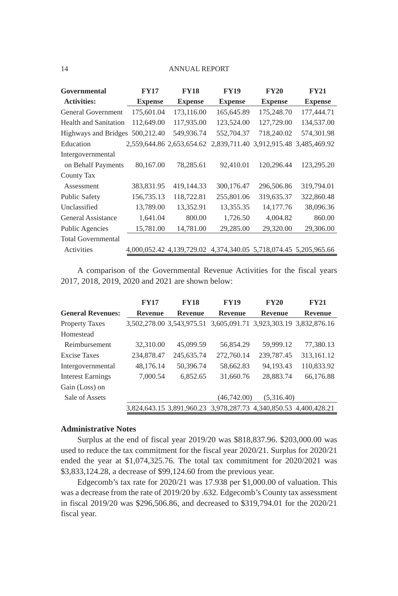| Governmental                 | <b>FY17</b>    | <b>FY18</b>               | <b>FY19</b>    | <b>FY20</b>                            | <b>FY21</b>    |
|------------------------------|----------------|---------------------------|----------------|----------------------------------------|----------------|
| <b>Activities:</b>           | <b>Expense</b> | <b>Expense</b>            | <b>Expense</b> | <b>Expense</b>                         | <b>Expense</b> |
| General Government           | 175,601.04     | 173,116.00                | 165,645.89     | 175,248.70                             | 177,444.71     |
| <b>Health and Sanitation</b> | 112,649.00     | 117,935.00                | 123,524.00     | 127,729.00                             | 134,537.00     |
| <b>Highways and Bridges</b>  | 500,212.40     | 549,936.74                | 552,704.37     | 718,240.02                             | 574,301.98     |
| Education                    |                | 2.559.644.86 2.653.654.62 |                | 2,839,711.40 3,912,915.48 3,485,469.92 |                |
| Intergovernmental            |                |                           |                |                                        |                |
| on Behalf Payments           | 80,167.00      | 78,285.61                 | 92,410.01      | 120,296.44                             | 123,295.20     |
| County Tax                   |                |                           |                |                                        |                |
| Assessment                   | 383,831.95     | 419,144.33                | 300,176.47     | 296,506.86                             | 319,794.01     |
| <b>Public Safety</b>         | 156,735.13     | 118,722.81                | 255,801.06     | 319,635.37                             | 322,860.48     |
| Unclassified                 | 13,789.00      | 13,352.91                 | 13,355.35      | 14, 177. 76                            | 38,096.36      |
| General Assistance           | 1,641.04       | 800.00                    | 1,726.50       | 4.004.82                               | 860.00         |
| Public Agencies              | 15,781.00      | 14,781.00                 | 29,285.00      | 29,320.00                              | 29,306.00      |
| <b>Total Governmental</b>    |                |                           |                |                                        |                |
| Activities                   |                | 4,000,052.42 4,139,729.02 |                | 4,374,340.05 5,718,074.45 5,205,965.66 |                |

A comparison of the Governmental Revenue Activities for the fiscal years 2017, 2018, 2019, 2020 and 2021 are shown below:

|                          | <b>FY17</b>    | <b>FY18</b>    | <b>FY19</b>                                                      | <b>FY20</b>    | <b>FY21</b>    |
|--------------------------|----------------|----------------|------------------------------------------------------------------|----------------|----------------|
| <b>General Revenues:</b> | <b>Revenue</b> | <b>Revenue</b> | <b>Revenue</b>                                                   | <b>Revenue</b> | <b>Revenue</b> |
| <b>Property Taxes</b>    |                |                | 3,502,278.00 3,543,975.51 3,605,091.71 3,923,303.19 3,832,876.16 |                |                |
| Homestead                |                |                |                                                                  |                |                |
| Reimbursement            | 32,310.00      | 45,099.59      | 56,854.29                                                        | 59,999.12      | 77,380.13      |
| <b>Excise Taxes</b>      | 234,878.47     | 245,635.74     | 272,760.14                                                       | 239,787.45     | 313,161.12     |
| Intergovernmental        | 48,176.14      | 50,396.74      | 58,662.83                                                        | 94,193.43      | 110,833.92     |
| <b>Interest Earnings</b> | 7,000.54       | 6,852.65       | 31,660.76                                                        | 28,883.74      | 66,176.88      |
| Gain (Loss) on           |                |                |                                                                  |                |                |
| Sale of Assets           |                |                | (46,742.00)                                                      | (5.316.40)     |                |
|                          |                |                | 3,824,643.15 3,891,960.23 3,978,287.73 4,340,850.53 4,400,428.21 |                |                |

#### **Administrative Notes**

Surplus at the end of fiscal year 2019/20 was \$818,837.96. \$203,000.00 was used to reduce the tax commitment for the fiscal year 2020/21. Surplus for 2020/21 ended the year at \$1,074,325.76. The total tax commitment for 2020/2021 was \$3,833,124.28, a decrease of \$99,124.60 from the previous year.

Edgecomb's tax rate for 2020/21 was 17.938 per \$1,000.00 of valuation. This was a decrease from the rate of 2019/20 by .632. Edgecomb's County tax assessment in fiscal 2019/20 was \$296,506.86, and decreased to \$319,794.01 for the 2020/21 fiscal year.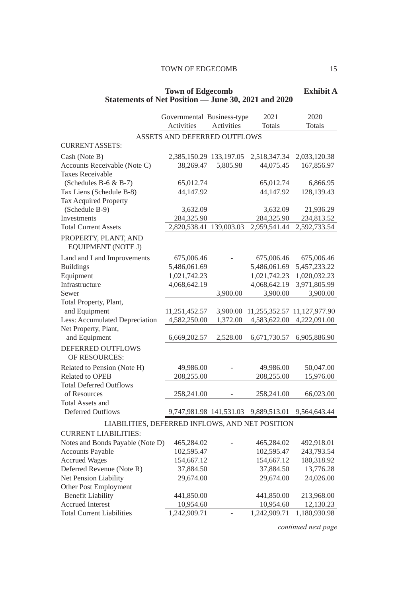#### **Town of Edgecomb Exhibit A Statements of Net Position — June 30, 2021 and 2020**

|                                                 | Governmental Business-type          |                         | 2021         | 2020                        |
|-------------------------------------------------|-------------------------------------|-------------------------|--------------|-----------------------------|
|                                                 | Activities                          | Activities              | Totals       | Totals                      |
|                                                 | <b>ASSETS AND DEFERRED OUTFLOWS</b> |                         |              |                             |
| <b>CURRENT ASSETS:</b>                          |                                     |                         |              |                             |
| Cash (Note B)                                   |                                     | 2,385,150.29 133,197.05 | 2,518,347.34 | 2,033,120.38                |
| Accounts Receivable (Note C)                    | 38,269.47                           | 5,805.98                | 44,075.45    | 167,856.97                  |
| <b>Taxes Receivable</b>                         |                                     |                         |              |                             |
| (Schedules B-6 $&$ B-7)                         | 65,012.74                           |                         | 65,012.74    | 6,866.95                    |
| Tax Liens (Schedule B-8)                        | 44,147.92                           |                         | 44,147.92    | 128,139.43                  |
| <b>Tax Acquired Property</b>                    |                                     |                         |              |                             |
| (Schedule B-9)                                  | 3,632.09                            |                         | 3,632.09     | 21,936.29                   |
| Investments                                     | 284,325.90                          |                         | 284,325.90   | 234,813.52                  |
| <b>Total Current Assets</b>                     | 2,820,538.41                        | 139,003.03              | 2,959,541.44 | 2,592,733.54                |
| PROPERTY, PLANT, AND                            |                                     |                         |              |                             |
| EQUIPMENT (NOTE J)                              |                                     |                         |              |                             |
| Land and Land Improvements                      | 675,006.46                          |                         | 675,006.46   | 675,006.46                  |
| <b>Buildings</b>                                | 5,486,061.69                        |                         | 5,486,061.69 | 5,457,233.22                |
| Equipment                                       | 1,021,742.23                        |                         | 1,021,742.23 | 1,020,032.23                |
| Infrastructure                                  | 4,068,642.19                        |                         | 4,068,642.19 | 3,971,805.99                |
| Sewer                                           |                                     | 3,900.00                | 3,900.00     | 3,900.00                    |
| Total Property, Plant,                          |                                     |                         |              |                             |
| and Equipment                                   | 11,251,452.57                       | 3,900.00                |              | 11,255,352.57 11,127,977.90 |
| Less: Accumulated Depreciation                  | 4,582,250.00                        | 1,372.00                | 4,583,622.00 | 4,222,091.00                |
| Net Property, Plant,                            |                                     |                         |              |                             |
| and Equipment                                   | 6,669,202.57                        | 2,528.00                | 6,671,730.57 | 6,905,886.90                |
| DEFERRED OUTFLOWS<br>OF RESOURCES:              |                                     |                         |              |                             |
| Related to Pension (Note H)                     | 49,986.00                           |                         | 49,986.00    | 50,047.00                   |
| Related to OPEB                                 | 208,255.00                          |                         | 208,255.00   | 15,976.00                   |
| <b>Total Deferred Outflows</b>                  |                                     |                         |              |                             |
| of Resources                                    | 258,241.00                          |                         | 258,241.00   | 66,023.00                   |
| <b>Total Assets and</b>                         |                                     |                         |              |                             |
| Deferred Outflows                               |                                     | 9,747,981.98 141,531.03 | 9,889,513.01 | 9,564,643.44                |
| LIABILITIES, DEFERRED INFLOWS, AND NET POSITION |                                     |                         |              |                             |
| <b>CURRENT LIABILITIES:</b>                     |                                     |                         |              |                             |
| Notes and Bonds Payable (Note D)                | 465,284.02                          |                         | 465,284.02   | 492,918.01                  |
| <b>Accounts Payable</b>                         | 102,595.47                          |                         | 102,595.47   | 243,793.54                  |
| <b>Accrued Wages</b>                            | 154,667.12                          |                         | 154,667.12   | 180,318.92                  |
| Deferred Revenue (Note R)                       | 37,884.50                           |                         | 37,884.50    | 13,776.28                   |
| Net Pension Liability                           | 29,674.00                           |                         | 29,674.00    | 24,026.00                   |
| Other Post Employment                           |                                     |                         |              |                             |
| <b>Benefit Liability</b>                        | 441,850.00                          |                         | 441,850.00   | 213,968.00                  |
| <b>Accrued Interest</b>                         | 10,954.60                           |                         | 10,954.60    | 12,130.23                   |
| <b>Total Current Liabilities</b>                | 1,242,909.71                        |                         | 1,242,909.71 | 1,180,930.98                |

*continued next page*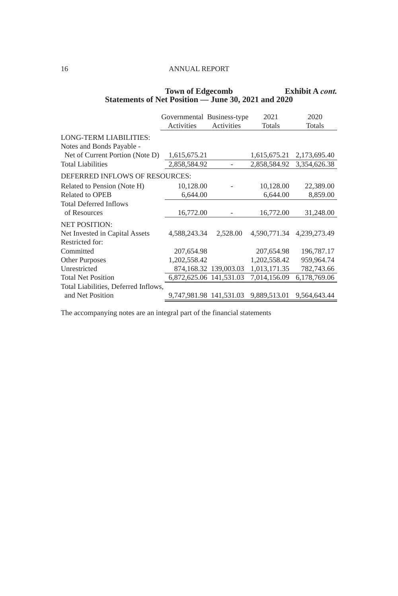#### **Town of Edgecomb Exhibit A** *cont.* **Statements of Net Position — June 30, 2021 and 2020**

|                                      | Governmental Business-type |                       | 2021         | 2020         |
|--------------------------------------|----------------------------|-----------------------|--------------|--------------|
|                                      | Activities                 | Activities            | Totals       | Totals       |
| <b>LONG-TERM LIABILITIES:</b>        |                            |                       |              |              |
| Notes and Bonds Payable -            |                            |                       |              |              |
| Net of Current Portion (Note D)      | 1,615,675.21               |                       | 1,615,675.21 | 2,173,695.40 |
| <b>Total Liabilities</b>             | 2,858,584.92               |                       | 2,858,584.92 | 3,354,626.38 |
| DEFERRED INFLOWS OF RESOURCES:       |                            |                       |              |              |
| Related to Pension (Note H)          | 10,128.00                  |                       | 10,128.00    | 22,389.00    |
| Related to OPEB                      | 6,644.00                   |                       | 6,644.00     | 8,859.00     |
| <b>Total Deferred Inflows</b>        |                            |                       |              |              |
| of Resources                         | 16,772.00                  |                       | 16,772.00    | 31,248.00    |
| <b>NET POSITION:</b>                 |                            |                       |              |              |
| Net Invested in Capital Assets       | 4,588,243.34               | 2.528.00              | 4,590,771.34 | 4,239,273.49 |
| Restricted for:                      |                            |                       |              |              |
| Committed                            | 207,654.98                 |                       | 207,654.98   | 196,787.17   |
| Other Purposes                       | 1,202,558.42               |                       | 1,202,558.42 | 959,964.74   |
| Unrestricted                         |                            | 874,168.32 139,003.03 | 1,013,171.35 | 782,743.66   |
| <b>Total Net Position</b>            | 6,872,625.06 141,531.03    |                       | 7,014,156.09 | 6,178,769.06 |
| Total Liabilities, Deferred Inflows, |                            |                       |              |              |
| and Net Position                     | 9,747,981.98 141,531.03    |                       | 9,889,513.01 | 9,564,643.44 |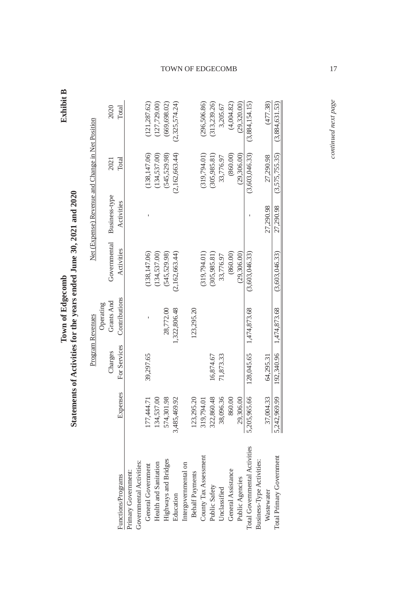| ۰<br>٠ |
|--------|
|        |
|        |
|        |
|        |

# **Town of Edgecomb Exhibit B** Statements of Activities for the years ended June 30, 2021 and 2020 **Statements of Activities for the years ended June 30, 2021 and 2020** Town of Edgecomb

|                                      |              |                         | Program Revenues |                |               | Net (Expense) Revenue and Change in Net Position |                |
|--------------------------------------|--------------|-------------------------|------------------|----------------|---------------|--------------------------------------------------|----------------|
|                                      |              |                         | Operating        |                |               |                                                  |                |
|                                      |              | Charges                 | Grants And       | Governmental   | Business-type | 2021                                             | 2020           |
| Functions/Programs                   | Expenses     | For Services            | Contributions    | Activities     | Activities    | Total                                            | Total          |
| Primary Government:                  |              |                         |                  |                |               |                                                  |                |
| Governmental Activities:             |              |                         |                  |                |               |                                                  |                |
| General Government                   | 177,444.71   | 39,297.65               |                  | (138, 147.06)  |               | (138, 147.06)                                    | (121, 287.62)  |
| Health and Sanitation                | 134,537.00   |                         |                  | (134, 537, 00) |               | (134, 537, 00)                                   | (127, 729.00)  |
| Highways and Bridges                 | 574,301.98   |                         | 28,772.00        | (545, 529.98)  |               | (545, 529.98)                                    | (669, 698.02)  |
| Education                            | 3,485,469.92 |                         | 1,322,806.48     | 2,162,663.44)  |               | (2,162,663.44)                                   | (2,325,574.24) |
| Intergovernmental on                 |              |                         |                  |                |               |                                                  |                |
| Behalf Payments                      | 123,295.20   |                         | 123,295.20       |                |               |                                                  |                |
| County Tax Assessment                | 319,794.01   |                         |                  | (319, 794.01)  |               | (319,794.01)                                     | (296, 506.86)  |
| Public Safety                        | 322,860.48   | 16,874.67               |                  | (305,985.81)   |               | (305,985.81)                                     | (313, 239.26)  |
| Unclassified                         | 38,096.36    | 71,873.33               |                  | 33,776.97      |               | 33,776.97                                        | 3,205.67       |
| General Assistance                   | 860.00       |                         |                  | (860.00)       |               | (860.00)                                         | (4,004.82)     |
| Public Agencies                      | 29,306.00    |                         |                  | (29,306,00)    |               | (29,306,00)                                      | (29, 320.00)   |
| <b>Total Governmental Activities</b> | 5,205,965.66 | 128,045.65 1,474,873.68 |                  | (3,603,046.33) |               | (3,603,046.33)                                   | (3,884,154.15) |
| Business-Type Activities             |              |                         |                  |                |               |                                                  |                |
| Wastewater                           | 37,004.33    | 64.295.31               |                  |                | 27.290.98     | 27,290.98                                        | (477.38)       |
| Total Primary Government             | 5,242,969.99 | 192,340.96              | 1,474,873.68     | (3,603,046,33) | 27,290.98     | (3.575.755.35)                                   | (3,884,631.53) |

#### TOWN OF EDGECOMB

continued next page *continued next page*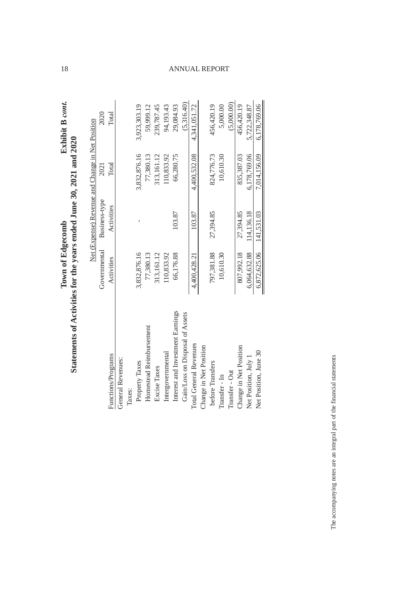| "vhibit B con. | e 30, 2021 and 2020                                |
|----------------|----------------------------------------------------|
| $\frac{1}{2}$  | <b>MJuh</b><br>he veers ended<br>j<br>j<br>ة<br>يا |

| Statements of Activities for the years ended June 30, 2021 and 2020 |                         | Net (Expense) Revenue and Change in Net Position |              |              |
|---------------------------------------------------------------------|-------------------------|--------------------------------------------------|--------------|--------------|
|                                                                     | Governmental            | Business-type                                    | 2021         | 2020         |
| Functions/Programs                                                  | Activities              | Activities                                       | Total        | Total        |
| General Revenues:                                                   |                         |                                                  |              |              |
| Taxes:                                                              |                         |                                                  |              |              |
| Property Taxes                                                      | 3,832,876.16            |                                                  | 3,832,876.16 | 3,923,303.19 |
| Homestead Reimbursement                                             | 77,380.13               |                                                  | 77,380.13    | 59,999.12    |
| Excise Taxes                                                        | 313,161.12              |                                                  | 313,161.12   | 239,787.45   |
| Intergovernmental                                                   | 110,833.92              |                                                  | 110,833.92   | 94,193.43    |
| Interest and Investment Earnings                                    | 66,176.88               | 103.87                                           | 66,280.75    | 29,084.93    |
| Gain/Loss on Disposal of Assets                                     |                         |                                                  |              | (5,316,40)   |
| <b>Total General Revenues</b>                                       | 4,400,428.21            | 103.87                                           | 4,400,532.08 | 4,341,051.72 |
| Change in Net Position                                              |                         |                                                  |              |              |
| before Transfers                                                    | 797,381.88              | 27,394.85                                        | 824,776.73   | 456,420.19   |
| Transfer - In                                                       | 10,610.30               |                                                  | 10,610.30    | 5,000.00     |
| Transfer - Out                                                      |                         |                                                  |              | (5,000.00)   |
| Change in Net Position                                              | 807,992.18              | 27,394.85                                        | 835,387.03   | 456,420.19   |
| Net Position, July 1                                                | 6,064,632.88            | 114,136.18                                       | 6,178,769.06 | 5,722,348.87 |
| Net Position, June 30                                               | 6,872,625.06 141,531.03 |                                                  | 7,014,156.09 | 6,178,769.06 |
|                                                                     |                         |                                                  |              |              |

The accompanying notes are an integral part of the financial statements The accompanying notes are an integral part of the financial statements

1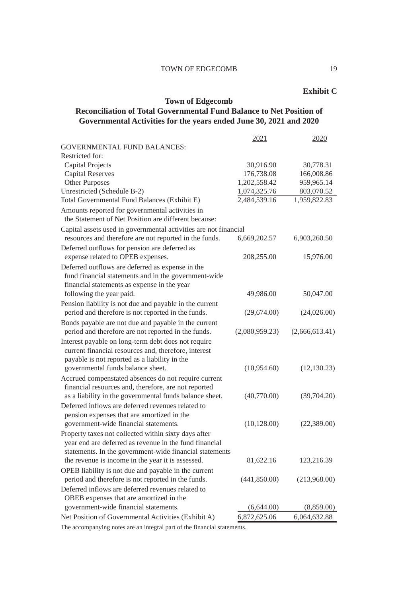#### **Town of Edgecomb Reconciliation of Total Governmental Fund Balance to Net Position of Governmental Activities for the years ended June 30, 2021 and 2020**

|                                                                                                                                                                                                   | 2021           | 2020           |
|---------------------------------------------------------------------------------------------------------------------------------------------------------------------------------------------------|----------------|----------------|
| <b>GOVERNMENTAL FUND BALANCES:</b>                                                                                                                                                                |                |                |
| Restricted for:                                                                                                                                                                                   |                |                |
| <b>Capital Projects</b>                                                                                                                                                                           | 30,916.90      | 30,778.31      |
| <b>Capital Reserves</b>                                                                                                                                                                           | 176,738.08     | 166,008.86     |
| Other Purposes                                                                                                                                                                                    | 1,202,558.42   | 959,965.14     |
| Unrestricted (Schedule B-2)                                                                                                                                                                       | 1,074,325.76   | 803,070.52     |
| Total Governmental Fund Balances (Exhibit E)                                                                                                                                                      | 2,484,539.16   | 1,959,822.83   |
| Amounts reported for governmental activities in<br>the Statement of Net Position are different because:                                                                                           |                |                |
| Capital assets used in governmental activities are not financial<br>resources and therefore are not reported in the funds.                                                                        | 6,669,202.57   | 6,903,260.50   |
| Deferred outflows for pension are deferred as<br>expense related to OPEB expenses.                                                                                                                | 208,255.00     | 15,976.00      |
| Deferred outflows are deferred as expense in the<br>fund financial statements and in the government-wide<br>financial statements as expense in the year<br>following the year paid.               | 49,986.00      | 50,047.00      |
|                                                                                                                                                                                                   |                |                |
| Pension liability is not due and payable in the current<br>period and therefore is not reported in the funds.                                                                                     | (29,674.00)    | (24,026.00)    |
| Bonds payable are not due and payable in the current<br>period and therefore are not reported in the funds.                                                                                       | (2,080,959.23) | (2,666,613.41) |
| Interest payable on long-term debt does not require<br>current financial resources and, therefore, interest<br>payable is not reported as a liability in the<br>governmental funds balance sheet. | (10,954.60)    | (12, 130.23)   |
| Accrued compenstated absences do not require current                                                                                                                                              |                |                |
| financial resources and, therefore, are not reported<br>as a liability in the governmental funds balance sheet.                                                                                   | (40,770.00)    | (39,704.20)    |
| Deferred inflows are deferred revenues related to<br>pension expenses that are amortized in the<br>government-wide financial statements.                                                          | (10, 128.00)   | (22, 389.00)   |
| Property taxes not collected within sixty days after<br>year end are deferred as revenue in the fund financial<br>statements. In the government-wide financial statements                         |                |                |
| the revenue is income in the year it is assessed.                                                                                                                                                 | 81,622.16      | 123,216.39     |
| OPEB liability is not due and payable in the current                                                                                                                                              |                |                |
| period and therefore is not reported in the funds.                                                                                                                                                | (441, 850.00)  | (213,968.00)   |
| Deferred inflows are deferred revenues related to                                                                                                                                                 |                |                |
| OBEB expenses that are amortized in the                                                                                                                                                           |                |                |
| government-wide financial statements.                                                                                                                                                             | (6,644.00)     | (8,859.00)     |
| Net Position of Governmental Activities (Exhibit A)                                                                                                                                               | 6,872,625.06   | 6.064.632.88   |
|                                                                                                                                                                                                   |                |                |

The accompanying notes are an integral part of the financial statements.

**Exhibit C**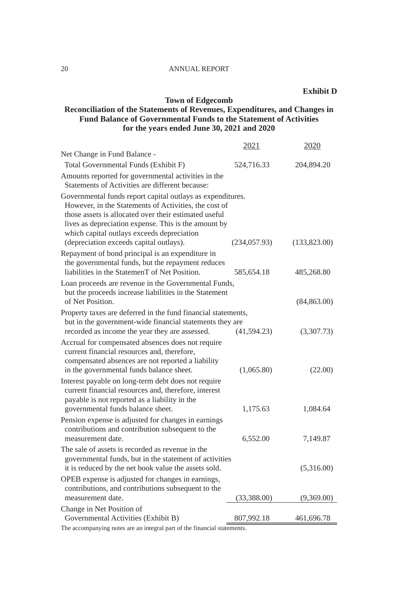#### **Exhibit D**

#### **Town of Edgecomb**

#### **Reconciliation of the Statements of Revenues, Expenditures, and Changes in Fund Balance of Governmental Funds to the Statement of Activities for the years ended June 30, 2021 and 2020**

|                                                                                                                                                                                                                                                                                                                               | 2021         | 2020         |
|-------------------------------------------------------------------------------------------------------------------------------------------------------------------------------------------------------------------------------------------------------------------------------------------------------------------------------|--------------|--------------|
| Net Change in Fund Balance -                                                                                                                                                                                                                                                                                                  |              |              |
| Total Governmental Funds (Exhibit F)                                                                                                                                                                                                                                                                                          | 524,716.33   | 204,894.20   |
| Amounts reported for governmental activities in the<br>Statements of Activities are different because:                                                                                                                                                                                                                        |              |              |
| Governmental funds report capital outlays as expenditures.<br>However, in the Statements of Activities, the cost of<br>those assets is allocated over their estimated useful<br>lives as depreciation expense. This is the amount by<br>which capital outlays exceeds depreciation<br>(depreciation exceeds capital outlays). | (234,057.93) | (133,823.00) |
| Repayment of bond principal is an expenditure in<br>the governmental funds, but the repayment reduces<br>liabilities in the StatemenT of Net Position.                                                                                                                                                                        | 585,654.18   | 485,268.80   |
| Loan proceeds are revenue in the Governmental Funds,                                                                                                                                                                                                                                                                          |              |              |
| but the proceeds increase liabilities in the Statement<br>of Net Position.                                                                                                                                                                                                                                                    |              | (84, 863.00) |
| Property taxes are deferred in the fund financial statements,<br>but in the government-wide financial statements they are<br>recorded as income the year they are assessed.                                                                                                                                                   | (41, 594.23) | (3,307.73)   |
| Accrual for compensated absences does not require<br>current financial resources and, therefore,<br>compensated absences are not reported a liability<br>in the governmental funds balance sheet.                                                                                                                             | (1,065.80)   | (22.00)      |
| Interest payable on long-term debt does not require<br>current financial resources and, therefore, interest<br>payable is not reported as a liability in the<br>governmental funds balance sheet.                                                                                                                             | 1,175.63     | 1,084.64     |
| Pension expense is adjusted for changes in earnings<br>contributions and contribution subsequent to the<br>measurement date.                                                                                                                                                                                                  | 6.552.00     | 7,149.87     |
| The sale of assets is recorded as revenue in the<br>governmental funds, but in the statement of activities<br>it is reduced by the net book value the assets sold.                                                                                                                                                            |              | (5,316.00)   |
| OPEB expense is adjusted for changes in earnings,<br>contributions, and contributions subsequent to the<br>measurement date.                                                                                                                                                                                                  | (33,388.00)  | (9,369.00)   |
| Change in Net Position of                                                                                                                                                                                                                                                                                                     |              |              |
| Governmental Activities (Exhibit B)                                                                                                                                                                                                                                                                                           | 807,992.18   | 461,696.78   |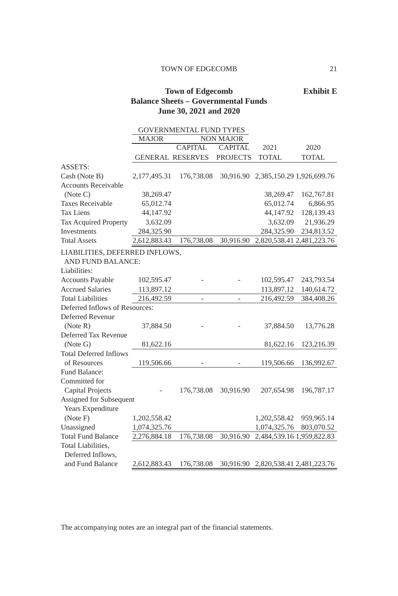#### **Town of Edgecomb Exhibit E Balance Sheets – Governmental Funds June 30, 2021 and 2020**

|                                |              | <b>GOVERNMENTAL FUND TYPES</b> |                  |                           |              |
|--------------------------------|--------------|--------------------------------|------------------|---------------------------|--------------|
|                                | <b>MAJOR</b> |                                | <b>NON MAJOR</b> |                           |              |
|                                |              | <b>CAPITAL</b>                 | <b>CAPITAL</b>   | 2021                      | 2020         |
|                                |              | <b>GENERAL RESERVES</b>        | <b>PROJECTS</b>  | <b>TOTAL</b>              | <b>TOTAL</b> |
| <b>ASSETS:</b>                 |              |                                |                  |                           |              |
| Cash (Note B)                  | 2,177,495.31 | 176,738.08                     | 30,916.90        | 2,385,150.29 1,926,699.76 |              |
| <b>Accounts Receivable</b>     |              |                                |                  |                           |              |
| (Note C)                       | 38,269.47    |                                |                  | 38,269.47                 | 162,767.81   |
| <b>Taxes Receivable</b>        | 65,012.74    |                                |                  | 65,012.74                 | 6,866.95     |
| <b>Tax Liens</b>               | 44,147.92    |                                |                  | 44,147.92                 | 128,139.43   |
| <b>Tax Acquired Property</b>   | 3,632.09     |                                |                  | 3,632.09                  | 21,936.29    |
| Investments                    | 284,325.90   |                                |                  | 284,325.90                | 234,813.52   |
| <b>Total Assets</b>            | 2,612,883.43 | 176,738.08                     | 30,916.90        | 2,820,538.41 2,481,223.76 |              |
| LIABILITIES, DEFERRED INFLOWS, |              |                                |                  |                           |              |
| AND FUND BALANCE:              |              |                                |                  |                           |              |
| Liabilities:                   |              |                                |                  |                           |              |
| <b>Accounts Payable</b>        | 102,595.47   |                                |                  | 102,595.47                | 243,793.54   |
| <b>Accrued Salaries</b>        | 113,897.12   |                                |                  | 113,897.12                | 140,614.72   |
| <b>Total Liabilities</b>       | 216,492.59   | $\overline{a}$                 | ÷.               | 216,492.59                | 384,408.26   |
| Deferred Inflows of Resources: |              |                                |                  |                           |              |
| Deferred Revenue               |              |                                |                  |                           |              |
| (Note R)                       | 37,884.50    |                                |                  | 37,884.50                 | 13,776.28    |
| Deferred Tax Revenue           |              |                                |                  |                           |              |
| (Note G)                       | 81,622.16    |                                |                  | 81,622.16                 | 123,216.39   |
| <b>Total Deferred Inflows</b>  |              |                                |                  |                           |              |
| of Resources                   | 119,506.66   |                                |                  | 119,506.66                | 136,992.67   |
| Fund Balance:                  |              |                                |                  |                           |              |
| Committed for                  |              |                                |                  |                           |              |
| <b>Capital Projects</b>        |              | 176,738.08                     | 30,916.90        | 207,654.98                | 196,787.17   |
| Assigned for Subsequent        |              |                                |                  |                           |              |
| Years Expenditure              |              |                                |                  |                           |              |
| (Note F)                       | 1,202,558.42 |                                |                  | 1,202,558.42              | 959,965.14   |
| Unassigned                     | 1,074,325.76 |                                |                  | 1,074,325.76              | 803,070.52   |
| <b>Total Fund Balance</b>      | 2,276,884.18 | 176,738.08                     | 30,916.90        | 2,484,539.16 1,959,822.83 |              |
| Total Liabilities,             |              |                                |                  |                           |              |
| Deferred Inflows,              |              |                                |                  |                           |              |
| and Fund Balance               | 2,612,883.43 | 176,738.08                     | 30,916.90        | 2,820,538.41 2,481,223.76 |              |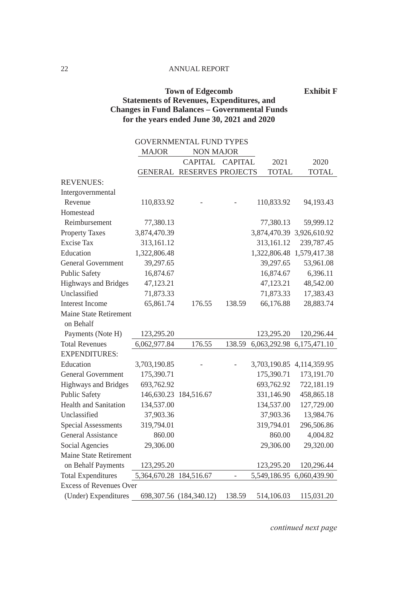#### **Town of Edgecomb Exhibit F Statements of Revenues, Expenditures, and Changes in Fund Balances – Governmental Funds for the years ended June 30, 2021 and 2020**

|                                     |              | <b>GOVERNMENTAL FUND TYPES</b>   |                |              |                           |
|-------------------------------------|--------------|----------------------------------|----------------|--------------|---------------------------|
|                                     | <b>MAJOR</b> | <b>NON MAJOR</b>                 |                |              |                           |
|                                     |              | <b>CAPITAL</b>                   | <b>CAPITAL</b> | 2021         | 2020                      |
|                                     |              | <b>GENERAL RESERVES PROJECTS</b> |                | <b>TOTAL</b> | <b>TOTAL</b>              |
| <b>REVENUES:</b>                    |              |                                  |                |              |                           |
| Intergovernmental                   |              |                                  |                |              |                           |
| Revenue                             | 110,833.92   |                                  |                | 110,833.92   | 94,193.43                 |
| Homestead                           |              |                                  |                |              |                           |
| Reimbursement                       | 77,380.13    |                                  |                | 77,380.13    | 59,999.12                 |
| <b>Property Taxes</b>               | 3,874,470.39 |                                  |                |              | 3,874,470.39 3,926,610.92 |
| <b>Excise Tax</b>                   | 313,161.12   |                                  |                | 313,161.12   | 239,787.45                |
| Education                           | 1,322,806.48 |                                  |                |              | 1,322,806.48 1,579,417.38 |
| <b>General Government</b>           | 39,297.65    |                                  |                | 39,297.65    | 53,961.08                 |
| Public Safety                       | 16,874.67    |                                  |                | 16,874.67    | 6,396.11                  |
| Highways and Bridges                | 47,123.21    |                                  |                | 47,123.21    | 48,542.00                 |
| Unclassified                        | 71,873.33    |                                  |                | 71,873.33    | 17,383.43                 |
| <b>Interest Income</b>              | 65,861.74    | 176.55                           | 138.59         | 66,176.88    | 28,883.74                 |
| Maine State Retirement<br>on Behalf |              |                                  |                |              |                           |
| Payments (Note H)                   | 123,295.20   |                                  |                | 123,295.20   | 120,296.44                |
| <b>Total Revenues</b>               | 6,062,977.84 | 176.55                           | 138.59         |              | 6,063,292.98 6,175,471.10 |
| <b>EXPENDITURES:</b>                |              |                                  |                |              |                           |
| Education                           | 3,703,190.85 |                                  |                |              | 3,703,190.85 4,114,359.95 |
| <b>General Government</b>           | 175,390.71   |                                  |                | 175,390.71   | 173,191.70                |
| Highways and Bridges                | 693,762.92   |                                  |                | 693,762.92   | 722,181.19                |
| Public Safety                       | 146,630.23   | 184,516.67                       |                | 331,146.90   | 458,865.18                |
| <b>Health and Sanitation</b>        | 134,537.00   |                                  |                | 134,537.00   | 127,729.00                |
| Unclassified                        | 37,903.36    |                                  |                | 37,903.36    | 13,984.76                 |
| Special Assessments                 | 319,794.01   |                                  |                | 319,794.01   | 296,506.86                |
| General Assistance                  | 860.00       |                                  |                | 860.00       | 4,004.82                  |
| Social Agencies                     | 29,306.00    |                                  |                | 29,306.00    | 29,320.00                 |
| Maine State Retirement              |              |                                  |                |              |                           |
| on Behalf Payments                  | 123,295.20   |                                  |                | 123,295.20   | 120,296.44                |
| <b>Total Expenditures</b>           | 5,364,670.28 | 184,516.67                       | $\overline{a}$ | 5,549,186.95 | 6,060,439.90              |
| <b>Excess of Revenues Over</b>      |              |                                  |                |              |                           |
| (Under) Expenditures                |              | 698, 307. 56 (184, 340. 12)      | 138.59         | 514,106.03   | 115,031.20                |

*continued next page*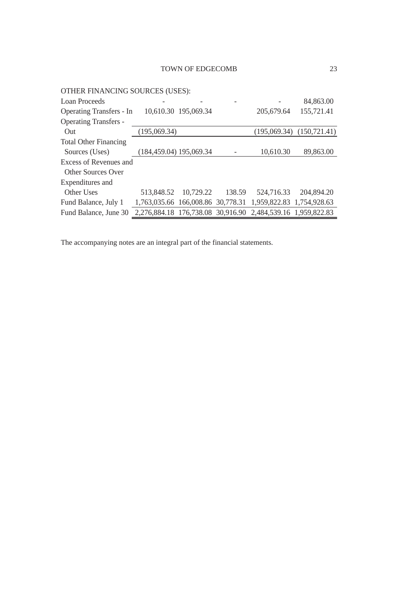| OTHER FINANCING SOURCES (USES): |                         |                      |        |                                                             |                               |
|---------------------------------|-------------------------|----------------------|--------|-------------------------------------------------------------|-------------------------------|
| Loan Proceeds                   |                         |                      |        |                                                             | 84,863.00                     |
| <b>Operating Transfers - In</b> |                         | 10.610.30 195.069.34 |        | 205,679.64                                                  | 155,721.41                    |
| <b>Operating Transfers -</b>    |                         |                      |        |                                                             |                               |
| Out                             | (195,069.34)            |                      |        |                                                             | $(195,069.34)$ $(150,721.41)$ |
| <b>Total Other Financing</b>    |                         |                      |        |                                                             |                               |
| Sources (Uses)                  | (184,459.04) 195,069.34 |                      |        | 10,610.30                                                   | 89,863.00                     |
| Excess of Revenues and          |                         |                      |        |                                                             |                               |
| Other Sources Over              |                         |                      |        |                                                             |                               |
| Expenditures and                |                         |                      |        |                                                             |                               |
| Other Uses                      | 513.848.52              | 10.729.22            | 138.59 | 524,716.33                                                  | 204,894.20                    |
| Fund Balance, July 1            |                         |                      |        | 1,763,035.66 166,008.86 30,778.31 1,959,822.83 1,754,928.63 |                               |
| Fund Balance, June 30           |                         |                      |        | 2.276.884.18 176.738.08 30.916.90 2.484.539.16 1.959.822.83 |                               |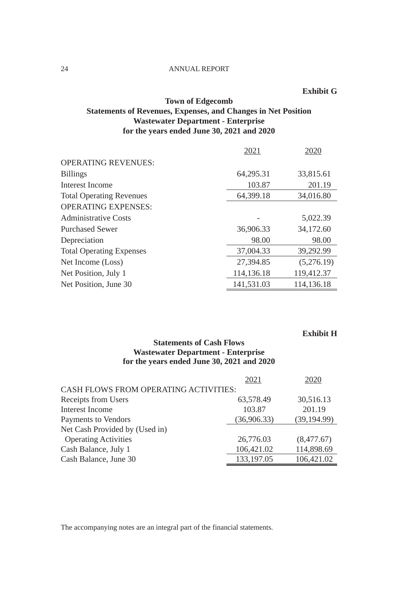#### **Exhibit G**

#### **Town of Edgecomb Statements of Revenues, Expenses, and Changes in Net Position Wastewater Department - Enterprise for the years ended June 30, 2021 and 2020**

|                                 | 2021       | 2020       |
|---------------------------------|------------|------------|
| <b>OPERATING REVENUES:</b>      |            |            |
| <b>Billings</b>                 | 64,295.31  | 33,815.61  |
| Interest Income                 | 103.87     | 201.19     |
| <b>Total Operating Revenues</b> | 64,399.18  | 34,016.80  |
| <b>OPERATING EXPENSES:</b>      |            |            |
| <b>Administrative Costs</b>     |            | 5,022.39   |
| <b>Purchased Sewer</b>          | 36,906.33  | 34,172.60  |
| Depreciation                    | 98.00      | 98.00      |
| <b>Total Operating Expenses</b> | 37,004.33  | 39,292.99  |
| Net Income (Loss)               | 27,394.85  | (5,276.19) |
| Net Position, July 1            | 114,136.18 | 119,412.37 |
| Net Position, June 30           | 141,531.03 | 114,136.18 |

#### **Exhibit H**

#### **Statements of Cash Flows Wastewater Department - Enterprise for the years ended June 30, 2021 and 2020**

|                                              | 2021        | 2020         |
|----------------------------------------------|-------------|--------------|
| <b>CASH FLOWS FROM OPERATING ACTIVITIES:</b> |             |              |
| Receipts from Users                          | 63,578.49   | 30,516.13    |
| Interest Income                              | 103.87      | 201.19       |
| Payments to Vendors                          | (36,906.33) | (39, 194.99) |
| Net Cash Provided by (Used in)               |             |              |
| <b>Operating Activities</b>                  | 26,776.03   | (8,477.67)   |
| Cash Balance, July 1                         | 106,421.02  | 114,898.69   |
| Cash Balance, June 30                        | 133, 197.05 | 106,421.02   |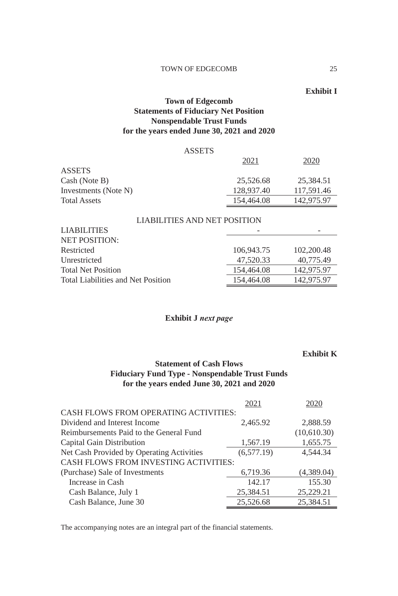#### **Exhibit I**

#### **Town of Edgecomb Statements of Fiduciary Net Position Nonspendable Trust Funds for the years ended June 30, 2021 and 2020**

#### ASSETS

|                      | 2021       | 2020       |
|----------------------|------------|------------|
| <b>ASSETS</b>        |            |            |
| Cash (Note B)        | 25,526.68  | 25.384.51  |
| Investments (Note N) | 128,937.40 | 117.591.46 |
| <b>Total Assets</b>  | 154,464.08 | 142,975.97 |

#### LIABILITIES AND NET POSITION

| <b>LIABILITIES</b>                 |            |            |
|------------------------------------|------------|------------|
| <b>NET POSITION:</b>               |            |            |
| Restricted                         | 106,943.75 | 102,200.48 |
| Unrestricted                       | 47.520.33  | 40.775.49  |
| <b>Total Net Position</b>          | 154,464.08 | 142,975.97 |
| Total Liabilities and Net Position | 154,464.08 | 142,975.97 |
|                                    |            |            |

#### **Exhibit J** *next page*

#### **Exhibit K**

#### **Statement of Cash Flows Fiduciary Fund Type - Nonspendable Trust Funds for the years ended June 30, 2021 and 2020**

|                                              | 2021        |             |
|----------------------------------------------|-------------|-------------|
| <b>CASH FLOWS FROM OPERATING ACTIVITIES:</b> |             |             |
| Dividend and Interest Income                 | 2,465.92    | 2,888.59    |
| Reimbursements Paid to the General Fund      |             | (10,610.30) |
| Capital Gain Distribution                    | 1,567.19    | 1,655.75    |
| Net Cash Provided by Operating Activities    | (6, 577.19) | 4,544.34    |
| <b>CASH FLOWS FROM INVESTING ACTIVITIES:</b> |             |             |
| (Purchase) Sale of Investments               | 6,719.36    | (4,389.04)  |
| Increase in Cash                             | 142.17      | 155.30      |
| Cash Balance, July 1                         | 25,384.51   | 25,229.21   |
| Cash Balance, June 30                        | 25,526.68   | 25.384.51   |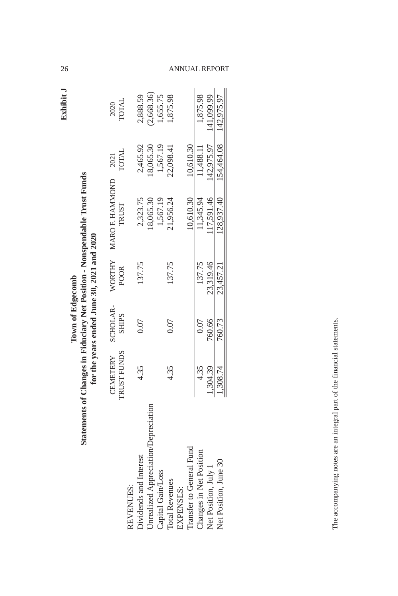|                                      |                                         | for the years ended June 30, 2021 and 2020 |             | Statements of Changes in Fiduciary Net Position - Nonspendable Trust Funds |                      |                       |
|--------------------------------------|-----------------------------------------|--------------------------------------------|-------------|----------------------------------------------------------------------------|----------------------|-----------------------|
|                                      | CEMETERY SCHOLAR-<br><b>TRUST FUNDS</b> | <b>SHIPS</b>                               | <b>POOR</b> | WORTHY MARO F. HAMMOND<br>TRUST                                            | <b>LOTAL</b><br>2021 | TOTAL<br>2020         |
| REVENUES:                            |                                         |                                            |             |                                                                            |                      |                       |
| Dividends and Interest               | 4.35                                    | 0.07                                       | 137.75      | 2,323.75                                                                   | 2,465.92             | 2,888.59              |
| Unrealized Appreciation/Depreciation |                                         |                                            |             | 18,065.30                                                                  | 8,065.30             | (2,668.36)            |
| Capital Gain/Loss                    |                                         |                                            |             | 1.567.19                                                                   | 1,567.19             | 1.655.75              |
| <b>Total Revenues</b>                | 4.35                                    | 0.07                                       | 137.75      | 21,956.24                                                                  | 22,098.41            | 1,875.98              |
| EXPENSES:                            |                                         |                                            |             |                                                                            |                      |                       |
| Transfer to General Fund             |                                         |                                            |             | 10.610.30                                                                  | 10,610.30            |                       |
| Changes in Net Position              | 4.35                                    |                                            | 137.75      | 11,345.94                                                                  | 11,488.11            | 1.875.98              |
| Net Position, July 1                 | 1,304.39                                | 760.66                                     | 23,319.46   | 117.591.46                                                                 |                      | 142,975.97 141,099.99 |
| Net Position, June 30                | ,308.74                                 | 760.73                                     | 23,457.21   | 128.937.40                                                                 |                      | 154,464.08 142,975.97 |

The accompanying notes are an integral part of the financial statements. The accompanying notes are an integral part of the financial statements.

**Exhibit J**

Exhibit J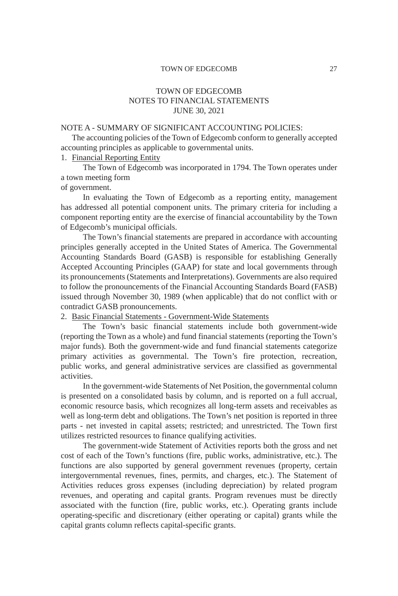#### TOWN OF EDGECOMB NOTES TO FINANCIAL STATEMENTS JUNE 30, 2021

#### NOTE A - SUMMARY OF SIGNIFICANT ACCOUNTING POLICIES:

 The accounting policies of the Town of Edgecomb conform to generally accepted accounting principles as applicable to governmental units.

#### 1. Financial Reporting Entity

 The Town of Edgecomb was incorporated in 1794. The Town operates under a town meeting form

#### of government.

 In evaluating the Town of Edgecomb as a reporting entity, management has addressed all potential component units. The primary criteria for including a component reporting entity are the exercise of financial accountability by the Town of Edgecomb's municipal officials.

 The Town's financial statements are prepared in accordance with accounting principles generally accepted in the United States of America. The Governmental Accounting Standards Board (GASB) is responsible for establishing Generally Accepted Accounting Principles (GAAP) for state and local governments through its pronouncements (Statements and Interpretations). Governments are also required to follow the pronouncements of the Financial Accounting Standards Board (FASB) issued through November 30, 1989 (when applicable) that do not conflict with or contradict GASB pronouncements.

#### 2. Basic Financial Statements - Government-Wide Statements

 The Town's basic financial statements include both government-wide (reporting the Town as a whole) and fund financial statements (reporting the Town's major funds). Both the government-wide and fund financial statements categorize primary activities as governmental. The Town's fire protection, recreation, public works, and general administrative services are classified as governmental activities.

 In the government-wide Statements of Net Position, the governmental column is presented on a consolidated basis by column, and is reported on a full accrual, economic resource basis, which recognizes all long-term assets and receivables as well as long-term debt and obligations. The Town's net position is reported in three parts - net invested in capital assets; restricted; and unrestricted. The Town first utilizes restricted resources to finance qualifying activities.

 The government-wide Statement of Activities reports both the gross and net cost of each of the Town's functions (fire, public works, administrative, etc.). The functions are also supported by general government revenues (property, certain intergovernmental revenues, fines, permits, and charges, etc.). The Statement of Activities reduces gross expenses (including depreciation) by related program revenues, and operating and capital grants. Program revenues must be directly associated with the function (fire, public works, etc.). Operating grants include operating-specific and discretionary (either operating or capital) grants while the capital grants column reflects capital-specific grants.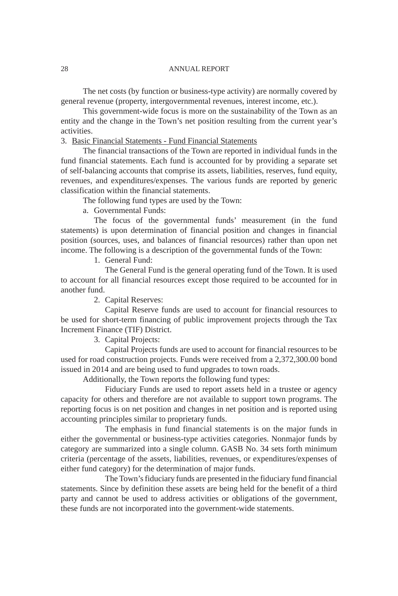#### 28 ANNIJAL REPORT

 The net costs (by function or business-type activity) are normally covered by general revenue (property, intergovernmental revenues, interest income, etc.).

 This government-wide focus is more on the sustainability of the Town as an entity and the change in the Town's net position resulting from the current year's activities.

3. Basic Financial Statements - Fund Financial Statements

 The financial transactions of the Town are reported in individual funds in the fund financial statements. Each fund is accounted for by providing a separate set of self-balancing accounts that comprise its assets, liabilities, reserves, fund equity, revenues, and expenditures/expenses. The various funds are reported by generic classification within the financial statements.

 The following fund types are used by the Town:

a. Governmental Funds:

 The focus of the governmental funds' measurement (in the fund statements) is upon determination of financial position and changes in financial position (sources, uses, and balances of financial resources) rather than upon net income. The following is a description of the governmental funds of the Town:

1. General Fund:

 The General Fund is the general operating fund of the Town. It is used to account for all financial resources except those required to be accounted for in another fund.

 2. Capital Reserves:

 Capital Reserve funds are used to account for financial resources to be used for short-term financing of public improvement projects through the Tax Increment Finance (TIF) District.

 3. Capital Projects:

 Capital Projects funds are used to account for financial resources to be used for road construction projects. Funds were received from a 2,372,300.00 bond issued in 2014 and are being used to fund upgrades to town roads.

 Additionally, the Town reports the following fund types:

 Fiduciary Funds are used to report assets held in a trustee or agency capacity for others and therefore are not available to support town programs. The reporting focus is on net position and changes in net position and is reported using accounting principles similar to proprietary funds.

 The emphasis in fund financial statements is on the major funds in either the governmental or business-type activities categories. Nonmajor funds by category are summarized into a single column. GASB No. 34 sets forth minimum criteria (percentage of the assets, liabilities, revenues, or expenditures/expenses of either fund category) for the determination of major funds.

The Town's fiduciary funds are presented in the fiduciary fund financial statements. Since by definition these assets are being held for the benefit of a third party and cannot be used to address activities or obligations of the government, these funds are not incorporated into the government-wide statements.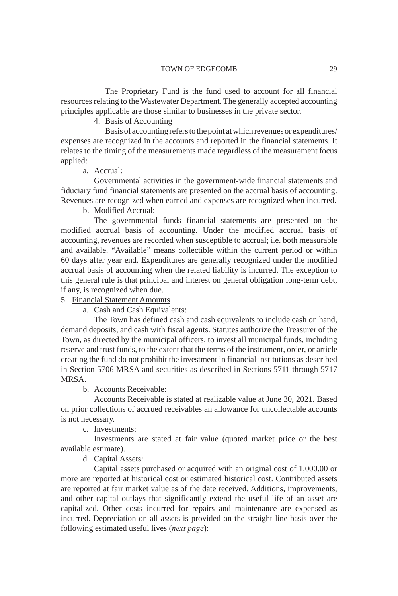The Proprietary Fund is the fund used to account for all financial resources relating to the Wastewater Department. The generally accepted accounting principles applicable are those similar to businesses in the private sector.

 4. Basis of Accounting

Basis of accounting refers to the point at which revenues or expenditures/ expenses are recognized in the accounts and reported in the financial statements. It relates to the timing of the measurements made regardless of the measurement focus applied:

 a. Accrual:

 Governmental activities in the government-wide financial statements and fiduciary fund financial statements are presented on the accrual basis of accounting. Revenues are recognized when earned and expenses are recognized when incurred.

 b. Modified Accrual:

 The governmental funds financial statements are presented on the modified accrual basis of accounting. Under the modified accrual basis of accounting, revenues are recorded when susceptible to accrual; i.e. both measurable and available. "Available" means collectible within the current period or within 60 days after year end. Expenditures are generally recognized under the modified accrual basis of accounting when the related liability is incurred. The exception to this general rule is that principal and interest on general obligation long-term debt, if any, is recognized when due.

5. Financial Statement Amounts

 a. Cash and Cash Equivalents:

 The Town has defined cash and cash equivalents to include cash on hand, demand deposits, and cash with fiscal agents. Statutes authorize the Treasurer of the Town, as directed by the municipal officers, to invest all municipal funds, including reserve and trust funds, to the extent that the terms of the instrument, order, or article creating the fund do not prohibit the investment in financial institutions as described in Section 5706 MRSA and securities as described in Sections 5711 through 5717 MRSA.

 b. Accounts Receivable:

 Accounts Receivable is stated at realizable value at June 30, 2021. Based on prior collections of accrued receivables an allowance for uncollectable accounts is not necessary.

 c. Investments:

 Investments are stated at fair value (quoted market price or the best available estimate).

d. Capital Assets:

 Capital assets purchased or acquired with an original cost of 1,000.00 or more are reported at historical cost or estimated historical cost. Contributed assets are reported at fair market value as of the date received. Additions, improvements, and other capital outlays that significantly extend the useful life of an asset are capitalized. Other costs incurred for repairs and maintenance are expensed as incurred. Depreciation on all assets is provided on the straight-line basis over the following estimated useful lives (*next page*):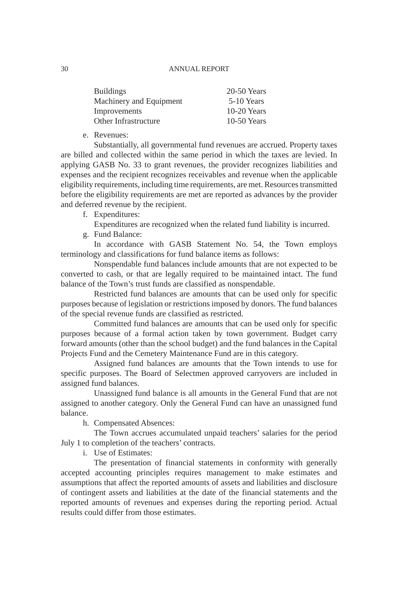| <b>Buildings</b>        | $20-50$ Years |
|-------------------------|---------------|
| Machinery and Equipment | 5-10 Years    |
| Improvements            | $10-20$ Years |
| Other Infrastructure    | $10-50$ Years |
|                         |               |

 e. Revenues:

 Substantially, all governmental fund revenues are accrued. Property taxes are billed and collected within the same period in which the taxes are levied. In applying GASB No. 33 to grant revenues, the provider recognizes liabilities and expenses and the recipient recognizes receivables and revenue when the applicable eligibility requirements, including time requirements, are met. Resourcestransmitted before the eligibility requirements are met are reported as advances by the provider and deferred revenue by the recipient.

 f. Expenditures:

 Expenditures are recognized when the related fund liability is incurred.

g. Fund Balance:

 In accordance with GASB Statement No. 54, the Town employs terminology and classifications for fund balance items as follows:

 Nonspendable fund balances include amounts that are not expected to be converted to cash, or that are legally required to be maintained intact. The fund balance of the Town's trust funds are classified as nonspendable.

 Restricted fund balances are amounts that can be used only for specific purposes because of legislation or restrictions imposed by donors. The fund balances of the special revenue funds are classified as restricted.

 Committed fund balances are amounts that can be used only for specific purposes because of a formal action taken by town government. Budget carry forward amounts (other than the school budget) and the fund balances in the Capital Projects Fund and the Cemetery Maintenance Fund are in this category.

 Assigned fund balances are amounts that the Town intends to use for specific purposes. The Board of Selectmen approved carryovers are included in assigned fund balances.

 Unassigned fund balance is all amounts in the General Fund that are not assigned to another category. Only the General Fund can have an unassigned fund balance.

h. Compensated Absences:

 The Town accrues accumulated unpaid teachers' salaries for the period July 1 to completion of the teachers' contracts.

 i. Use of Estimates:

 The presentation of financial statements in conformity with generally accepted accounting principles requires management to make estimates and assumptions that affect the reported amounts of assets and liabilities and disclosure of contingent assets and liabilities at the date of the financial statements and the reported amounts of revenues and expenses during the reporting period. Actual results could differ from those estimates.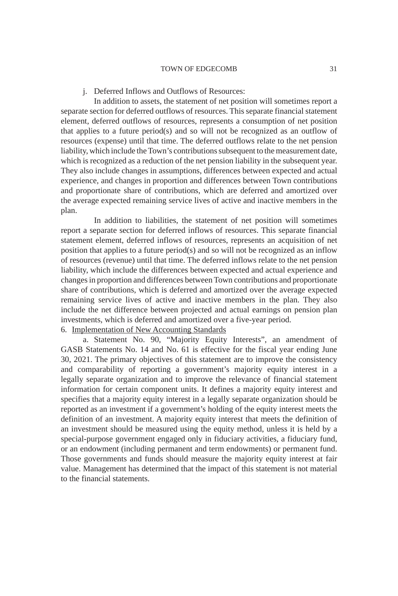#### j. Deferred Inflows and Outflows of Resources:

 In addition to assets, the statement of net position will sometimes report a separate section for deferred outflows of resources. This separate financial statement element, deferred outflows of resources, represents a consumption of net position that applies to a future period(s) and so will not be recognized as an outflow of resources (expense) until that time. The deferred outflows relate to the net pension liability, which include the Town's contributions subsequent to the measurement date, which is recognized as a reduction of the net pension liability in the subsequent year. They also include changes in assumptions, differences between expected and actual experience, and changes in proportion and differences between Town contributions and proportionate share of contributions, which are deferred and amortized over the average expected remaining service lives of active and inactive members in the plan.

 In addition to liabilities, the statement of net position will sometimes report a separate section for deferred inflows of resources. This separate financial statement element, deferred inflows of resources, represents an acquisition of net position that applies to a future period(s) and so will not be recognized as an inflow of resources (revenue) until that time. The deferred inflows relate to the net pension liability, which include the differences between expected and actual experience and changesin proportion and differences between Town contributions and proportionate share of contributions, which is deferred and amortized over the average expected remaining service lives of active and inactive members in the plan. They also include the net difference between projected and actual earnings on pension plan investments, which is deferred and amortized over a five-year period.

#### 6. Implementation of New Accounting Standards

 a. Statement No. 90, "Majority Equity Interests", an amendment of GASB Statements No. 14 and No. 61 is effective for the fiscal year ending June 30, 2021. The primary objectives of this statement are to improve the consistency and comparability of reporting a government's majority equity interest in a legally separate organization and to improve the relevance of financial statement information for certain component units. It defines a majority equity interest and specifies that a majority equity interest in a legally separate organization should be reported as an investment if a government's holding of the equity interest meets the definition of an investment. A majority equity interest that meets the definition of an investment should be measured using the equity method, unless it is held by a special-purpose government engaged only in fiduciary activities, a fiduciary fund, or an endowment (including permanent and term endowments) or permanent fund. Those governments and funds should measure the majority equity interest at fair value. Management has determined that the impact of this statement is not material to the financial statements.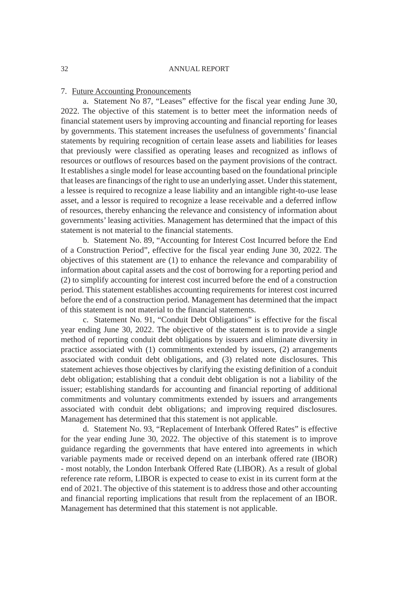#### 7. Future Accounting Pronouncements

 a. Statement No 87, "Leases" effective for the fiscal year ending June 30, 2022. The objective of this statement is to better meet the information needs of financial statement users by improving accounting and financial reporting for leases by governments. This statement increases the usefulness of governments' financial statements by requiring recognition of certain lease assets and liabilities for leases that previously were classified as operating leases and recognized as inflows of resources or outflows of resources based on the payment provisions of the contract. It establishes a single model for lease accounting based on the foundational principle that leases are financings of the right to use an underlying asset. Under this statement, a lessee is required to recognize a lease liability and an intangible right-to-use lease asset, and a lessor is required to recognize a lease receivable and a deferred inflow of resources, thereby enhancing the relevance and consistency of information about governments' leasing activities. Management has determined that the impact of this statement is not material to the financial statements.

 b. Statement No. 89, "Accounting for Interest Cost Incurred before the End of a Construction Period", effective for the fiscal year ending June 30, 2022. The objectives of this statement are (1) to enhance the relevance and comparability of information about capital assets and the cost of borrowing for a reporting period and (2) to simplify accounting for interest cost incurred before the end of a construction period. This statement establishes accounting requirements for interest cost incurred before the end of a construction period. Management has determined that the impact of this statement is not material to the financial statements.

 c. Statement No. 91, "Conduit Debt Obligations" is effective for the fiscal year ending June 30, 2022. The objective of the statement is to provide a single method of reporting conduit debt obligations by issuers and eliminate diversity in practice associated with (1) commitments extended by issuers, (2) arrangements associated with conduit debt obligations, and (3) related note disclosures. This statement achieves those objectives by clarifying the existing definition of a conduit debt obligation; establishing that a conduit debt obligation is not a liability of the issuer; establishing standards for accounting and financial reporting of additional commitments and voluntary commitments extended by issuers and arrangements associated with conduit debt obligations; and improving required disclosures. Management has determined that this statement is not applicable.

 d. Statement No. 93, "Replacement of Interbank Offered Rates" is effective for the year ending June 30, 2022. The objective of this statement is to improve guidance regarding the governments that have entered into agreements in which variable payments made or received depend on an interbank offered rate (IBOR) - most notably, the London Interbank Offered Rate (LIBOR). As a result of global reference rate reform, LIBOR is expected to cease to exist in its current form at the end of 2021. The objective of this statement is to address those and other accounting and financial reporting implications that result from the replacement of an IBOR. Management has determined that this statement is not applicable.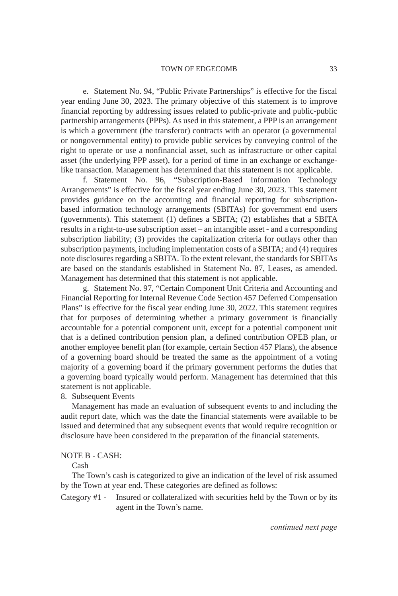e. Statement No. 94, "Public Private Partnerships" is effective for the fiscal year ending June 30, 2023. The primary objective of this statement is to improve financial reporting by addressing issues related to public-private and public-public partnership arrangements (PPPs). As used in this statement, a PPP is an arrangement is which a government (the transferor) contracts with an operator (a governmental or nongovernmental entity) to provide public services by conveying control of the right to operate or use a nonfinancial asset, such as infrastructure or other capital asset (the underlying PPP asset), for a period of time in an exchange or exchangelike transaction. Management has determined that this statement is not applicable.

f. Statement No. 96, "Subscription-Based Information Technology Arrangements" is effective for the fiscal year ending June 30, 2023. This statement provides guidance on the accounting and financial reporting for subscriptionbased information technology arrangements (SBITAs) for government end users (governments). This statement (1) defines a SBITA; (2) establishes that a SBITA results in a right-to-use subscription asset – an intangible asset - and a corresponding subscription liability; (3) provides the capitalization criteria for outlays other than subscription payments, including implementation costs of a SBITA; and (4) requires note disclosures regarding a SBITA. To the extent relevant, the standards for SBITAs are based on the standards established in Statement No. 87, Leases, as amended. Management has determined that this statement is not applicable.

 g. Statement No. 97, "Certain Component Unit Criteria and Accounting and Financial Reporting for Internal Revenue Code Section 457 Deferred Compensation Plans" is effective for the fiscal year ending June 30, 2022. This statement requires that for purposes of determining whether a primary government is financially accountable for a potential component unit, except for a potential component unit that is a defined contribution pension plan, a defined contribution OPEB plan, or another employee benefit plan (for example, certain Section 457 Plans), the absence of a governing board should be treated the same as the appointment of a voting majority of a governing board if the primary government performs the duties that a governing board typically would perform. Management has determined that this statement is not applicable.

#### 8. Subsequent Events

 Management has made an evaluation of subsequent events to and including the audit report date, which was the date the financial statements were available to be issued and determined that any subsequent events that would require recognition or disclosure have been considered in the preparation of the financial statements.

#### NOTE B - CASH:

 Cash

 The Town's cash is categorized to give an indication of the level of risk assumed by the Town at year end. These categories are defined as follows:

Category  $#1$  - Insured or collateralized with securities held by the Town or by its agent in the Town's name.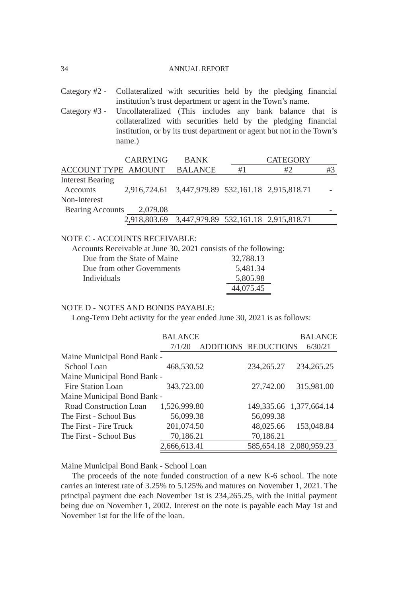- Category #2 Collateralized with securities held by the pledging financial institution's trust department or agent in the Town's name.
- Category #3 Uncollateralized (This includes any bank balance that is collateralized with securities held by the pledging financial institution, or by its trust department or agent but not in the Town's name.)

|                         | <b>CARRYING</b> | <b>BANK</b>                                       |    | <b>CATEGORY</b> |    |
|-------------------------|-----------------|---------------------------------------------------|----|-----------------|----|
| ACCOUNT TYPE AMOUNT     |                 | BALANCE                                           | #1 | #2.             | #3 |
| <b>Interest Bearing</b> |                 |                                                   |    |                 |    |
| <b>Accounts</b>         |                 | 2,916,724.61 3,447,979.89 532,161.18 2,915,818.71 |    |                 |    |
| Non-Interest            |                 |                                                   |    |                 |    |
| Bearing Accounts        | 2,079.08        |                                                   |    |                 |    |
|                         |                 | 2,918,803.69 3,447,979.89 532,161.18 2,915,818.71 |    |                 |    |

#### NOTE C - ACCOUNTS RECEIVABLE:

 Accounts Receivable at June 30, 2021 consists of the following:

| Due from the State of Maine | 32,788.13 |
|-----------------------------|-----------|
| Due from other Governments  | 5.481.34  |
| Individuals                 | 5.805.98  |
|                             | 44,075.45 |

#### NOTE D - NOTES AND BONDS PAYABLE:

 Long-Term Debt activity for the year ended June 30, 2021 is as follows:

|                             | <b>BALANCE</b> |                      | <b>BALANCE</b> |                            |  |  |
|-----------------------------|----------------|----------------------|----------------|----------------------------|--|--|
|                             | 7/1/20         | ADDITIONS REDUCTIONS |                | 6/30/21                    |  |  |
| Maine Municipal Bond Bank - |                |                      |                |                            |  |  |
| School Loan                 | 468,530.52     |                      | 234, 265. 27   | 234, 265. 25               |  |  |
| Maine Municipal Bond Bank - |                |                      |                |                            |  |  |
| Fire Station Loan           | 343,723.00     |                      | 27,742.00      | 315,981.00                 |  |  |
| Maine Municipal Bond Bank - |                |                      |                |                            |  |  |
| Road Construction Loan      | 1.526.999.80   |                      |                | 149, 335.66 1, 377, 664.14 |  |  |
| The First - School Bus      | 56,099.38      |                      | 56,099.38      |                            |  |  |
| The First - Fire Truck      | 201,074.50     |                      | 48,025.66      | 153,048.84                 |  |  |
| The First - School Bus      | 70,186.21      |                      | 70,186.21      |                            |  |  |
|                             | 2.666.613.41   |                      |                | 585,654.18 2,080,959.23    |  |  |

Maine Municipal Bond Bank - School Loan

 The proceeds of the note funded construction of a new K-6 school. The note carries an interest rate of 3.25% to 5.125% and matures on November 1, 2021. The principal payment due each November 1st is 234,265.25, with the initial payment being due on November 1, 2002. Interest on the note is payable each May 1st and November 1st for the life of the loan.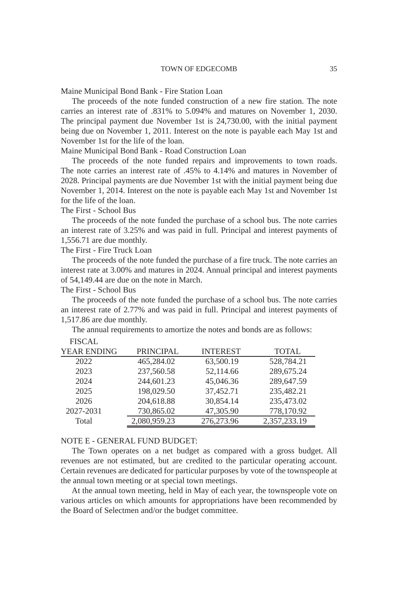Maine Municipal Bond Bank - Fire Station Loan

 The proceeds of the note funded construction of a new fire station. The note carries an interest rate of .831% to 5.094% and matures on November 1, 2030. The principal payment due November 1st is 24,730.00, with the initial payment being due on November 1, 2011. Interest on the note is payable each May 1st and November 1st for the life of the loan.

Maine Municipal Bond Bank - Road Construction Loan

 The proceeds of the note funded repairs and improvements to town roads. The note carries an interest rate of .45% to 4.14% and matures in November of 2028. Principal payments are due November 1st with the initial payment being due November 1, 2014. Interest on the note is payable each May 1st and November 1st for the life of the loan.

#### The First - School Bus

 The proceeds of the note funded the purchase of a school bus. The note carries an interest rate of 3.25% and was paid in full. Principal and interest payments of 1,556.71 are due monthly.

#### The First - Fire Truck Loan

 The proceeds of the note funded the purchase of a fire truck. The note carries an interest rate at 3.00% and matures in 2024. Annual principal and interest payments of 54,149.44 are due on the note in March.

The First - School Bus

 The proceeds of the note funded the purchase of a school bus. The note carries an interest rate of 2.77% and was paid in full. Principal and interest payments of 1,517.86 are due monthly.

 The annual requirements to amortize the notes and bonds are as follows:

#### FISCAL.

| <b>YEAR ENDING</b> | <b>PRINCIPAL</b> | <b>INTEREST</b> | <b>TOTAL</b> |
|--------------------|------------------|-----------------|--------------|
| 2022               | 465,284.02       | 63,500.19       | 528,784.21   |
| 2023               | 237,560.58       | 52,114.66       | 289,675.24   |
| 2024               | 244,601.23       | 45,046.36       | 289,647.59   |
| 2025               | 198,029.50       | 37,452.71       | 235,482.21   |
| 2026               | 204,618.88       | 30,854.14       | 235,473.02   |
| 2027-2031          | 730,865.02       | 47,305.90       | 778,170.92   |
| Total              | 2,080,959.23     | 276,273.96      | 2,357,233.19 |

#### NOTE E - GENERAL FUND BUDGET:

 The Town operates on a net budget as compared with a gross budget. All revenues are not estimated, but are credited to the particular operating account. Certain revenues are dedicated for particular purposes by vote of the townspeople at the annual town meeting or at special town meetings.

 At the annual town meeting, held in May of each year, the townspeople vote on various articles on which amounts for appropriations have been recommended by the Board of Selectmen and/or the budget committee.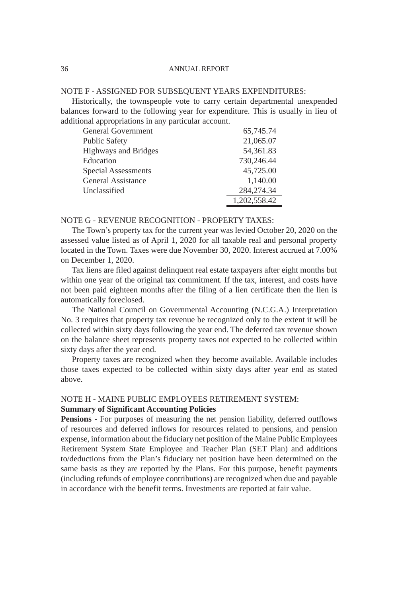### NOTE F - ASSIGNED FOR SUBSEQUENT YEARS EXPENDITURES:

 Historically, the townspeople vote to carry certain departmental unexpended balances forward to the following year for expenditure. This is usually in lieu of additional appropriations in any particular account.

| General Government          | 65,745.74    |
|-----------------------------|--------------|
| <b>Public Safety</b>        | 21,065.07    |
| <b>Highways and Bridges</b> | 54,361.83    |
| Education                   | 730,246.44   |
| Special Assessments         | 45,725.00    |
| General Assistance          | 1,140.00     |
| Unclassified                | 284, 274, 34 |
|                             | 1,202,558.42 |
|                             |              |

### NOTE G - REVENUE RECOGNITION - PROPERTY TAXES:

 The Town's property tax for the current year was levied October 20, 2020 on the assessed value listed as of April 1, 2020 for all taxable real and personal property located in the Town. Taxes were due November 30, 2020. Interest accrued at 7.00% on December 1, 2020.

 Tax liens are filed against delinquent real estate taxpayers after eight months but within one year of the original tax commitment. If the tax, interest, and costs have not been paid eighteen months after the filing of a lien certificate then the lien is automatically foreclosed.

 The National Council on Governmental Accounting (N.C.G.A.) Interpretation No. 3 requires that property tax revenue be recognized only to the extent it will be collected within sixty days following the year end. The deferred tax revenue shown on the balance sheet represents property taxes not expected to be collected within sixty days after the year end.

 Property taxes are recognized when they become available. Available includes those taxes expected to be collected within sixty days after year end as stated above.

### NOTE H - MAINE PUBLIC EMPLOYEES RETIREMENT SYSTEM: **Summary of Significant Accounting Policies**

**Pensions -** For purposes of measuring the net pension liability, deferred outflows of resources and deferred inflows for resources related to pensions, and pension expense, information about the fiduciary net position of the Maine Public Employees Retirement System State Employee and Teacher Plan (SET Plan) and additions to/deductions from the Plan's fiduciary net position have been determined on the same basis as they are reported by the Plans. For this purpose, benefit payments (including refunds of employee contributions) are recognized when due and payable in accordance with the benefit terms. Investments are reported at fair value.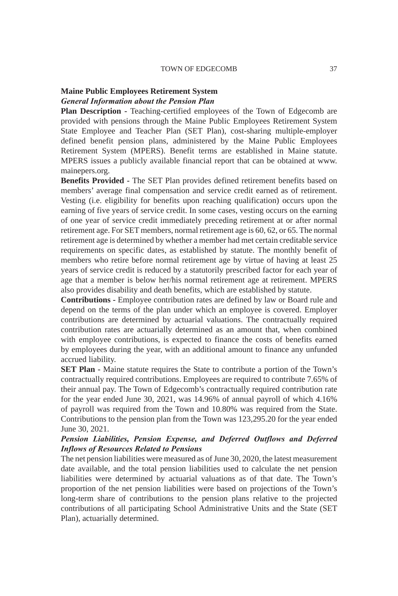#### **Maine Public Employees Retirement System** *General Information about the Pension Plan*

**Plan Description -** Teaching-certified employees of the Town of Edgecomb are provided with pensions through the Maine Public Employees Retirement System State Employee and Teacher Plan (SET Plan), cost-sharing multiple-employer defined benefit pension plans, administered by the Maine Public Employees Retirement System (MPERS). Benefit terms are established in Maine statute. MPERS issues a publicly available financial report that can be obtained at www. mainepers.org.

**Benefits Provided -** The SET Plan provides defined retirement benefits based on members' average final compensation and service credit earned as of retirement. Vesting (i.e. eligibility for benefits upon reaching qualification) occurs upon the earning of five years of service credit. In some cases, vesting occurs on the earning of one year of service credit immediately preceding retirement at or after normal retirement age. For SET members, normal retirement age is 60, 62, or 65. The normal retirement age is determined by whether a member had met certain creditable service requirements on specific dates, as established by statute. The monthly benefit of members who retire before normal retirement age by virtue of having at least 25 years of service credit is reduced by a statutorily prescribed factor for each year of age that a member is below her/his normal retirement age at retirement. MPERS also provides disability and death benefits, which are established by statute.

**Contributions -** Employee contribution rates are defined by law or Board rule and depend on the terms of the plan under which an employee is covered. Employer contributions are determined by actuarial valuations. The contractually required contribution rates are actuarially determined as an amount that, when combined with employee contributions, is expected to finance the costs of benefits earned by employees during the year, with an additional amount to finance any unfunded accrued liability.

**SET Plan -** Maine statute requires the State to contribute a portion of the Town's contractually required contributions. Employees are required to contribute 7.65% of their annual pay. The Town of Edgecomb's contractually required contribution rate for the year ended June 30, 2021, was 14.96% of annual payroll of which 4.16% of payroll was required from the Town and 10.80% was required from the State. Contributions to the pension plan from the Town was 123,295.20 for the year ended June 30, 2021.

### *Pension Liabilities, Pension Expense, and Deferred Outflows and Deferred Inflows of Resources Related to Pensions*

The net pension liabilities were measured as of June 30, 2020, the latest measurement date available, and the total pension liabilities used to calculate the net pension liabilities were determined by actuarial valuations as of that date. The Town's proportion of the net pension liabilities were based on projections of the Town's long-term share of contributions to the pension plans relative to the projected contributions of all participating School Administrative Units and the State (SET Plan), actuarially determined.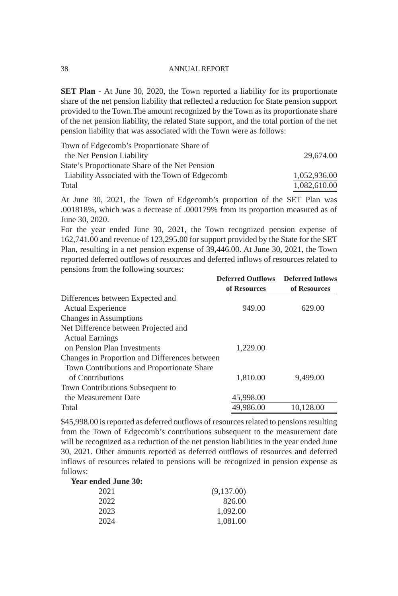**SET Plan -** At June 30, 2020, the Town reported a liability for its proportionate share of the net pension liability that reflected a reduction for State pension support provided to the Town.The amount recognized by the Town as its proportionate share of the net pension liability, the related State support, and the total portion of the net pension liability that was associated with the Town were as follows:

| Town of Edgecomb's Proportionate Share of      |              |
|------------------------------------------------|--------------|
| the Net Pension Liability                      | 29,674.00    |
| State's Proportionate Share of the Net Pension |              |
| Liability Associated with the Town of Edgecomb | 1,052,936.00 |
| Total                                          | 1,082,610.00 |

At June 30, 2021, the Town of Edgecomb's proportion of the SET Plan was .001818%, which was a decrease of .000179% from its proportion measured as of June 30, 2020.

For the year ended June 30, 2021, the Town recognized pension expense of 162,741.00 and revenue of 123,295.00 for support provided by the State for the SET Plan, resulting in a net pension expense of 39,446.00. At June 30, 2021, the Town reported deferred outflows of resources and deferred inflows of resources related to pensions from the following sources:

|                                               | <b>Deferred Outflows</b> | <b>Deferred Inflows</b> |
|-----------------------------------------------|--------------------------|-------------------------|
|                                               | of Resources             | of Resources            |
| Differences between Expected and              |                          |                         |
| Actual Experience                             | 949.00                   | 629.00                  |
| Changes in Assumptions                        |                          |                         |
| Net Difference between Projected and          |                          |                         |
| <b>Actual Earnings</b>                        |                          |                         |
| on Pension Plan Investments                   | 1,229.00                 |                         |
| Changes in Proportion and Differences between |                          |                         |
| Town Contributions and Proportionate Share    |                          |                         |
| of Contributions                              | 1,810.00                 | 9,499.00                |
| Town Contributions Subsequent to              |                          |                         |
| the Measurement Date                          | 45,998.00                |                         |
| Total                                         | 49,986.00                | 10,128.00               |
|                                               |                          |                         |

\$45,998.00 is reported as deferred outflows of resources related to pensions resulting from the Town of Edgecomb's contributions subsequent to the measurement date will be recognized as a reduction of the net pension liabilities in the year ended June 30, 2021. Other amounts reported as deferred outflows of resources and deferred inflows of resources related to pensions will be recognized in pension expense as follows:

| <b>Year ended June 30:</b> |            |  |  |  |
|----------------------------|------------|--|--|--|
| 2021                       | (9,137.00) |  |  |  |
| 2022                       | 826.00     |  |  |  |
| 2023                       | 1,092.00   |  |  |  |
| 2024                       | 1.081.00   |  |  |  |
|                            |            |  |  |  |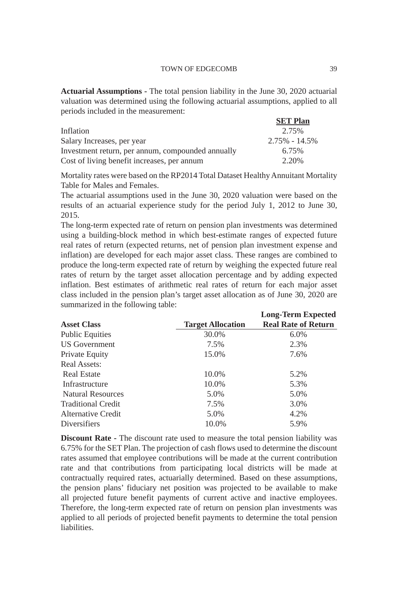**Actuarial Assumptions -** The total pension liability in the June 30, 2020 actuarial valuation was determined using the following actuarial assumptions, applied to all periods included in the measurement:

|                                                   | <b>SET Plan</b>   |
|---------------------------------------------------|-------------------|
| Inflation                                         | 2.75%             |
| Salary Increases, per year                        | $2.75\% - 14.5\%$ |
| Investment return, per annum, compounded annually | 6.75%             |
| Cost of living benefit increases, per annum       | 2.20%             |

Mortality rates were based on the RP2014 Total Dataset HealthyAnnuitant Mortality Table for Males and Females.

The actuarial assumptions used in the June 30, 2020 valuation were based on the results of an actuarial experience study for the period July 1, 2012 to June 30, 2015.

The long-term expected rate of return on pension plan investments was determined using a building-block method in which best-estimate ranges of expected future real rates of return (expected returns, net of pension plan investment expense and inflation) are developed for each major asset class. These ranges are combined to produce the long-term expected rate of return by weighing the expected future real rates of return by the target asset allocation percentage and by adding expected inflation. Best estimates of arithmetic real rates of return for each major asset class included in the pension plan's target asset allocation as of June 30, 2020 are summarized in the following table:

|                           |                          | <b>Long-Term Expected</b>  |
|---------------------------|--------------------------|----------------------------|
| <b>Asset Class</b>        | <b>Target Allocation</b> | <b>Real Rate of Return</b> |
| <b>Public Equities</b>    | 30.0%                    | $6.0\%$                    |
| US Government             | 7.5%                     | 2.3%                       |
| Private Equity            | 15.0%                    | 7.6%                       |
| Real Assets:              |                          |                            |
| <b>Real Estate</b>        | 10.0%                    | 5.2%                       |
| Infrastructure            | 10.0%                    | 5.3%                       |
| <b>Natural Resources</b>  | 5.0%                     | 5.0%                       |
| <b>Traditional Credit</b> | 7.5%                     | 3.0%                       |
| Alternative Credit        | 5.0%                     | 4.2%                       |
| Diversifiers              | 10.0%                    | 5.9%                       |

**Discount Rate -** The discount rate used to measure the total pension liability was 6.75% for the SET Plan. The projection of cash flows used to determine the discount rates assumed that employee contributions will be made at the current contribution rate and that contributions from participating local districts will be made at contractually required rates, actuarially determined. Based on these assumptions, the pension plans' fiduciary net position was projected to be available to make all projected future benefit payments of current active and inactive employees. Therefore, the long-term expected rate of return on pension plan investments was applied to all periods of projected benefit payments to determine the total pension liabilities.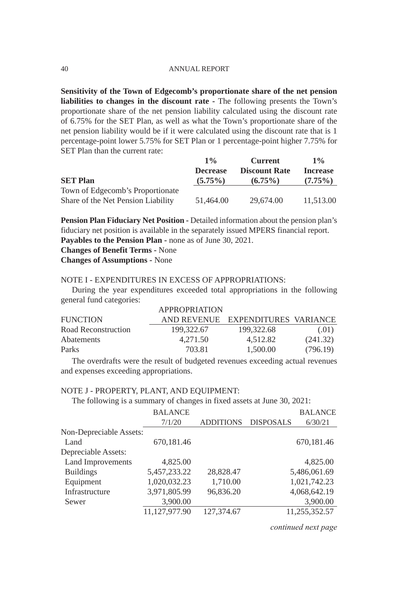**Sensitivity of the Town of Edgecomb's proportionate share of the net pension liabilities to changes in the discount rate -** The following presents the Town's proportionate share of the net pension liability calculated using the discount rate of 6.75% for the SET Plan, as well as what the Town's proportionate share of the net pension liability would be if it were calculated using the discount rate that is 1 percentage-point lower 5.75% for SET Plan or 1 percentage-point higher 7.75% for SET Plan than the current rate:

|                                    | $1\%$           | <b>Current</b>       | $1\%$           |  |
|------------------------------------|-----------------|----------------------|-----------------|--|
|                                    | <b>Decrease</b> | <b>Discount Rate</b> | <b>Increase</b> |  |
| <b>SET Plan</b>                    | $(5.75\%)$      | $(6.75\%)$           | $(7.75\%)$      |  |
| Town of Edgecomb's Proportionate   |                 |                      |                 |  |
| Share of the Net Pension Liability | 51,464.00       | 29,674.00            | 11.513.00       |  |

**Pension Plan Fiduciary Net Position -** Detailed information about the pension plan's fiduciary net position is available in the separately issued MPERS financial report. **Payables to the Pension Plan -** none as of June 30, 2021.

**Changes of Benefit Terms -** None

**Changes of Assumptions -** None

#### NOTE I - EXPENDITURES IN EXCESS OF APPROPRIATIONS:

 During the year expenditures exceeded total appropriations in the following general fund categories:

|                     | <b>APPROPRIATION</b> |                                   |          |
|---------------------|----------------------|-----------------------------------|----------|
| <b>FUNCTION</b>     |                      | AND REVENUE EXPENDITURES VARIANCE |          |
| Road Reconstruction | 199,322.67           | 199, 322, 68                      | (.01)    |
| Abatements          | 4.271.50             | 4.512.82                          | (241.32) |
| Parks               | 703.81               | 1,500.00                          | (796.19) |
|                     |                      |                                   |          |

 The overdrafts were the result of budgeted revenues exceeding actual revenues and expenses exceeding appropriations.

### NOTE J - PROPERTY, PLANT, AND EQUIPMENT:

 The following is a summary of changes in fixed assets at June 30, 2021:

|                         | <b>BALANCE</b> |                  |                  | <b>BALANCE</b> |
|-------------------------|----------------|------------------|------------------|----------------|
|                         | 7/1/20         | <b>ADDITIONS</b> | <b>DISPOSALS</b> | 6/30/21        |
| Non-Depreciable Assets: |                |                  |                  |                |
| Land                    | 670,181.46     |                  |                  | 670,181.46     |
| Depreciable Assets:     |                |                  |                  |                |
| Land Improvements       | 4,825.00       |                  |                  | 4,825.00       |
| <b>Buildings</b>        | 5,457,233.22   | 28,828.47        |                  | 5,486,061.69   |
| Equipment               | 1.020.032.23   | 1,710.00         |                  | 1,021,742.23   |
| Infrastructure          | 3,971,805.99   | 96,836.20        |                  | 4,068,642.19   |
| Sewer                   | 3,900.00       |                  |                  | 3,900.00       |
|                         | 11,127,977.90  | 127,374.67       |                  | 11,255,352.57  |
|                         |                |                  |                  |                |

*continued next page*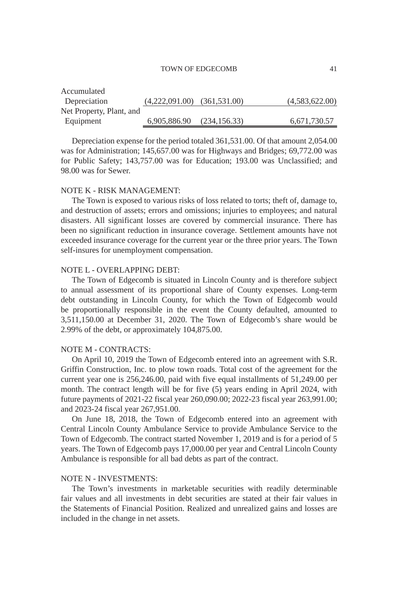| Accumulated              |                                 |                |
|--------------------------|---------------------------------|----------------|
| Depreciation             | $(4,222,091.00)$ $(361,531.00)$ | (4,583,622.00) |
| Net Property, Plant, and |                                 |                |
| Equipment                | 6,905,886.90 (234,156.33)       | 6,671,730.57   |

 Depreciation expense for the period totaled 361,531.00. Of that amount 2,054.00 was for Administration; 145,657.00 was for Highways and Bridges; 69,772.00 was for Public Safety; 143,757.00 was for Education; 193.00 was Unclassified; and 98.00 was for Sewer.

### NOTE K - RISK MANAGEMENT:

 The Town is exposed to various risks of loss related to torts; theft of, damage to, and destruction of assets; errors and omissions; injuries to employees; and natural disasters. All significant losses are covered by commercial insurance. There has been no significant reduction in insurance coverage. Settlement amounts have not exceeded insurance coverage for the current year or the three prior years. The Town self-insures for unemployment compensation.

### NOTE L - OVERLAPPING DEBT:

 The Town of Edgecomb is situated in Lincoln County and is therefore subject to annual assessment of its proportional share of County expenses. Long-term debt outstanding in Lincoln County, for which the Town of Edgecomb would be proportionally responsible in the event the County defaulted, amounted to 3,511,150.00 at December 31, 2020. The Town of Edgecomb's share would be 2.99% of the debt, or approximately 104,875.00.

#### NOTE M - CONTRACTS:

 On April 10, 2019 the Town of Edgecomb entered into an agreement with S.R. Griffin Construction, Inc. to plow town roads. Total cost of the agreement for the current year one is 256,246.00, paid with five equal installments of 51,249.00 per month. The contract length will be for five (5) years ending in April 2024, with future payments of 2021-22 fiscal year 260,090.00; 2022-23 fiscal year 263,991.00; and 2023-24 fiscal year 267,951.00.

 On June 18, 2018, the Town of Edgecomb entered into an agreement with Central Lincoln County Ambulance Service to provide Ambulance Service to the Town of Edgecomb. The contract started November 1, 2019 and is for a period of 5 years. The Town of Edgecomb pays 17,000.00 per year and Central Lincoln County Ambulance is responsible for all bad debts as part of the contract.

#### NOTE N - INVESTMENTS:

 The Town's investments in marketable securities with readily determinable fair values and all investments in debt securities are stated at their fair values in the Statements of Financial Position. Realized and unrealized gains and losses are included in the change in net assets.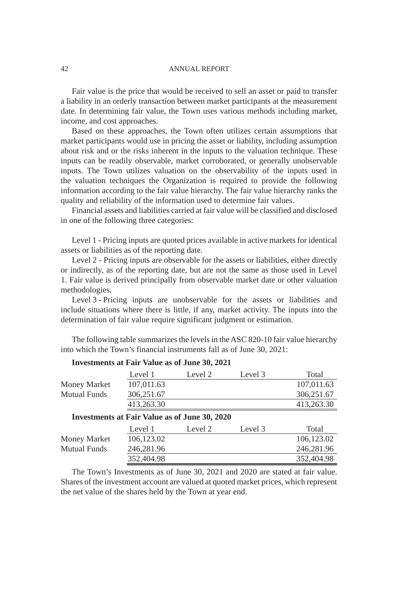Fair value is the price that would be received to sell an asset or paid to transfer a liability in an orderly transaction between market participants at the measurement date. In determining fair value, the Town uses various methods including market, income, and cost approaches.

 Based on these approaches, the Town often utilizes certain assumptions that market participants would use in pricing the asset or liability, including assumption about risk and or the risks inherent in the inputs to the valuation technique. These inputs can be readily observable, market corroborated, or generally unobservable inputs. The Town utilizes valuation on the observability of the inputs used in the valuation techniques the Organization is required to provide the following information according to the fair value hierarchy. The fair value hierarchy ranks the quality and reliability of the information used to determine fair values.

 Financial assets and liabilities carried at fair value will be classified and disclosed in one of the following three categories:

 Level 1 - Pricing inputs are quoted prices available in active markets for identical assets or liabilities as of the reporting date.

 Level 2 - Pricing inputs are observable for the assets or liabilities, either directly or indirectly, as of the reporting date, but are not the same as those used in Level 1. Fair value is derived principally from observable market date or other valuation methodologies.

 Level 3 - Pricing inputs are unobservable for the assets or liabilities and include situations where there is little, if any, market activity. The inputs into the determination of fair value require significant judgment or estimation.

The following table summarizes the levels in the ASC 820-10 fair value hierarchy into which the Town's financial instruments fall as of June 30, 2021:

|                     | Level 1                                              | Level 2 | Level 3 | Total      |
|---------------------|------------------------------------------------------|---------|---------|------------|
| Money Market        | 107,011.63                                           |         |         | 107,011.63 |
| <b>Mutual Funds</b> | 306,251.67                                           |         |         | 306,251.67 |
|                     | 413,263.30                                           |         |         | 413,263.30 |
|                     | <b>Investments at Fair Value as of June 30, 2020</b> |         |         |            |
|                     | Level 1                                              | Level 2 | Level 3 | Total      |
| Money Market        | 106,123.02                                           |         |         | 106,123.02 |
| <b>Mutual Funds</b> | 246,281.96                                           |         |         | 246,281.96 |
|                     | 352,404.98                                           |         |         | 352,404.98 |

#### **Investments at Fair Value as of June 30, 2021**

 The Town's Investments as of June 30, 2021 and 2020 are stated at fair value. Shares of the investment account are valued at quoted market prices, which represent the net value of the shares held by the Town at year end.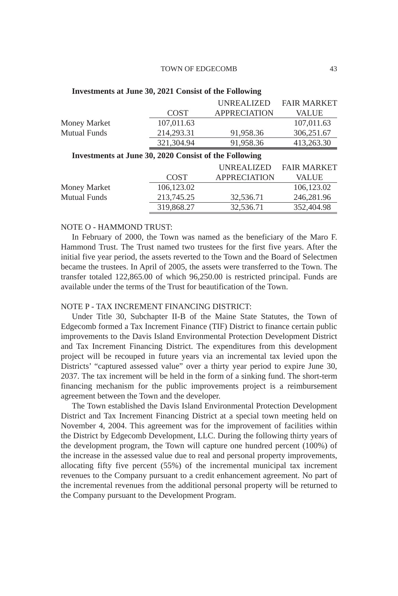|                     |             | UNREALIZED          | <b>FAIR MARKET</b> |
|---------------------|-------------|---------------------|--------------------|
|                     | <b>COST</b> | <b>APPRECIATION</b> | <b>VALUE</b>       |
| Money Market        | 107,011.63  |                     | 107,011.63         |
| <b>Mutual Funds</b> | 214.293.31  | 91,958.36           | 306.251.67         |
|                     | 321,304.94  | 91,958.36           | 413.263.30         |
|                     |             |                     |                    |

Money Market 106,123.02 106,123.02 Mutual Funds 213,745.25 32,536.71 246,281.96

### **Investments at June 30, 2021 Consist of the Following**

 **Investments at June 30, 2020 Consist of the Following**

## NOTE O - HAMMOND TRUST:

 In February of 2000, the Town was named as the beneficiary of the Maro F. Hammond Trust. The Trust named two trustees for the first five years. After the initial five year period, the assets reverted to the Town and the Board of Selectmen became the trustees. In April of 2005, the assets were transferred to the Town. The transfer totaled 122,865.00 of which 96,250.00 is restricted principal. Funds are available under the terms of the Trust for beautification of the Town.

### NOTE P - TAX INCREMENT FINANCING DISTRICT:

 Under Title 30, Subchapter II-B of the Maine State Statutes, the Town of Edgecomb formed a Tax Increment Finance (TIF) District to finance certain public improvements to the Davis Island Environmental Protection Development District and Tax Increment Financing District. The expenditures from this development project will be recouped in future years via an incremental tax levied upon the Districts' "captured assessed value" over a thirty year period to expire June 30, 2037. The tax increment will be held in the form of a sinking fund. The short-term financing mechanism for the public improvements project is a reimbursement agreement between the Town and the developer.

 The Town established the Davis Island Environmental Protection Development District and Tax Increment Financing District at a special town meeting held on November 4, 2004. This agreement was for the improvement of facilities within the District by Edgecomb Development, LLC. During the following thirty years of the development program, the Town will capture one hundred percent (100%) of the increase in the assessed value due to real and personal property improvements, allocating fifty five percent (55%) of the incremental municipal tax increment revenues to the Company pursuant to a credit enhancement agreement. No part of the incremental revenues from the additional personal property will be returned to the Company pursuant to the Development Program.

 UNREALIZED FAIR MARKET

COST APPRECIATION VALUE

 319,868.27 32,536.71 352,404.98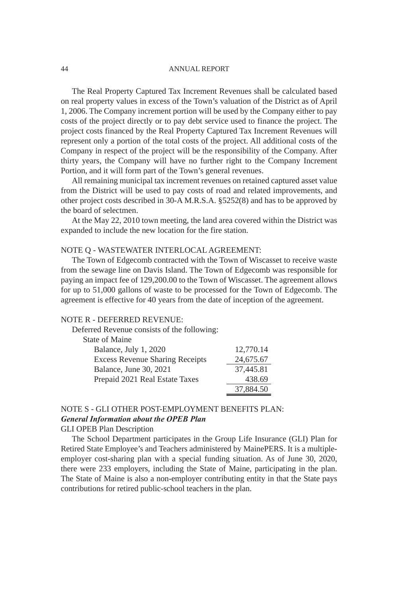The Real Property Captured Tax Increment Revenues shall be calculated based on real property values in excess of the Town's valuation of the District as of April 1, 2006. The Company increment portion will be used by the Company either to pay costs of the project directly or to pay debt service used to finance the project. The project costs financed by the Real Property Captured Tax Increment Revenues will represent only a portion of the total costs of the project. All additional costs of the Company in respect of the project will be the responsibility of the Company. After thirty years, the Company will have no further right to the Company Increment Portion, and it will form part of the Town's general revenues.

 All remaining municipal tax increment revenues on retained captured asset value from the District will be used to pay costs of road and related improvements, and other project costs described in 30-A M.R.S.A. §5252(8) and has to be approved by the board of selectmen.

 At the May 22, 2010 town meeting, the land area covered within the District was expanded to include the new location for the fire station.

### NOTE Q - WASTEWATER INTERLOCAL AGREEMENT:

 The Town of Edgecomb contracted with the Town of Wiscasset to receive waste from the sewage line on Davis Island. The Town of Edgecomb was responsible for paying an impact fee of 129,200.00 to the Town of Wiscasset. The agreement allows for up to 51,000 gallons of waste to be processed for the Town of Edgecomb. The agreement is effective for 40 years from the date of inception of the agreement.

#### NOTE R - DEFERRED REVENUE:

 Deferred Revenue consists of the following: State of Maine Balance, July 1, 2020 12,770.14 Excess Revenue Sharing Receipts 24,675.67 Balance, June 30, 2021 37,445.81 Prepaid 2021 Real Estate Taxes 438.69 37,884.50

### NOTE S - GLI OTHER POST-EMPLOYMENT BENEFITS PLAN: *General Information about the OPEB Plan*

#### GLI OPEB Plan Description

 The School Department participates in the Group Life Insurance (GLI) Plan for Retired State Employee's and Teachers administered by MainePERS. It is a multipleemployer cost-sharing plan with a special funding situation. As of June 30, 2020, there were 233 employers, including the State of Maine, participating in the plan. The State of Maine is also a non-employer contributing entity in that the State pays contributions for retired public-school teachers in the plan.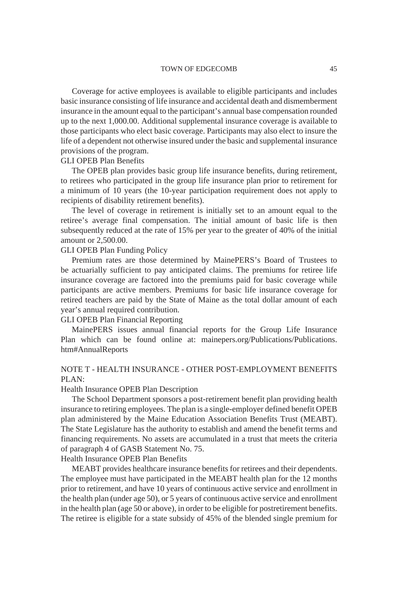Coverage for active employees is available to eligible participants and includes basic insurance consisting of life insurance and accidental death and dismemberment insurance in the amount equal to the participant's annual base compensation rounded up to the next 1,000.00. Additional supplemental insurance coverage is available to those participants who elect basic coverage. Participants may also elect to insure the life of a dependent not otherwise insured under the basic and supplemental insurance provisions of the program.

#### GLI OPEB Plan Benefits

 The OPEB plan provides basic group life insurance benefits, during retirement, to retirees who participated in the group life insurance plan prior to retirement for a minimum of 10 years (the 10-year participation requirement does not apply to recipients of disability retirement benefits).

 The level of coverage in retirement is initially set to an amount equal to the retiree's average final compensation. The initial amount of basic life is then subsequently reduced at the rate of 15% per year to the greater of 40% of the initial amount or 2,500.00.

### GLI OPEB Plan Funding Policy

 Premium rates are those determined by MainePERS's Board of Trustees to be actuarially sufficient to pay anticipated claims. The premiums for retiree life insurance coverage are factored into the premiums paid for basic coverage while participants are active members. Premiums for basic life insurance coverage for retired teachers are paid by the State of Maine as the total dollar amount of each year's annual required contribution.

GLI OPEB Plan Financial Reporting

 MainePERS issues annual financial reports for the Group Life Insurance Plan which can be found online at: mainepers.org/Publications/Publications. htm#AnnualReports

### NOTE T - HEALTH INSURANCE - OTHER POST-EMPLOYMENT BENEFITS PLAN:

#### Health Insurance OPEB Plan Description

 The School Department sponsors a post-retirement benefit plan providing health insurance to retiring employees. The plan is a single-employer defined benefit OPEB plan administered by the Maine Education Association Benefits Trust (MEABT). The State Legislature has the authority to establish and amend the benefit terms and financing requirements. No assets are accumulated in a trust that meets the criteria of paragraph 4 of GASB Statement No. 75.

Health Insurance OPEB Plan Benefits

 MEABT provides healthcare insurance benefits for retirees and their dependents. The employee must have participated in the MEABT health plan for the 12 months prior to retirement, and have 10 years of continuous active service and enrollment in the health plan (under age 50), or 5 years of continuous active service and enrollment in the health plan (age 50 or above), in order to be eligible for postretirement benefits. The retiree is eligible for a state subsidy of 45% of the blended single premium for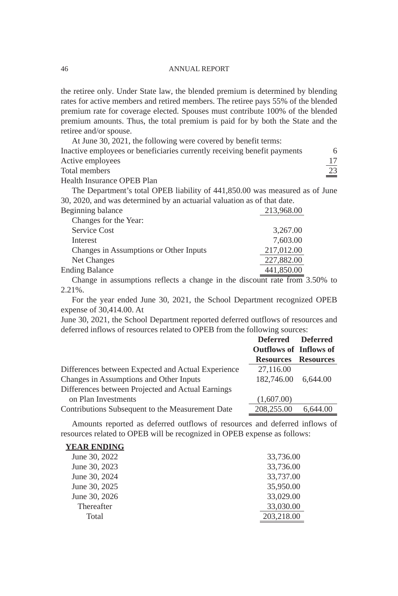the retiree only. Under State law, the blended premium is determined by blending rates for active members and retired members. The retiree pays 55% of the blended premium rate for coverage elected. Spouses must contribute 100% of the blended premium amounts. Thus, the total premium is paid for by both the State and the retiree and/or spouse.

| At June 30, 2021, the following were covered by benefit terms:           |    |
|--------------------------------------------------------------------------|----|
| Inactive employees or beneficiaries currently receiving benefit payments | 6  |
| Active employees                                                         | 17 |
| Total members                                                            | 23 |
| Health Insurance OPER Plan                                               | ≐  |

 The Department's total OPEB liability of 441,850.00 was measured as of June 30, 2020, and was determined by an actuarial valuation as of that date.

| Beginning balance                      | 213,968.00 |
|----------------------------------------|------------|
| Changes for the Year:                  |            |
| Service Cost                           | 3,267.00   |
| Interest                               | 7,603.00   |
| Changes in Assumptions or Other Inputs | 217,012.00 |
| Net Changes                            | 227,882.00 |
| <b>Ending Balance</b>                  | 441,850.00 |
|                                        |            |

 Change in assumptions reflects a change in the discount rate from 3.50% to 2.21%.

 For the year ended June 30, 2021, the School Department recognized OPEB expense of 30,414.00. At

June 30, 2021, the School Department reported deferred outflows of resources and deferred inflows of resources related to OPEB from the following sources:

|                                                    | Deferred Deferred             |          |
|----------------------------------------------------|-------------------------------|----------|
|                                                    | <b>Outflows of Inflows of</b> |          |
|                                                    | <b>Resources Resources</b>    |          |
| Differences between Expected and Actual Experience | 27,116.00                     |          |
| Changes in Assumptions and Other Inputs            | 182,746.00                    | 6.644.00 |
| Differences between Projected and Actual Earnings  |                               |          |
| on Plan Investments                                | (1,607.00)                    |          |
| Contributions Subsequent to the Measurement Date   | 208,255.00                    | 6.644.00 |

 Amounts reported as deferred outflows of resources and deferred inflows of resources related to OPEB will be recognized in OPEB expense as follows:

| <b>YEAR ENDING</b> |            |
|--------------------|------------|
| June 30, 2022      | 33,736.00  |
| June 30, 2023      | 33,736.00  |
| June 30, 2024      | 33,737.00  |
| June 30, 2025      | 35,950.00  |
| June 30, 2026      | 33,029.00  |
| Thereafter         | 33,030.00  |
| Total              | 203.218.00 |
|                    |            |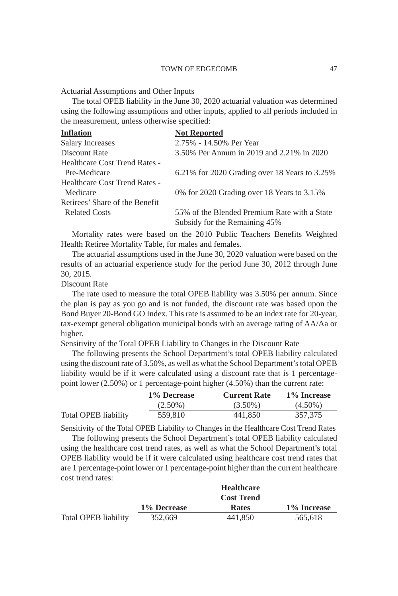Actuarial Assumptions and Other Inputs

 The total OPEB liability in the June 30, 2020 actuarial valuation was determined using the following assumptions and other inputs, applied to all periods included in the measurement, unless otherwise specified:

| <b>Inflation</b>               | <b>Not Reported</b>                              |
|--------------------------------|--------------------------------------------------|
| <b>Salary Increases</b>        | 2.75% - 14.50% Per Year                          |
| Discount Rate                  | 3.50% Per Annum in 2019 and 2.21% in 2020        |
| Healthcare Cost Trend Rates -  |                                                  |
| Pre-Medicare                   | $6.21\%$ for 2020 Grading over 18 Years to 3.25% |
| Healthcare Cost Trend Rates -  |                                                  |
| Medicare                       | 0% for 2020 Grading over 18 Years to 3.15%       |
| Retirees' Share of the Benefit |                                                  |
| <b>Related Costs</b>           | 55% of the Blended Premium Rate with a State     |
|                                | Subsidy for the Remaining 45%                    |

 Mortality rates were based on the 2010 Public Teachers Benefits Weighted Health Retiree Mortality Table, for males and females.

 The actuarial assumptions used in the June 30, 2020 valuation were based on the results of an actuarial experience study for the period June 30, 2012 through June 30, 2015.

Discount Rate

 The rate used to measure the total OPEB liability was 3.50% per annum. Since the plan is pay as you go and is not funded, the discount rate was based upon the Bond Buyer 20-Bond GO Index. This rate is assumed to be an index rate for 20-year, tax-exempt general obligation municipal bonds with an average rating of AA/Aa or higher.

Sensitivity of the Total OPEB Liability to Changes in the Discount Rate

 The following presents the School Department's total OPEB liability calculated using the discount rate of 3.50%, as well as what the School Department'stotal OPEB liability would be if it were calculated using a discount rate that is 1 percentagepoint lower (2.50%) or 1 percentage-point higher (4.50%) than the current rate:

|                      | 1% Decrease | <b>Current Rate</b> | 1% Increase |
|----------------------|-------------|---------------------|-------------|
|                      | $(2.50\%)$  | $(3.50\%)$          | $(4.50\%)$  |
| Total OPEB liability | 559.810     | 441.850             | 357,375     |

Sensitivity of the Total OPEB Liability to Changes in the Healthcare Cost Trend Rates

 The following presents the School Department's total OPEB liability calculated using the healthcare cost trend rates, as well as what the School Department's total OPEB liability would be if it were calculated using healthcare cost trend rates that are 1 percentage-point lower or 1 percentage-point higher than the current healthcare cost trend rates:

|                      |             | <b>Healthcare</b> |             |
|----------------------|-------------|-------------------|-------------|
|                      |             | <b>Cost Trend</b> |             |
|                      | 1% Decrease | <b>Rates</b>      | 1% Increase |
| Total OPEB liability | 352,669     | 441.850           | 565.618     |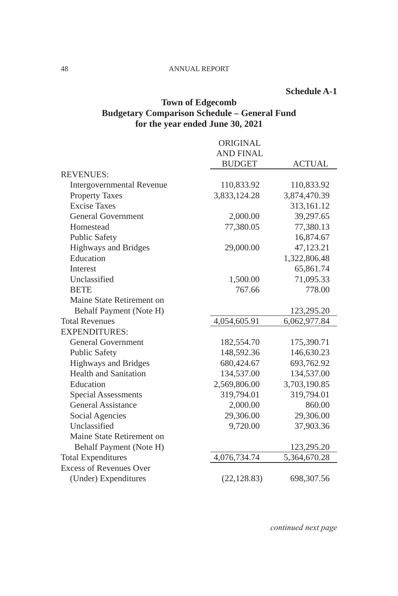### **Schedule A-1**

### **Town of Edgecomb Budgetary Comparison Schedule – General Fund for the year ended June 30, 2021**

|                                  | ORIGINAL         |               |
|----------------------------------|------------------|---------------|
|                                  | <b>AND FINAL</b> |               |
|                                  | <b>BUDGET</b>    | <b>ACTUAL</b> |
| <b>REVENUES:</b>                 |                  |               |
| <b>Intergovernmental Revenue</b> | 110,833.92       | 110,833.92    |
| <b>Property Taxes</b>            | 3,833,124.28     | 3,874,470.39  |
| <b>Excise Taxes</b>              |                  | 313,161.12    |
| <b>General Government</b>        | 2,000.00         | 39,297.65     |
| Homestead                        | 77,380.05        | 77,380.13     |
| <b>Public Safety</b>             |                  | 16,874.67     |
| <b>Highways and Bridges</b>      | 29,000.00        | 47,123.21     |
| Education                        |                  | 1,322,806.48  |
| <b>Interest</b>                  |                  | 65,861.74     |
| Unclassified                     | 1,500.00         | 71,095.33     |
| <b>BETE</b>                      | 767.66           | 778.00        |
| Maine State Retirement on        |                  |               |
| Behalf Payment (Note H)          |                  | 123,295.20    |
| <b>Total Revenues</b>            | 4,054,605.91     | 6,062,977.84  |
| <b>EXPENDITURES:</b>             |                  |               |
| <b>General Government</b>        | 182,554.70       | 175,390.71    |
| <b>Public Safety</b>             | 148,592.36       | 146,630.23    |
| <b>Highways and Bridges</b>      | 680,424.67       | 693,762.92    |
| <b>Health and Sanitation</b>     | 134,537.00       | 134,537.00    |
| Education                        | 2,569,806.00     | 3,703,190.85  |
| <b>Special Assessments</b>       | 319,794.01       | 319,794.01    |
| General Assistance               | 2,000.00         | 860.00        |
| Social Agencies                  | 29,306.00        | 29,306.00     |
| Unclassified                     | 9,720.00         | 37,903.36     |
| Maine State Retirement on        |                  |               |
| Behalf Payment (Note H)          |                  | 123,295.20    |
| <b>Total Expenditures</b>        | 4,076,734.74     | 5,364,670.28  |
| <b>Excess of Revenues Over</b>   |                  |               |
| (Under) Expenditures             | (22, 128.83)     | 698, 307. 56  |

*continued next page*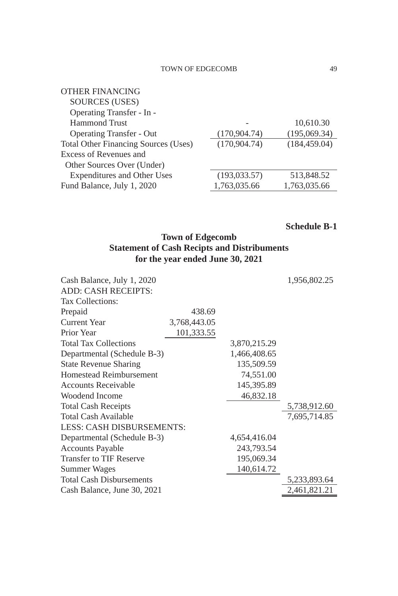### OTHER FINANCING

| SOURCES (USES)                              |                |               |
|---------------------------------------------|----------------|---------------|
| Operating Transfer - In -                   |                |               |
| <b>Hammond Trust</b>                        |                | 10,610.30     |
| <b>Operating Transfer - Out</b>             | (170, 904.74)  | (195,069.34)  |
| <b>Total Other Financing Sources (Uses)</b> | (170, 904, 74) | (184, 459.04) |
| <b>Excess of Revenues and</b>               |                |               |
| Other Sources Over (Under)                  |                |               |
| <b>Expenditures and Other Uses</b>          | (193, 033.57)  | 513,848.52    |
| Fund Balance, July 1, 2020                  | 1,763,035.66   | 1,763,035.66  |
|                                             |                |               |

### **Schedule B-1**

### **Town of Edgecomb Statement of Cash Recipts and Distribuments for the year ended June 30, 2021**

| Cash Balance, July 1, 2020       |              |              | 1,956,802.25 |
|----------------------------------|--------------|--------------|--------------|
| <b>ADD: CASH RECEIPTS:</b>       |              |              |              |
| Tax Collections:                 |              |              |              |
| Prepaid                          | 438.69       |              |              |
| <b>Current Year</b>              | 3,768,443.05 |              |              |
| Prior Year                       | 101,333.55   |              |              |
| <b>Total Tax Collections</b>     |              | 3,870,215.29 |              |
| Departmental (Schedule B-3)      |              | 1,466,408.65 |              |
| <b>State Revenue Sharing</b>     |              | 135,509.59   |              |
| <b>Homestead Reimbursement</b>   |              | 74,551.00    |              |
| <b>Accounts Receivable</b>       |              | 145,395.89   |              |
| Woodend Income                   |              | 46,832.18    |              |
| <b>Total Cash Receipts</b>       |              |              | 5,738,912.60 |
| <b>Total Cash Available</b>      |              |              | 7,695,714.85 |
| <b>LESS: CASH DISBURSEMENTS:</b> |              |              |              |
| Departmental (Schedule B-3)      |              | 4,654,416.04 |              |
| <b>Accounts Payable</b>          |              | 243,793.54   |              |
| <b>Transfer to TIF Reserve</b>   |              | 195,069.34   |              |
| <b>Summer Wages</b>              |              | 140,614.72   |              |
| <b>Total Cash Disbursements</b>  |              |              | 5,233,893.64 |
| Cash Balance, June 30, 2021      |              |              | 2,461,821.21 |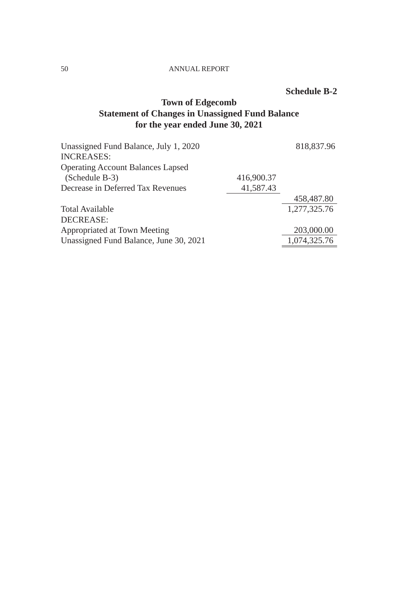**Schedule B-2**

### **Town of Edgecomb Statement of Changes in Unassigned Fund Balance for the year ended June 30, 2021**

| Unassigned Fund Balance, July 1, 2020    |            | 818,837.96   |
|------------------------------------------|------------|--------------|
| <b>INCREASES:</b>                        |            |              |
| <b>Operating Account Balances Lapsed</b> |            |              |
| (Schedule B-3)                           | 416,900.37 |              |
| Decrease in Deferred Tax Revenues        | 41,587.43  |              |
|                                          |            | 458,487.80   |
| <b>Total Available</b>                   |            | 1,277,325.76 |
| <b>DECREASE:</b>                         |            |              |
| Appropriated at Town Meeting             |            | 203,000.00   |
| Unassigned Fund Balance, June 30, 2021   |            | 1.074.325.76 |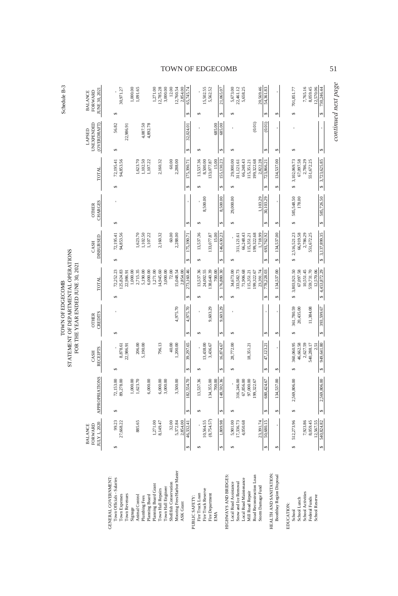|                                 |                                           |                       |                         |                         | STATEMENT OF DEPARTMENTAL OPERATIONS<br>FOR THE YEAR ENDED JUNE 30, 2021 |                          |                                |                  |                                            |                                            |
|---------------------------------|-------------------------------------------|-----------------------|-------------------------|-------------------------|--------------------------------------------------------------------------|--------------------------|--------------------------------|------------------|--------------------------------------------|--------------------------------------------|
|                                 | JULY 1, 2020<br>FORWARD<br><b>BALANCE</b> | <b>APPROPRIATIONS</b> | <b>RECEIPTS</b><br>CASH | CREDITS<br><b>OTHER</b> | <b>TOTAL</b>                                                             | <b>DISBURSED</b><br>CASH | <b>CHARGES</b><br><b>OTHER</b> | <b>TOTAL</b>     | <b>UNEXPENDED</b><br>(OVERDRAFT)<br>LAPSED | JUNE 30, 2021<br><b>BALANCE</b><br>FORWARD |
| GENERAL GOVERNMENT:             |                                           |                       |                         |                         |                                                                          |                          |                                |                  |                                            |                                            |
| Town Officials - Salaries       | 99.23<br>ø                                | 72,153.00<br>S        | ø                       | S                       | 72,252.23<br>ø                                                           | 72,195.41<br>S           | s,                             | 72,195.41<br>ø   | 56.82<br>s,                                | S                                          |
| Town Expenses                   | 27,668.22                                 | 89,278.00             | 8,878.61                |                         | 125,824.83                                                               | 94,853.56                |                                | 94,853.56        |                                            | 30,971.27                                  |
| Town Revenues                   |                                           |                       | 22,986.91               |                         | 22,986.91                                                                |                          |                                |                  | 22,986.91                                  |                                            |
| Signage                         |                                           | 1,000.00              |                         |                         | 1,000.00                                                                 |                          |                                |                  |                                            | 1,000.00                                   |
| Animal Control                  | 885.65                                    | 1,623.70              | 206.00                  |                         | 2.715.35                                                                 | 1,623.70                 |                                | 1.623.70         |                                            | 1,091.65                                   |
| Plumbing Fees                   |                                           |                       | 5,190.00                |                         | 5,190.00                                                                 | 1,102.50                 |                                | 1,102.50         | 4,087.50                                   |                                            |
| Planning Board                  |                                           | 6,000.00              |                         |                         | 6,000.00                                                                 | 1,107.22                 |                                | 1,107.22         | 4,892.78                                   |                                            |
| Planning Board Grant            | 1,271.00                                  |                       |                         |                         | 1,271.00                                                                 |                          |                                |                  |                                            | 1,271.00                                   |
| Town Hall Repairs               | 8,149.47                                  | 6,000.00              | 796.13                  |                         | 14,945.60                                                                | 2,160.32                 |                                | 2,160.32         |                                            | 12,785.28                                  |
| Town Hall Engineer              |                                           | 3,000.00              |                         |                         | 3,000.00                                                                 |                          |                                |                  |                                            | 3,000.00                                   |
| Shellfish Conservation          | 32.00                                     |                       | 40.00                   |                         | 72.00                                                                    | 60.00                    |                                | 60.00            |                                            | 12.00                                      |
| Mooring Fees/Harbor Master      | 5,372.84                                  | 3,500.00              | 1,200.00                | 4,975.70                | 15,048.54                                                                | 2,288.00                 |                                | 2,288.00         |                                            | 12,760.54                                  |
| ASK Grant                       | 2,854.00                                  |                       |                         |                         | 2.854.00                                                                 |                          |                                |                  |                                            | 2,854.00                                   |
| PUBLIC SAFETY:                  | 46,332.41<br>ø                            | 182,554.70<br>ø       | 39,297.65<br>S,         | 4,975.70<br>s           | 273,160.46<br>S,                                                         | 175,390.71<br>s          |                                | 175,390.71<br>S, | 32,024.01<br>s                             | 65,745.74<br>s,                            |
| Fire Truck Loan                 | S                                         | 13,537.36<br>S        | S                       | S                       | 13,537.36<br>S                                                           | 13,537.36<br>S           | S                              | 13,537.36<br>S   | ï<br>S                                     |                                            |
| Fire Truck Reserve              | 10,564.55                                 |                       | 13,438.00               |                         | 24,002.55                                                                |                          | 8,500.00                       | 8,500,00         |                                            | 15,502.55                                  |
| Fire Department                 | (8,754.57)                                | 134,355.00            | 3,436.67                | 9,603.29                | 138,640.39                                                               | 133,077.87               |                                | 133,077.87       |                                            | 5,562.52                                   |
| <b>EMA</b>                      |                                           | 700.00                |                         |                         | 700.00                                                                   | 15.00                    |                                | 15.00            | 685.00                                     |                                            |
|                                 | 1,809.98<br>S                             | 148,592.36<br>S       | 16,874.67<br>S          | 9,603.29<br>S           | 176,880.30<br>S                                                          | 146,630.23               | 8,500.00                       | 155,130.23<br>S  | 685.00                                     | 21,065.07                                  |
| HIGHWAYS AND BRIDGES:           |                                           |                       |                         |                         |                                                                          |                          |                                |                  |                                            |                                            |
| Local Road Assistance           | 5,901.00<br>S,                            | S                     | 28,772.00<br>S          | S                       | 34,673.00<br>G,                                                          | G,                       | 29,000.00<br>G,                | 29,000.00<br>S   | ï<br>G,                                    | 5,673.00<br>S,                             |
| Snow and Ice Removal            | 17,336.73                                 | 316,246.00            |                         |                         | 333,582.73                                                               | 311,121.61               |                                | 311,121.61       |                                            | 22,461.12                                  |
| Local Road Maintenance          | 4,050.68                                  | 67,856.00             |                         |                         | 71,906.68                                                                | 66,248.43                |                                | 66,248.43        |                                            | 5,658.25                                   |
| Mill Road Repair                |                                           | 97,000.00             | 18,351.21               |                         | 115,351.21                                                               | 115,351.21               |                                | 115,351.21       |                                            |                                            |
| Road Reconstruction Loan        |                                           | 199,322.67            |                         |                         | 199,322.67                                                               | 199,322.68               |                                | 199,322.68       | (0.01)                                     |                                            |
| Storm Damage Fund               | 23.391.74                                 |                       |                         |                         | 23,391.74                                                                | 1,718.99                 | 1.103.29                       | 2.822.28         |                                            | 20,569.46                                  |
| HEALTH AND SANITATION:          | 50.680.15<br>$\triangleright$             | 680,424.67<br>G,      | 47,123.21<br>S          |                         | 778,228.03                                                               | 693.762.92               | 30,103.29                      | 723,866.21       | (0.01)                                     | 54,361.83                                  |
| <b>Boothbay Region Disposal</b> | ø                                         | 134,537.00<br>ø       | s                       | G,                      | 134,537.00<br>S                                                          | 134,537.00<br>S,         | S                              | 134,537.00<br>S, | S                                          | S                                          |
| EDUCATION:<br>School            | \$ 512,273.96                             | \$2,569,806.00        | \$ 360,060.95           | 361,780.59<br>S         | \$ 3,803,921.50                                                          | \$2,516,521.23           | 585,548.50<br>S                | \$ 3,102,069.73  | ï<br>S                                     | 701,851.77<br>S                            |
| School Lunch                    |                                           |                       | 46,662.58               | 20,435.00               | 67,097.58                                                                | 66,919.58                | 178.00                         | 67,097.58        |                                            |                                            |
| School Activities               | 7,923.86                                  |                       | 2,627.59                |                         | 10,551.45                                                                | 2,786.29                 |                                | 2,786.29         |                                            | 7,765.16                                   |
|                                 |                                           |                       |                         |                         | 559,731.70                                                               |                          |                                |                  |                                            |                                            |
| School Reserve<br>Federal Funds | 8,059.45<br>12,567.55                     |                       | 540,288.17<br>2.51      | 11,384.08               | 12,570.06                                                                | 551,672.25               |                                | 551,672.25       |                                            | 8,059.45<br>12,570.06                      |
|                                 | \$ 540,824.82                             | 2,569,806.00          | 949,641.80<br>S         | 393,599.67<br>ø         | \$4,453,872.29                                                           | \$3,137,899.35           | \$ 585,726.50                  | \$3,723,625.85   |                                            | 730,246.44                                 |

continued next page *continued next page*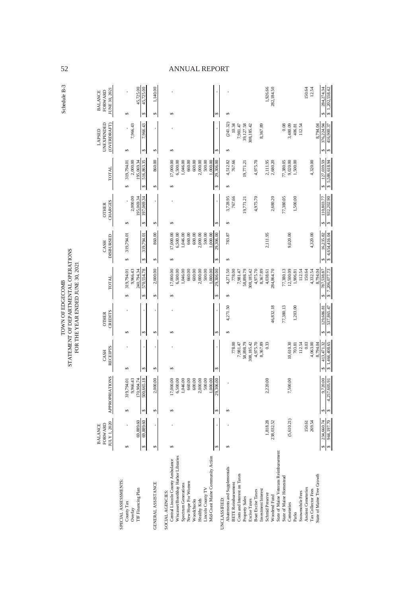|                                       | JULY 1, 2020<br><b>BALANCE</b><br><b>FORWARD</b> | <b>APPROPRIATIONS</b>  | <b>RECEIPTS</b><br>CASH | CREDITS<br><b>OTHER</b> | TOTAL                  | DISBURSED<br>CASH | <b>CHARGES</b><br><b>OTHER</b> | TOTAL                  | <b>UNEXPENDED</b><br>(OVERDRAFT)<br>LAPSED | JUNE 30, 2021<br>FORWARD<br><b>BALANCE</b>                                                                            |
|---------------------------------------|--------------------------------------------------|------------------------|-------------------------|-------------------------|------------------------|-------------------|--------------------------------|------------------------|--------------------------------------------|-----------------------------------------------------------------------------------------------------------------------|
| SPECIAL ASSESSMENTS:<br>County Tax    | G,                                               | 319,794.01<br>Đ,       | G,                      | G,                      | 319,794.01<br>ø        | \$ 319,794.01     | S                              | 319,794.01<br>S        | S                                          | Đ,                                                                                                                    |
| TIF Financing Plan<br>Overlay         | 69,889.60                                        | 9,966.43<br>170,904.74 |                         |                         | 9,966.43<br>240,794.34 |                   | 2,000.00<br>195,069.34         | 2,000.00<br>195,069.34 | 7,966.43                                   | 45,725.00                                                                                                             |
|                                       | 69,889.60<br>S                                   | 500,665.18<br>↮        |                         |                         | 570,554.78             | 319,794.01<br>s,  | 197,069.34<br>S                | 516,863.35             | 7,966.43                                   | 45,725.00                                                                                                             |
| <b>GENERAL ASSISTANCE</b>             | Ś,                                               | 2,000.00<br>ø          | S                       | G,                      | 2,000.00<br>s          | 860.00<br>ø       | s                              | 860.00<br>s,           | G,                                         | 1,140.00<br>S                                                                                                         |
| SOCIAL AGENCIES:                      |                                                  |                        |                         |                         |                        |                   |                                |                        |                                            |                                                                                                                       |
| Central Lincoln County Ambulance      | S                                                | 17,000.00<br>G)        |                         | U,                      | 17,000.00<br>S         | 17,000.00<br>Ÿ,   | G)                             | 17,000.00<br>S         | S                                          | G)                                                                                                                    |
| Wiscasset/Boothbay Harbor Libraries   |                                                  | 6,500.00               |                         |                         | 6,500.00               | 6,500.00          |                                | 6,500.00               |                                            |                                                                                                                       |
| Spectrum Generations                  |                                                  | 1,046.00               |                         |                         | 1,046.00               | 1,046.00          |                                | 1,046.00               |                                            |                                                                                                                       |
| New Hope For Women                    |                                                  | 660.00                 |                         |                         | 660.00                 | 660.00            |                                | 660.00                 |                                            |                                                                                                                       |
| Woodchucks                            |                                                  | 600.00                 |                         |                         | 600.00                 | 600.00            |                                | 600.00                 |                                            |                                                                                                                       |
| Healthy Kids                          |                                                  | 2,000.00               |                         |                         | 2,000.00               | 2,000.00          |                                | 2,000.00               |                                            |                                                                                                                       |
| Lincoln County TV                     |                                                  | 500.00                 |                         |                         | 500.00                 | 500.00            |                                | 500.00                 |                                            |                                                                                                                       |
| Mid-Coast Maine Community Action      |                                                  | 1,000.00               |                         |                         | 1,000.00               | ,000,00           |                                | 1,000.00               |                                            |                                                                                                                       |
|                                       |                                                  | 29,306.00<br>s,        |                         |                         | 29,306.00              | 29,306.00<br>S    |                                | 29,306.00              |                                            |                                                                                                                       |
| UNCLASSIFIED:                         |                                                  |                        |                         |                         |                        |                   |                                |                        |                                            |                                                                                                                       |
| Abatements and Supplementals          | S                                                | G,                     |                         | 4,271.50<br>S           | 4,271.50<br>s          | 783.87<br>S       | 3,728.95<br>s,                 | 4,512.82<br>s,         | (241.32)<br>S                              |                                                                                                                       |
| <b>BETE</b> Reimbursement             |                                                  |                        | 778.00                  |                         | 778.00                 |                   | 767.66                         | 767.66                 | 10.34                                      |                                                                                                                       |
| Costs and Interest on Taxes           |                                                  |                        | 7,981.47                |                         | 7,981.47               |                   |                                |                        | 7,981.47                                   |                                                                                                                       |
| Property Sales                        |                                                  |                        | 58,898.79               |                         | 58,898.79              |                   | 19,771.21                      | 19,771.21              | 39,127.58                                  |                                                                                                                       |
| Excise Taxes                          |                                                  |                        | 308, 185.42             |                         | 308,185.42             |                   |                                |                        | 308,185.42                                 |                                                                                                                       |
| <b>Boat Excise Taxes</b>              |                                                  |                        | 4,975.70                |                         | 4,975.70               |                   | 4,975.70                       | 4,975.70               |                                            |                                                                                                                       |
| Investment Interest                   |                                                  |                        | 8,367.89                |                         | 8,367.89               |                   |                                |                        | 8,367.89                                   |                                                                                                                       |
| Schmid Preserve                       | 1,818.28                                         | 2,220.00               | 0.33                    |                         | 4,038.61               | 2,111.95          |                                | 2,111.95               |                                            | 1,926.66                                                                                                              |
| Woodend Fund                          | 238,032.52                                       |                        |                         | 46,832.18               | 84,864.70              |                   | 2,680.20                       | 2,680.20               |                                            | 282,184.50                                                                                                            |
| State of Maine Veterans Reimbursement |                                                  |                        |                         |                         |                        |                   |                                |                        |                                            |                                                                                                                       |
| State of Maine Homestead              |                                                  |                        |                         | 77,380.13               | 77,380.13              |                   | 77,380.05                      | 77,380.05              | 0.08                                       |                                                                                                                       |
| Cemeteries                            | (5, 610.21)                                      | 7,500.00               | 10,610.30               |                         | 12,500.09              | 9,020.00          |                                | 9,020.00               | 3,480.09                                   |                                                                                                                       |
| Parks                                 |                                                  |                        | 703.81                  | 1,203.00                | 1,906.81               |                   | 1,500.00                       | 1,500.00               | 406.81                                     |                                                                                                                       |
| Snowmobile Fees                       |                                                  |                        | 112.54                  |                         | 112.54                 |                   |                                |                        | 112.54                                     |                                                                                                                       |
| Ancient Cemeteries                    | 150.61                                           |                        | 0.03                    |                         | 150.64                 |                   |                                |                        |                                            | 150.64                                                                                                                |
| Tax Collector Fees                    | 269.54                                           |                        | 4,063.00                |                         | 4,332.54               | 4,320.00          |                                | 4,320.00               |                                            | 12.54                                                                                                                 |
| State of Maine Tree Growth            |                                                  |                        | 8,794.04                |                         | 8,794.04               |                   |                                |                        | 8,794.04                                   |                                                                                                                       |
|                                       | \$234,660.74                                     | 9.720.00               | 413,471.32              | 129,686.81              | 787,538.87             | 16,235.82         | 110,803.77                     | 127,039.59             | 376,224.94                                 | $\begin{array}{ c c c }\n\hline\n\text{8} & \text{284,274.34} \\ \hline\n\text{9} & \text{1,202,558.42}\n\end{array}$ |
|                                       | 8 944,197.70                                     | 4,257,605.91           | \$1,466,408.65          | 537,865.47              | \$7,206,077.73         | \$4,654,416.04    | 932,202.90                     | \$5,586,618.94         |                                            |                                                                                                                       |

Schedule B-3

Schedule B-3

TOWN OF EDGECOMB STATEMENT OF DEPARTMENTAL OPERATIONS

TOWN OF EDGECOMB STATEMENT OP DEPARTMENTAL OPERATIONS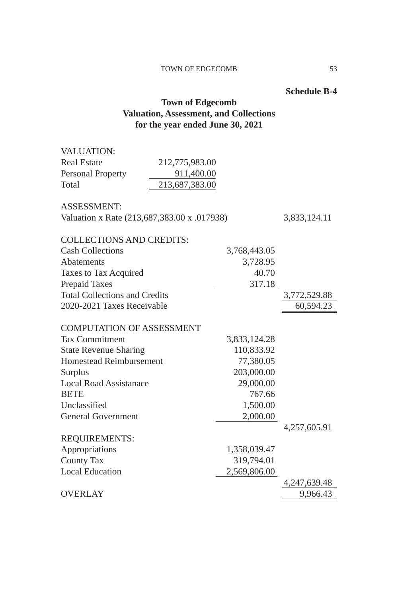### **Schedule B-4**

### **Town of Edgecomb Valuation, Assessment, and Collections for the year ended June 30, 2021**

| <b>VALUATION:</b>                                         |                |              |                 |
|-----------------------------------------------------------|----------------|--------------|-----------------|
| <b>Real Estate</b>                                        | 212,775,983.00 |              |                 |
| <b>Personal Property</b>                                  | 911,400.00     |              |                 |
| Total                                                     | 213,687,383.00 |              |                 |
|                                                           |                |              |                 |
| <b>ASSESSMENT:</b>                                        |                |              |                 |
| Valuation x Rate (213,687,383.00 x .017938)               |                |              | 3,833,124.11    |
| <b>COLLECTIONS AND CREDITS:</b>                           |                |              |                 |
| <b>Cash Collections</b>                                   |                | 3,768,443.05 |                 |
| Abatements                                                |                | 3,728.95     |                 |
| Taxes to Tax Acquired                                     |                | 40.70        |                 |
| Prepaid Taxes                                             |                | 317.18       |                 |
| <b>Total Collections and Credits</b>                      |                |              | 3,772,529.88    |
| 2020-2021 Taxes Receivable                                |                |              | 60,594.23       |
|                                                           |                |              |                 |
| <b>COMPUTATION OF ASSESSMENT</b><br><b>Tax Commitment</b> |                |              |                 |
|                                                           |                | 3,833,124.28 |                 |
| <b>State Revenue Sharing</b>                              |                | 110,833.92   |                 |
| Homestead Reimbursement                                   |                | 77,380.05    |                 |
| Surplus                                                   |                | 203,000.00   |                 |
| <b>Local Road Assistanace</b>                             |                | 29,000.00    |                 |
| <b>BETE</b>                                               |                | 767.66       |                 |
| Unclassified                                              |                | 1,500.00     |                 |
| <b>General Government</b>                                 |                | 2,000.00     |                 |
|                                                           |                |              | 4,257,605.91    |
| REQUIREMENTS:                                             |                |              |                 |
| Appropriations                                            |                | 1,358,039.47 |                 |
| <b>County Tax</b>                                         |                | 319,794.01   |                 |
| <b>Local Education</b>                                    |                | 2,569,806.00 |                 |
|                                                           |                |              | 4, 247, 639. 48 |
| <b>OVERLAY</b>                                            |                |              | 9,966.43        |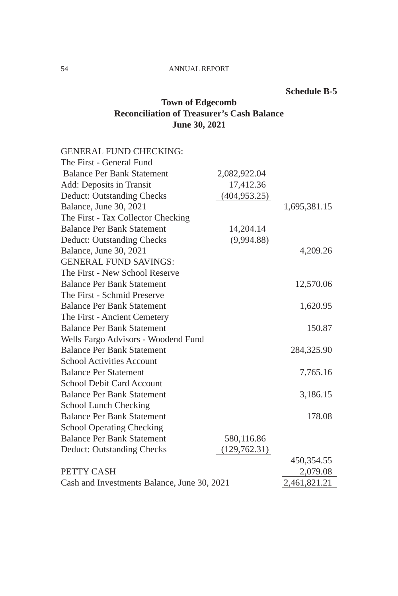### **Town of Edgecomb Reconciliation of Treasurer's Cash Balance June 30, 2021**

| <b>GENERAL FUND CHECKING:</b>               |               |              |
|---------------------------------------------|---------------|--------------|
| The First - General Fund                    |               |              |
| <b>Balance Per Bank Statement</b>           | 2,082,922.04  |              |
| Add: Deposits in Transit                    | 17,412.36     |              |
| <b>Deduct: Outstanding Checks</b>           | (404, 953.25) |              |
| Balance, June 30, 2021                      |               | 1,695,381.15 |
| The First - Tax Collector Checking          |               |              |
| <b>Balance Per Bank Statement</b>           | 14,204.14     |              |
| <b>Deduct: Outstanding Checks</b>           | (9,994.88)    |              |
| Balance, June 30, 2021                      |               | 4,209.26     |
| <b>GENERAL FUND SAVINGS:</b>                |               |              |
| The First - New School Reserve              |               |              |
| <b>Balance Per Bank Statement</b>           |               | 12,570.06    |
| The First - Schmid Preserve                 |               |              |
| <b>Balance Per Bank Statement</b>           |               | 1,620.95     |
| The First - Ancient Cemetery                |               |              |
| <b>Balance Per Bank Statement</b>           |               | 150.87       |
| Wells Fargo Advisors - Woodend Fund         |               |              |
| <b>Balance Per Bank Statement</b>           |               | 284,325.90   |
| School Activities Account                   |               |              |
| <b>Balance Per Statement</b>                |               | 7,765.16     |
| <b>School Debit Card Account</b>            |               |              |
| <b>Balance Per Bank Statement</b>           |               | 3,186.15     |
| School Lunch Checking                       |               |              |
| <b>Balance Per Bank Statement</b>           |               | 178.08       |
| <b>School Operating Checking</b>            |               |              |
| <b>Balance Per Bank Statement</b>           | 580,116.86    |              |
| <b>Deduct: Outstanding Checks</b>           | (129,762.31)  |              |
|                                             |               | 450,354.55   |
| PETTY CASH                                  |               | 2,079.08     |
| Cash and Investments Balance, June 30, 2021 |               | 2,461,821.21 |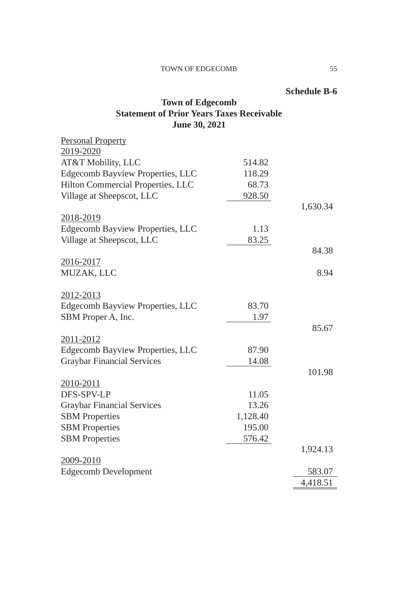### **Schedule B-6**

### **Town of Edgecomb Statement of Prior Years Taxes Receivable June 30, 2021**

| <b>Personal Property</b>                |          |          |
|-----------------------------------------|----------|----------|
| 2019-2020                               |          |          |
| AT&T Mobility, LLC                      | 514.82   |          |
| Edgecomb Bayview Properties, LLC        | 118.29   |          |
| Hilton Commercial Properties, LLC       | 68.73    |          |
| Village at Sheepscot, LLC               | 928.50   |          |
|                                         |          | 1,630.34 |
| 2018-2019                               |          |          |
| Edgecomb Bayview Properties, LLC        | 1.13     |          |
| Village at Sheepscot, LLC               | 83.25    |          |
|                                         |          | 84.38    |
| 2016-2017                               |          |          |
| MUZAK, LLC                              |          | 8.94     |
| 2012-2013                               |          |          |
| Edgecomb Bayview Properties, LLC        | 83.70    |          |
| SBM Proper A, Inc.                      | 1.97     |          |
|                                         |          | 85.67    |
| 2011-2012                               |          |          |
| <b>Edgecomb Bayview Properties, LLC</b> | 87.90    |          |
| <b>Graybar Financial Services</b>       | 14.08    |          |
|                                         |          | 101.98   |
| 2010-2011                               |          |          |
| DFS-SPV-LP                              | 11.05    |          |
| <b>Graybar Financial Services</b>       | 13.26    |          |
| <b>SBM</b> Properties                   | 1,128.40 |          |
| <b>SBM</b> Properties                   | 195.00   |          |
| <b>SBM</b> Properties                   | 576.42   |          |
|                                         |          | 1,924.13 |
| 2009-2010                               |          |          |
| <b>Edgecomb Development</b>             |          | 583.07   |
|                                         |          | 4,418.51 |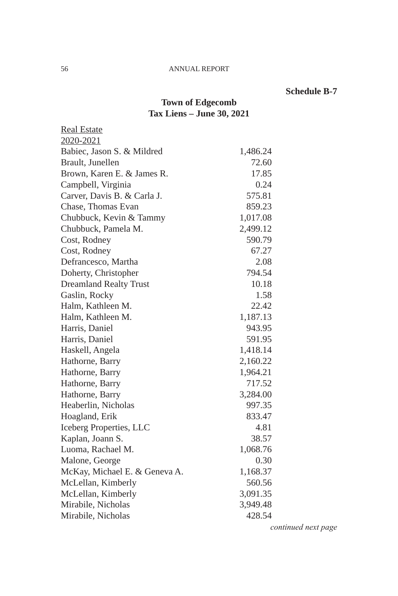### **Schedule B-7**

### **Town of Edgecomb Tax Liens – June 30, 2021**

| <b>Real Estate</b>            |                     |  |
|-------------------------------|---------------------|--|
| 2020-2021                     |                     |  |
| Babiec, Jason S. & Mildred    | 1,486.24            |  |
| Brault, Junellen              | 72.60               |  |
| Brown, Karen E. & James R.    | 17.85               |  |
| Campbell, Virginia            | 0.24                |  |
| Carver, Davis B. & Carla J.   | 575.81              |  |
| Chase, Thomas Evan            | 859.23              |  |
| Chubbuck, Kevin & Tammy       | 1,017.08            |  |
| Chubbuck, Pamela M.           | 2,499.12            |  |
| Cost, Rodney                  | 590.79              |  |
| Cost, Rodney                  | 67.27               |  |
| Defrancesco, Martha           | 2.08                |  |
| Doherty, Christopher          | 794.54              |  |
| <b>Dreamland Realty Trust</b> | 10.18               |  |
| Gaslin, Rocky                 | 1.58                |  |
| Halm, Kathleen M.             | 22.42               |  |
| Halm, Kathleen M.             | 1,187.13            |  |
| Harris, Daniel                | 943.95              |  |
| Harris, Daniel                | 591.95              |  |
| Haskell, Angela               | 1,418.14            |  |
| Hathorne, Barry               | 2,160.22            |  |
| Hathorne, Barry               | 1,964.21            |  |
| Hathorne, Barry               | 717.52              |  |
| Hathorne, Barry               | 3,284.00            |  |
| Heaberlin, Nicholas           | 997.35              |  |
| Hoagland, Erik                | 833.47              |  |
| Iceberg Properties, LLC       | 4.81                |  |
| Kaplan, Joann S.              | 38.57               |  |
| Luoma, Rachael M.             | 1,068.76            |  |
| Malone, George                | 0.30                |  |
| McKay, Michael E. & Geneva A. | 1,168.37            |  |
| McLellan, Kimberly            | 560.56              |  |
| McLellan, Kimberly            | 3,091.35            |  |
| Mirabile, Nicholas            | 3,949.48            |  |
| Mirabile, Nicholas            | 428.54              |  |
|                               | continued next page |  |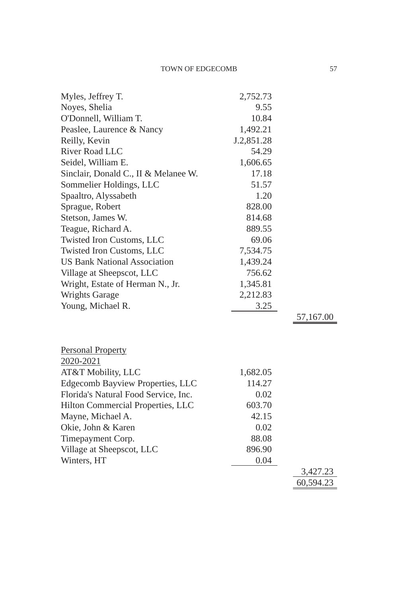| Myles, Jeffrey T.                    | 2,752.73   |           |
|--------------------------------------|------------|-----------|
| Noyes, Shelia                        | 9.55       |           |
| O'Donnell, William T.                | 10.84      |           |
| Peaslee, Laurence & Nancy            | 1,492.21   |           |
| Reilly, Kevin                        | J.2,851.28 |           |
| River Road LLC                       | 54.29      |           |
| Seidel, William E.                   | 1,606.65   |           |
| Sinclair, Donald C., II & Melanee W. | 17.18      |           |
| Sommelier Holdings, LLC              | 51.57      |           |
| Spaaltro, Alyssabeth                 | 1.20       |           |
| Sprague, Robert                      | 828.00     |           |
| Stetson, James W.                    | 814.68     |           |
| Teague, Richard A.                   | 889.55     |           |
| Twisted Iron Customs, LLC            | 69.06      |           |
| Twisted Iron Customs, LLC            | 7,534.75   |           |
| <b>US Bank National Association</b>  | 1,439.24   |           |
| Village at Sheepscot, LLC            | 756.62     |           |
| Wright, Estate of Herman N., Jr.     | 1,345.81   |           |
| Wrights Garage                       | 2,212.83   |           |
| Young, Michael R.                    | 3.25       |           |
|                                      |            | 57,167.00 |
| <b>Personal Property</b>             |            |           |
| 2020-2021                            |            |           |
| AT&T Mobility, LLC                   | 1,682.05   |           |
| Edgecomb Bayview Properties, LLC     | 114.27     |           |
| Florida's Natural Food Service, Inc. | 0.02       |           |
| Hilton Commercial Properties, LLC    | 603.70     |           |
| Mayne, Michael A.                    | 42.15      |           |
| Okie, John & Karen                   | 0.02       |           |
| Timepayment Corp.                    | 88.08      |           |
| Village at Sheepscot, LLC            | 896.90     |           |
| Winters, HT                          | 0.04       |           |
|                                      |            | 3,427.23  |
|                                      |            | 60,594.23 |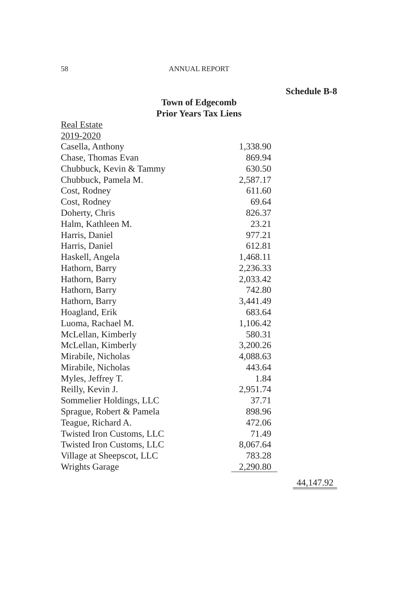### **Schedule B-8**

### **Town of Edgecomb Prior Years Tax Liens**

| 2019-2020                 |          |
|---------------------------|----------|
| Casella, Anthony          | 1,338.90 |
| Chase, Thomas Evan        | 869.94   |
| Chubbuck, Kevin & Tammy   | 630.50   |
| Chubbuck, Pamela M.       | 2,587.17 |
| Cost, Rodney              | 611.60   |
| Cost, Rodney              | 69.64    |
| Doherty, Chris            | 826.37   |
| Halm, Kathleen M.         | 23.21    |
| Harris, Daniel            | 977.21   |
| Harris, Daniel            | 612.81   |
| Haskell, Angela           | 1,468.11 |
| Hathorn, Barry            | 2,236.33 |
| Hathorn, Barry            | 2,033.42 |
| Hathorn, Barry            | 742.80   |
| Hathorn, Barry            | 3,441.49 |
| Hoagland, Erik            | 683.64   |
| Luoma, Rachael M.         | 1,106.42 |
| McLellan, Kimberly        | 580.31   |
| McLellan, Kimberly        | 3,200.26 |
| Mirabile, Nicholas        | 4,088.63 |
| Mirabile, Nicholas        | 443.64   |
| Myles, Jeffrey T.         | 1.84     |
| Reilly, Kevin J.          | 2,951.74 |
| Sommelier Holdings, LLC   | 37.71    |
| Sprague, Robert & Pamela  | 898.96   |
| Teague, Richard A.        | 472.06   |
| Twisted Iron Customs, LLC | 71.49    |
| Twisted Iron Customs, LLC | 8,067.64 |
| Village at Sheepscot, LLC | 783.28   |
| <b>Wrights Garage</b>     | 2,290.80 |

### 44,147.92

Real Estate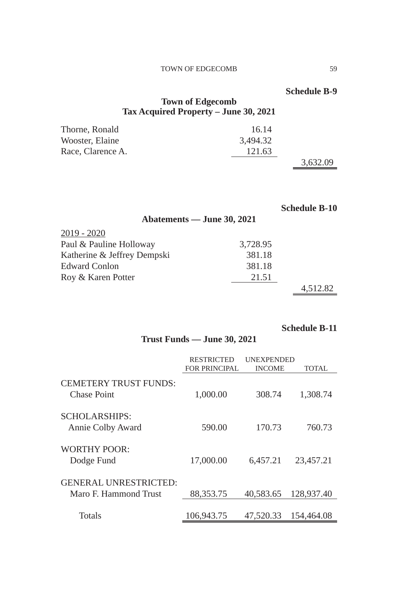### **Schedule B-9**

### **Town of Edgecomb Tax Acquired Property – June 30, 2021**

| Thorne, Ronald    | 16.14    |          |
|-------------------|----------|----------|
| Wooster, Elaine   | 3.494.32 |          |
| Race, Clarence A. | 121.63   |          |
|                   |          | 3,632.09 |

|                             |          | <b>Schedule B-10</b> |
|-----------------------------|----------|----------------------|
| Abatements — June 30, 2021  |          |                      |
| $2019 - 2020$               |          |                      |
| Paul & Pauline Holloway     | 3,728.95 |                      |
| Katherine & Jeffrey Dempski | 381.18   |                      |
| <b>Edward Conlon</b>        | 381.18   |                      |
| Roy & Karen Potter          | 21.51    |                      |
|                             |          | 4.512.82             |

### **Schedule B-11**

**Trust Funds — June 30, 2021**

|                                                       | <b>RESTRICTED</b><br>FOR PRINCIPAL | <b>UNEXPENDED</b><br><b>INCOME</b> | TOTAL.     |
|-------------------------------------------------------|------------------------------------|------------------------------------|------------|
| <b>CEMETERY TRUST FUNDS:</b><br><b>Chase Point</b>    | 1,000.00                           | 308.74                             | 1,308.74   |
| <b>SCHOLARSHIPS:</b><br>Annie Colby Award             | 590.00                             | 170.73                             | 760.73     |
| WORTHY POOR:<br>Dodge Fund                            | 17,000.00                          | 6,457.21                           | 23.457.21  |
| <b>GENERAL UNRESTRICTED:</b><br>Maro F. Hammond Trust | 88,353.75                          | 40,583.65                          | 128,937.40 |
| Totals                                                | 106,943.75                         | 47,520.33                          | 154,464.08 |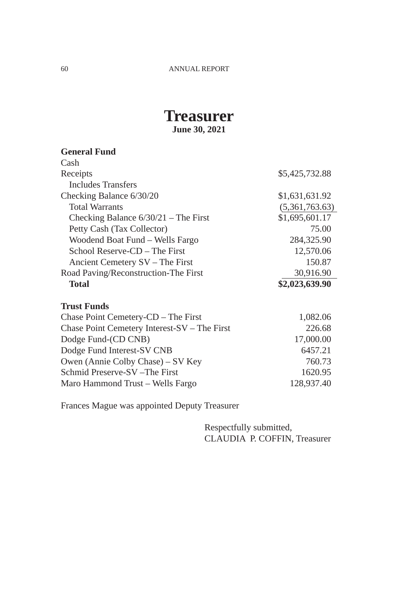### **Treasurer June 30, 2021**

### **General Fund**

| Cash                                   |                |
|----------------------------------------|----------------|
| Receipts                               | \$5,425,732.88 |
| Includes Transfers                     |                |
| Checking Balance 6/30/20               | \$1,631,631.92 |
| <b>Total Warrants</b>                  | (5,361,763.63) |
| Checking Balance $6/30/21$ – The First | \$1,695,601.17 |
| Petty Cash (Tax Collector)             | 75.00          |
| Woodend Boat Fund – Wells Fargo        | 284,325.90     |
| School Reserve-CD – The First          | 12,570.06      |
| Ancient Cemetery SV – The First        | 150.87         |
| Road Paving/Reconstruction-The First   | 30,916.90      |
| <b>Total</b>                           | \$2,023,639.90 |

### **Trust Funds**

| Chase Point Cemetery-CD - The First          | 1,082.06   |
|----------------------------------------------|------------|
| Chase Point Cemetery Interest-SV - The First | 226.68     |
| Dodge Fund-(CD CNB)                          | 17,000.00  |
| Dodge Fund Interest-SV CNB                   | 6457.21    |
| Owen (Annie Colby Chase) – SV Key            | 760.73     |
| Schmid Preserve-SV-The First                 | 1620.95    |
| Maro Hammond Trust - Wells Fargo             | 128,937.40 |
|                                              |            |

Frances Mague was appointed Deputy Treasurer

Respectfully submitted, Claudia P. Coffin, Treasurer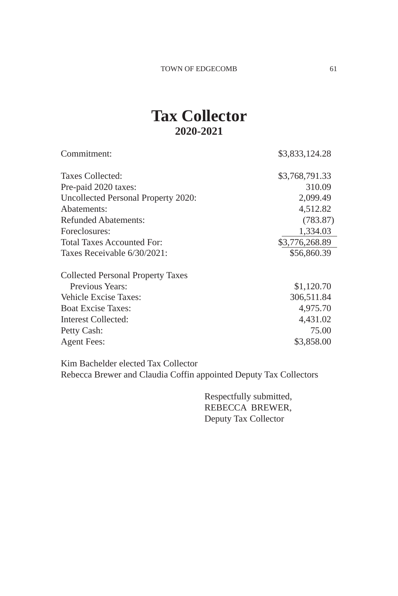# **Tax Collector 2020-2021**

| Commitment:                              | \$3,833,124.28 |
|------------------------------------------|----------------|
| Taxes Collected:                         | \$3,768,791.33 |
| Pre-paid 2020 taxes:                     | 310.09         |
| Uncollected Personal Property 2020:      | 2,099.49       |
| Abatements:                              | 4,512.82       |
| Refunded Abatements:                     | (783.87)       |
| Foreclosures:                            | 1,334.03       |
| <b>Total Taxes Accounted For:</b>        | \$3,776,268.89 |
| Taxes Receivable 6/30/2021:              | \$56,860.39    |
| <b>Collected Personal Property Taxes</b> |                |
| Previous Years:                          | \$1,120.70     |
| Vehicle Excise Taxes:                    | 306,511.84     |
| <b>Boat Excise Taxes:</b>                | 4,975.70       |
| Interest Collected:                      | 4,431.02       |
| Petty Cash:                              | 75.00          |
| <b>Agent Fees:</b>                       | \$3,858.00     |
|                                          |                |

Kim Bachelder elected Tax Collector Rebecca Brewer and Claudia Coffin appointed Deputy Tax Collectors

> Respectfully submitted, Rebecca Brewer, Deputy Tax Collector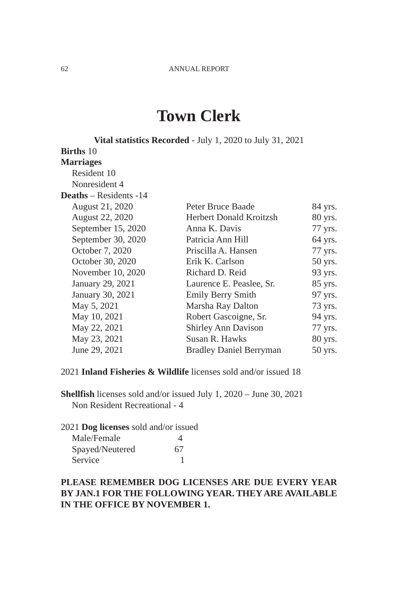# **Town Clerk**

| <b>Vital statistics Recorded - July 1, 2020 to July 31, 2021</b> |                                |         |
|------------------------------------------------------------------|--------------------------------|---------|
| <b>Births</b> 10                                                 |                                |         |
| Marriages                                                        |                                |         |
| Resident 10                                                      |                                |         |
| Nonresident 4                                                    |                                |         |
| <b>Deaths</b> – Residents -14                                    |                                |         |
| August 21, 2020                                                  | Peter Bruce Baade              | 84 yrs. |
| August 22, 2020                                                  | Herbert Donald Kroitzsh        | 80 yrs. |
| September 15, 2020                                               | Anna K. Davis                  | 77 yrs. |
| September 30, 2020                                               | Patricia Ann Hill              | 64 yrs. |
| October 7, 2020                                                  | Priscilla A. Hansen            | 77 yrs. |
| October 30, 2020                                                 | Erik K. Carlson                | 50 yrs. |
| November 10, 2020                                                | Richard D. Reid                | 93 yrs. |
| January 29, 2021                                                 | Laurence E. Peaslee, Sr.       | 85 yrs. |
| January 30, 2021                                                 | <b>Emily Berry Smith</b>       | 97 yrs. |
| May 5, 2021                                                      | Marsha Ray Dalton              | 73 yrs. |
| May 10, 2021                                                     | Robert Gascoigne, Sr.          | 94 yrs. |
| May 22, 2021                                                     | Shirley Ann Davison            | 77 yrs. |
| May 23, 2021                                                     | Susan R. Hawks                 | 80 yrs. |
| June 29, 2021                                                    | <b>Bradley Daniel Berryman</b> | 50 yrs. |
|                                                                  |                                |         |

2021 **Inland Fisheries & Wildlife** licenses sold and/or issued 18

**Shellfish** licenses sold and/or issued July 1, 2020 – June 30, 2021 Non Resident Recreational - 4

| 2021 Dog licenses sold and/or issued |    |
|--------------------------------------|----|
| Male/Female                          | 4  |
| Spayed/Neutered                      | 67 |
| Service                              |    |

**PLEASE REMEMBER DOG LICENSES ARE DUE EVERY YEAR BY JAN.1 FOR THE FOLLOWING YEAR. THEYARE AVAILABLE IN THE OFFICE BY NOVEMBER 1.**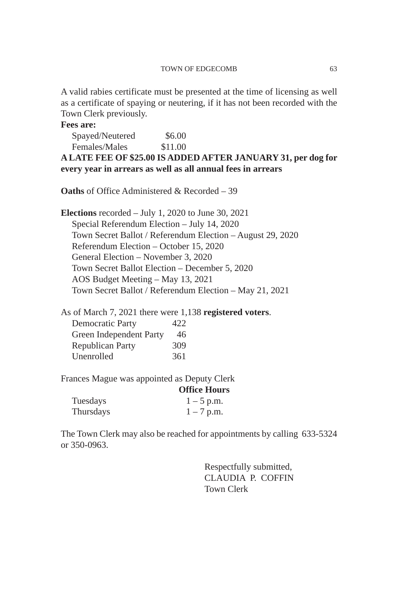A valid rabies certificate must be presented at the time of licensing as well as a certificate of spaying or neutering, if it has not been recorded with the Town Clerk previously.

**Fees are:**

| Spayed/Neutered | \$6.00  |
|-----------------|---------|
| Females/Males   | \$11.00 |

**A LATE FEE OF \$25.00 IS ADDED AFTER JANUARY 31, per dog for every year in arrears as well as all annual fees in arrears**

**Oaths** of Office Administered & Recorded – 39

**Elections** recorded – July 1, 2020 to June 30, 2021 Special Referendum Election – July 14, 2020 Town Secret Ballot / Referendum Election – August 29, 2020 Referendum Election – October 15, 2020 General Election – November 3, 2020 Town Secret Ballot Election – December 5, 2020 AOS Budget Meeting – May 13, 2021 Town Secret Ballot / Referendum Election – May 21, 2021

As of March 7, 2021 there were 1,138 **registered voters**. Democratic Party 422 Green Independent Party 46

| <b>Republican Party</b> | 309 |
|-------------------------|-----|
| Unenrolled              | 361 |

Frances Mague was appointed as Deputy Clerk

|                  | <b>Office Hours</b> |
|------------------|---------------------|
| Tuesdays         | $1 - 5$ p.m.        |
| <b>Thursdays</b> | $1 - 7$ p.m.        |

The Town Clerk may also be reached for appointments by calling 633-5324 or 350-0963.

> Respectfully submitted, Claudia P. Coffin Town Clerk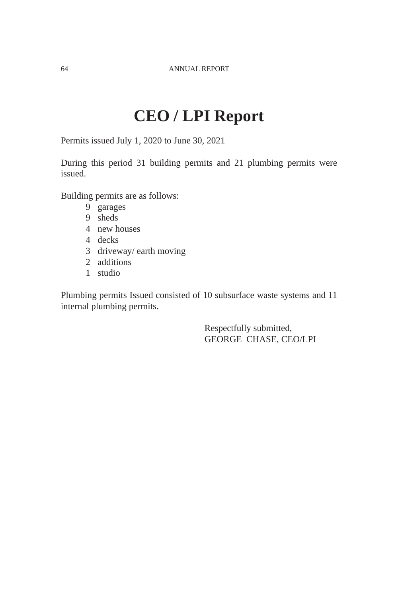# **CEO / LPI Report**

Permits issued July 1, 2020 to June 30, 2021

During this period 31 building permits and 21 plumbing permits were issued.

Building permits are as follows:

- 9 garages
- 9 sheds
- 4 new houses
- 4 decks
- 3 driveway/ earth moving
- 2 additions
- 1 studio

Plumbing permits Issued consisted of 10 subsurface waste systems and 11 internal plumbing permits.

> Respectfully submitted, George Chase, CEO/LPI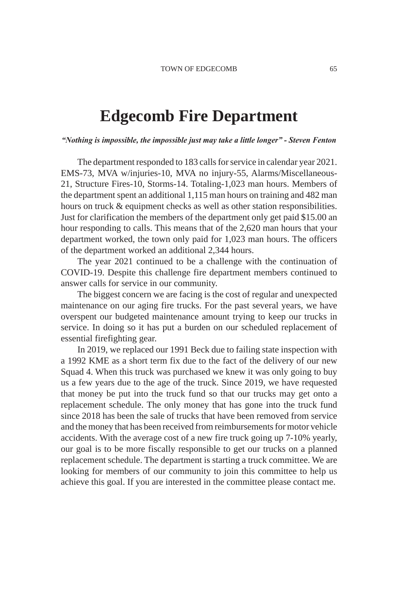# **Edgecomb Fire Department**

*"Nothing is impossible, the impossible just may take a little longer" - Steven Fenton*

The department responded to 183 calls for service in calendar year 2021. EMS-73, MVA w/injuries-10, MVA no injury-55, Alarms/Miscellaneous- 21, Structure Fires-10, Storms-14. Totaling-1,023 man hours. Members of the department spent an additional 1,115 man hours on training and 482 man hours on truck & equipment checks as well as other station responsibilities. Just for clarification the members of the department only get paid \$15.00 an hour responding to calls. This means that of the 2,620 man hours that your department worked, the town only paid for 1,023 man hours. The officers of the department worked an additional 2,344 hours.

The year 2021 continued to be a challenge with the continuation of COVID-19. Despite this challenge fire department members continued to answer calls for service in our community.

The biggest concern we are facing is the cost of regular and unexpected maintenance on our aging fire trucks. For the past several years, we have overspent our budgeted maintenance amount trying to keep our trucks in service. In doing so it has put a burden on our scheduled replacement of essential firefighting gear.

In 2019, we replaced our 1991 Beck due to failing state inspection with a 1992 KME as a short term fix due to the fact of the delivery of our new Squad 4. When this truck was purchased we knew it was only going to buy us a few years due to the age of the truck. Since 2019, we have requested that money be put into the truck fund so that our trucks may get onto a replacement schedule. The only money that has gone into the truck fund since 2018 has been the sale of trucks that have been removed from service and the money that has been received from reimbursements for motor vehicle accidents. With the average cost of a new fire truck going up 7-10% yearly, our goal is to be more fiscally responsible to get our trucks on a planned replacement schedule. The department is starting a truck committee. We are looking for members of our community to join this committee to help us achieve this goal. If you are interested in the committee please contact me.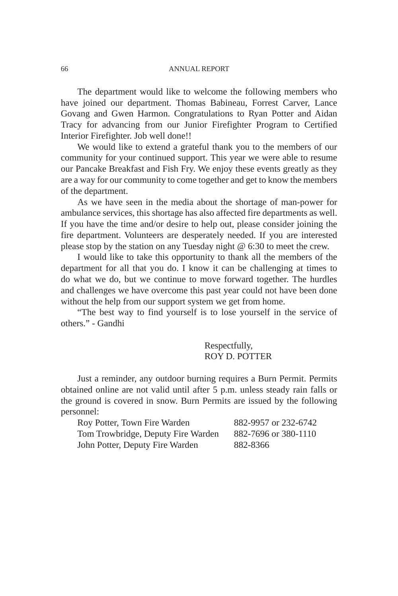The department would like to welcome the following members who have joined our department. Thomas Babineau, Forrest Carver, Lance Govang and Gwen Harmon. Congratulations to Ryan Potter and Aidan Tracy for advancing from our Junior Firefighter Program to Certified Interior Firefighter. Job well done!!

We would like to extend a grateful thank you to the members of our community for your continued support. This year we were able to resume our Pancake Breakfast and Fish Fry. We enjoy these events greatly as they are a way for our community to come together and get to know the members of the department.

As we have seen in the media about the shortage of man-power for ambulance services, this shortage has also affected fire departments as well. If you have the time and/or desire to help out, please consider joining the fire department. Volunteers are desperately needed. If you are interested please stop by the station on any Tuesday night @ 6:30 to meet the crew.

I would like to take this opportunity to thank all the members of the department for all that you do. I know it can be challenging at times to do what we do, but we continue to move forward together. The hurdles and challenges we have overcome this past year could not have been done without the help from our support system we get from home.

"The best way to find yourself is to lose yourself in the service of others." - Gandhi

### Respectfully, ROY D. POTTER

Just a reminder, any outdoor burning requires a Burn Permit. Permits obtained online are not valid until after 5 p.m. unless steady rain falls or the ground is covered in snow. Burn Permits are issued by the following personnel:

| Roy Potter, Town Fire Warden       | 882-9957 or 232-6742 |
|------------------------------------|----------------------|
| Tom Trowbridge, Deputy Fire Warden | 882-7696 or 380-1110 |
| John Potter, Deputy Fire Warden    | 882-8366             |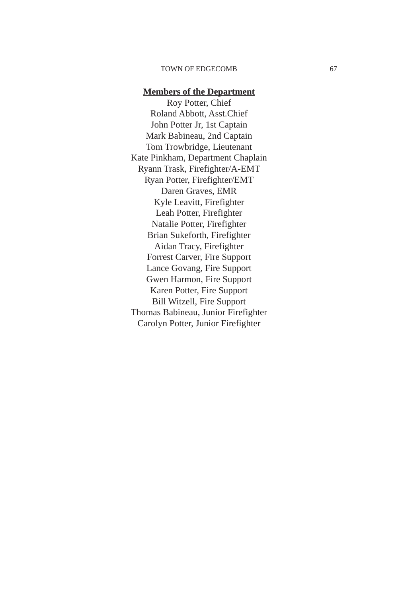### **Members of the Department**

Roy Potter, Chief Roland Abbott, Asst.Chief John Potter Jr, 1st Captain Mark Babineau, 2nd Captain Tom Trowbridge, Lieutenant Kate Pinkham, Department Chaplain Ryann Trask, Firefighter/A-EMT Ryan Potter, Firefighter/EMT Daren Graves, EMR Kyle Leavitt, Firefighter Leah Potter, Firefighter Natalie Potter, Firefighter Brian Sukeforth, Firefighter Aidan Tracy, Firefighter Forrest Carver, Fire Support Lance Govang, Fire Support Gwen Harmon, Fire Support Karen Potter, Fire Support Bill Witzell, Fire Support Thomas Babineau, Junior Firefighter Carolyn Potter, Junior Firefighter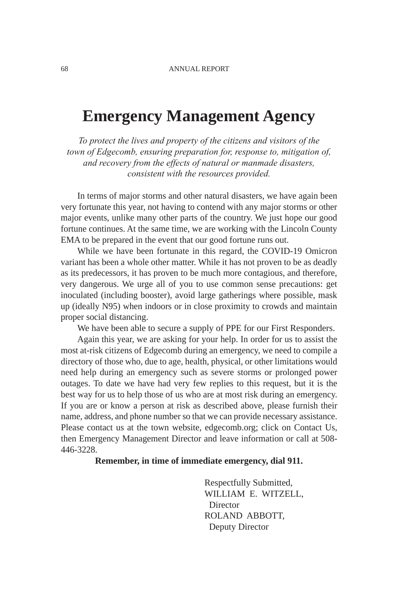# **Emergency Management Agency**

*To protect the lives and property of the citizens and visitors of the town of Edgecomb, ensuring preparation for, response to, mitigation of, and recovery from the effects of natural or manmade disasters, consistent with the resources provided.*

In terms of major storms and other natural disasters, we have again been very fortunate this year, not having to contend with any major storms or other major events, unlike many other parts of the country. We just hope our good fortune continues. At the same time, we are working with the Lincoln County EMA to be prepared in the event that our good fortune runs out.

While we have been fortunate in this regard, the COVID-19 Omicron variant has been a whole other matter. While it has not proven to be as deadly as its predecessors, it has proven to be much more contagious, and therefore, very dangerous. We urge all of you to use common sense precautions: get inoculated (including booster), avoid large gatherings where possible, mask up (ideally N95) when indoors or in close proximity to crowds and maintain proper social distancing.

We have been able to secure a supply of PPE for our First Responders.

Again this year, we are asking for your help. In order for us to assist the most at-risk citizens of Edgecomb during an emergency, we need to compile a directory of those who, due to age, health, physical, or other limitations would need help during an emergency such as severe storms or prolonged power outages. To date we have had very few replies to this request, but it is the best way for us to help those of us who are at most risk during an emergency. If you are or know a person at risk as described above, please furnish their name, address, and phone number so that we can provide necessary assistance. Please contact us at the town website, edgecomb.org; click on Contact Us, then Emergency Management Director and leave information or call at 508- 446-3228.

#### **Remember, in time of immediate emergency, dial 911.**

Respectfully Submitted, William E. Witzell, Director Roland Abbott, Deputy Director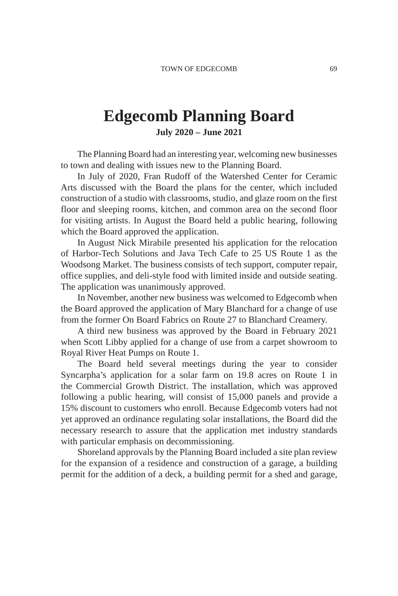## **Edgecomb Planning Board July 2020 – June 2021**

The Planning Board had an interesting year, welcoming new businesses to town and dealing with issues new to the Planning Board.

In July of 2020, Fran Rudoff of the Watershed Center for Ceramic Arts discussed with the Board the plans for the center, which included construction of a studio with classrooms, studio, and glaze room on the first floor and sleeping rooms, kitchen, and common area on the second floor for visiting artists. In August the Board held a public hearing, following which the Board approved the application.

In August Nick Mirabile presented his application for the relocation of Harbor-Tech Solutions and Java Tech Cafe to 25 US Route 1 as the Woodsong Market. The business consists of tech support, computer repair, office supplies, and deli-style food with limited inside and outside seating. The application was unanimously approved.

In November, another new business was welcomed to Edgecomb when the Board approved the application of Mary Blanchard for a change of use from the former On Board Fabrics on Route 27 to Blanchard Creamery.

A third new business was approved by the Board in February 2021 when Scott Libby applied for a change of use from a carpet showroom to Royal River Heat Pumps on Route 1.

The Board held several meetings during the year to consider Syncarpha's application for a solar farm on 19.8 acres on Route 1 in the Commercial Growth District. The installation, which was approved following a public hearing, will consist of 15,000 panels and provide a 15% discount to customers who enroll. Because Edgecomb voters had not yet approved an ordinance regulating solar installations, the Board did the necessary research to assure that the application met industry standards with particular emphasis on decommissioning.

Shoreland approvals by the Planning Board included a site plan review for the expansion of a residence and construction of a garage, a building permit for the addition of a deck, a building permit for a shed and garage,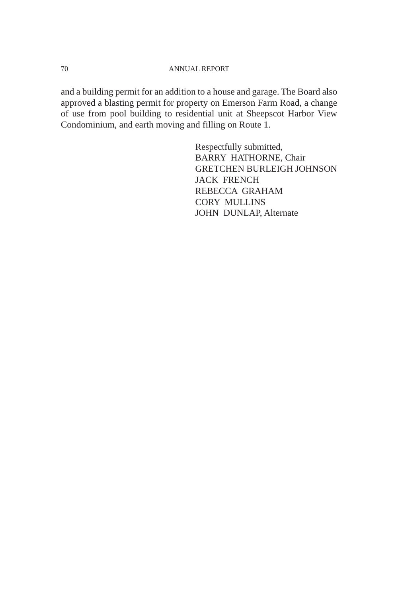and a building permit for an addition to a house and garage. The Board also approved a blasting permit for property on Emerson Farm Road, a change of use from pool building to residential unit at Sheepscot Harbor View Condominium, and earth moving and filling on Route 1.

> Respectfully submitted, BARRY HATHORNE, Chair Gretchen Burleigh Johnson Jack French Rebecca Graham Cory Mullins JOHN DUNLAP, Alternate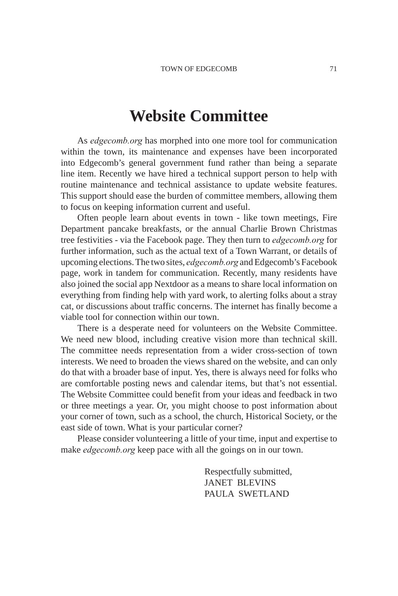# **Website Committee**

As *edgecomb.org* has morphed into one more tool for communication within the town, its maintenance and expenses have been incorporated into Edgecomb's general government fund rather than being a separate line item. Recently we have hired a technical support person to help with routine maintenance and technical assistance to update website features. This support should ease the burden of committee members, allowing them to focus on keeping information current and useful.

Often people learn about events in town - like town meetings, Fire Department pancake breakfasts, or the annual Charlie Brown Christmas tree festivities - via the Facebook page. They then turn to *edgecomb.org* for further information, such as the actual text of a Town Warrant, or details of upcoming elections. The two sites, *edgecomb.org* and Edgecomb's Facebook page, work in tandem for communication. Recently, many residents have also joined the social app Nextdoor as a means to share local information on everything from finding help with yard work, to alerting folks about a stray cat, or discussions about traffic concerns. The internet has finally become a viable tool for connection within our town.

There is a desperate need for volunteers on the Website Committee. We need new blood, including creative vision more than technical skill. The committee needs representation from a wider cross-section of town interests. We need to broaden the views shared on the website, and can only do that with a broader base of input. Yes, there is always need for folks who are comfortable posting news and calendar items, but that's not essential. The Website Committee could benefit from your ideas and feedback in two or three meetings a year. Or, you might choose to post information about your corner of town, such as a school, the church, Historical Society, or the east side of town. What is your particular corner?

Please consider volunteering a little of your time, input and expertise to make *edgecomb.org* keep pace with all the goings on in our town.

> Respectfully submitted, Janet Blevins Paula Swetland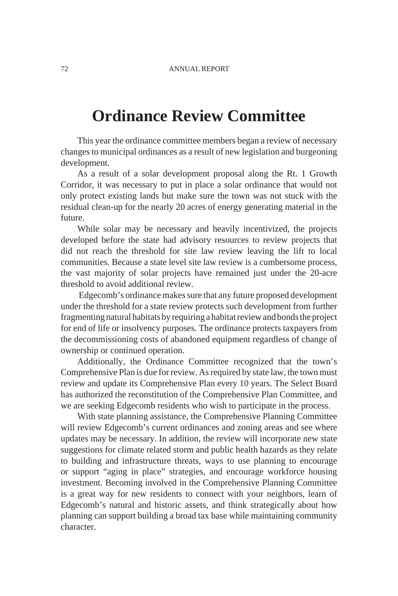### **Ordinance Review Committee**

This year the ordinance committee members began a review of necessary changesto municipal ordinances as a result of new legislation and burgeoning development.

As a result of a solar development proposal along the Rt. 1 Growth Corridor, it was necessary to put in place a solar ordinance that would not only protect existing lands but make sure the town was not stuck with the residual clean-up for the nearly 20 acres of energy generating material in the future.

While solar may be necessary and heavily incentivized, the projects developed before the state had advisory resources to review projects that did not reach the threshold for site law review leaving the lift to local communities. Because a state level site law review is a cumbersome process, the vast majority of solar projects have remained just under the 20-acre threshold to avoid additional review.

Edgecomb's ordinance makes sure that any future proposed development under the threshold for a state review protects such development from further fragmenting natural habitats by requiring a habitatreviewand bondsthe project for end of life or insolvency purposes. The ordinance protects taxpayers from the decommissioning costs of abandoned equipment regardless of change of ownership or continued operation.

Additionally, the Ordinance Committee recognized that the town's Comprehensive Plan is due for review. As required by state law, the town must review and update its Comprehensive Plan every 10 years. The Select Board has authorized the reconstitution of the Comprehensive Plan Committee, and we are seeking Edgecomb residents who wish to participate in the process.

With state planning assistance, the Comprehensive Planning Committee will review Edgecomb's current ordinances and zoning areas and see where updates may be necessary. In addition, the review will incorporate new state suggestions for climate related storm and public health hazards as they relate to building and infrastructure threats, ways to use planning to encourage or support "aging in place" strategies, and encourage workforce housing investment. Becoming involved in the Comprehensive Planning Committee is a great way for new residents to connect with your neighbors, learn of Edgecomb's natural and historic assets, and think strategically about how planning can support building a broad tax base while maintaining community character.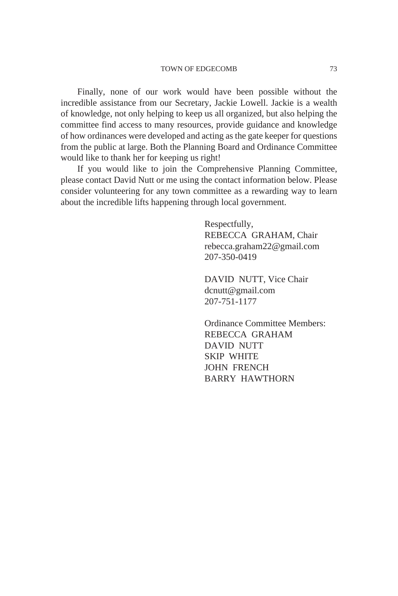Finally, none of our work would have been possible without the incredible assistance from our Secretary, Jackie Lowell. Jackie is a wealth of knowledge, not only helping to keep us all organized, but also helping the committee find access to many resources, provide guidance and knowledge of how ordinances were developed and acting as the gate keeper for questions from the public at large. Both the Planning Board and Ordinance Committee would like to thank her for keeping us right!

If you would like to join the Comprehensive Planning Committee, please contact David Nutt or me using the contact information below. Please consider volunteering for any town committee as a rewarding way to learn about the incredible lifts happening through local government.

> Respectfully, Rebecca Graham, Chair rebecca.graham22@gmail.com 207-350-0419

DAVID NUTT, Vice Chair dcnutt@gmail.com 207-751-1177

Ordinance Committee Members: Rebecca Graham DAVID NUTT **SKIP WHITE** JOHN FRENCH Barry Hawthorn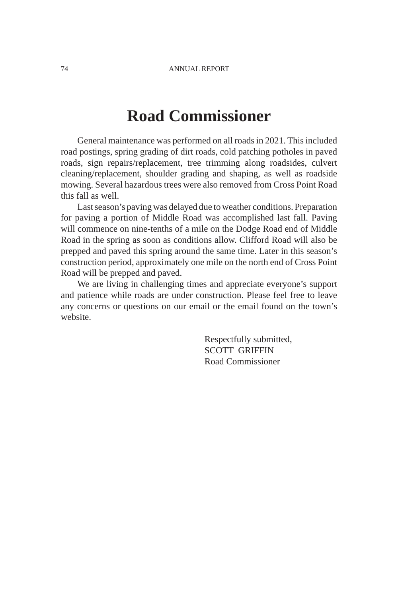### **Road Commissioner**

General maintenance was performed on all roads in 2021. This included road postings, spring grading of dirt roads, cold patching potholes in paved roads, sign repairs/replacement, tree trimming along roadsides, culvert cleaning/replacement, shoulder grading and shaping, as well as roadside mowing. Several hazardous trees were also removed from Cross Point Road this fall as well.

Last season's paving was delayed due to weather conditions. Preparation for paving a portion of Middle Road was accomplished last fall. Paving will commence on nine-tenths of a mile on the Dodge Road end of Middle Road in the spring as soon as conditions allow. Clifford Road will also be prepped and paved this spring around the same time. Later in this season's construction period, approximately one mile on the north end of Cross Point Road will be prepped and paved.

We are living in challenging times and appreciate everyone's support and patience while roads are under construction. Please feel free to leave any concerns or questions on our email or the email found on the town's website.

> Respectfully submitted, SCOTT GRIFFIN Road Commissioner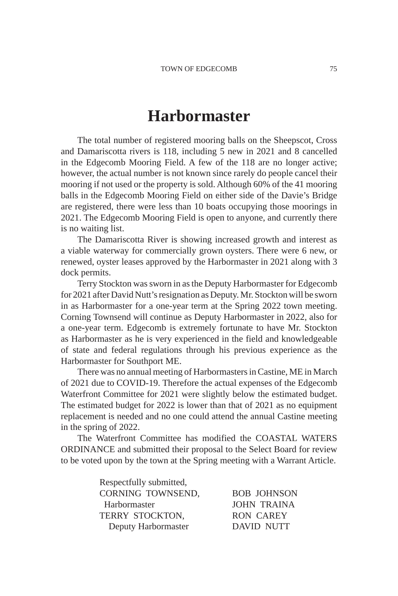### **Harbormaster**

The total number of registered mooring balls on the Sheepscot, Cross and Damariscotta rivers is 118, including 5 new in 2021 and 8 cancelled in the Edgecomb Mooring Field. A few of the 118 are no longer active; however, the actual number is not known since rarely do people cancel their mooring if not used or the property is sold. Although 60% of the 41 mooring balls in the Edgecomb Mooring Field on either side of the Davie's Bridge are registered, there were less than 10 boats occupying those moorings in 2021. The Edgecomb Mooring Field is open to anyone, and currently there is no waiting list.

The Damariscotta River is showing increased growth and interest as a viable waterway for commercially grown oysters. There were 6 new, or renewed, oyster leases approved by the Harbormaster in 2021 along with 3 dock permits.

Terry Stockton wassworn in asthe Deputy Harbormaster for Edgecomb for 2021 after David Nutt's resignation as Deputy. Mr. Stockton will be sworn in as Harbormaster for a one-year term at the Spring 2022 town meeting. Corning Townsend will continue as Deputy Harbormaster in 2022, also for a one-year term. Edgecomb is extremely fortunate to have Mr. Stockton as Harbormaster as he is very experienced in the field and knowledgeable of state and federal regulations through his previous experience as the Harbormaster for Southport ME.

There was no annual meeting of Harbormasters in Castine, ME in March of 2021 due to COVID-19. Therefore the actual expenses of the Edgecomb Waterfront Committee for 2021 were slightly below the estimated budget. The estimated budget for 2022 is lower than that of 2021 as no equipment replacement is needed and no one could attend the annual Castine meeting in the spring of 2022.

The Waterfront Committee has modified the COASTAL WATERS ORDINANCE and submitted their proposal to the Select Board for review to be voted upon by the town at the Spring meeting with a Warrant Article.

| Respectfully submitted, |                    |
|-------------------------|--------------------|
| CORNING TOWNSEND,       | <b>BOB JOHNSON</b> |
| Harbormaster            | JOHN TRAINA        |
| TERRY STOCKTON,         | <b>RON CAREY</b>   |
| Deputy Harbormaster     | DAVID NUTT         |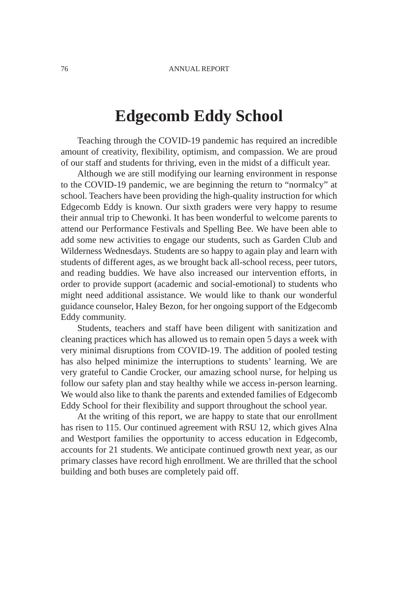### **Edgecomb Eddy School**

Teaching through the COVID-19 pandemic has required an incredible amount of creativity, flexibility, optimism, and compassion. We are proud of our staff and students for thriving, even in the midst of a difficult year.

Although we are still modifying our learning environment in response to the COVID-19 pandemic, we are beginning the return to "normalcy" at school. Teachers have been providing the high-quality instruction for which Edgecomb Eddy is known. Our sixth graders were very happy to resume their annual trip to Chewonki. It has been wonderful to welcome parents to attend our Performance Festivals and Spelling Bee. We have been able to add some new activities to engage our students, such as Garden Club and Wilderness Wednesdays. Students are so happy to again play and learn with students of different ages, as we brought back all-school recess, peer tutors, and reading buddies. We have also increased our intervention efforts, in order to provide support (academic and social-emotional) to students who might need additional assistance. We would like to thank our wonderful guidance counselor, Haley Bezon, for her ongoing support of the Edgecomb Eddy community.

Students, teachers and staff have been diligent with sanitization and cleaning practices which has allowed us to remain open 5 days a week with very minimal disruptions from COVID-19. The addition of pooled testing has also helped minimize the interruptions to students' learning. We are very grateful to Candie Crocker, our amazing school nurse, for helping us follow our safety plan and stay healthy while we access in-person learning. We would also like to thank the parents and extended families of Edgecomb Eddy School for their flexibility and support throughout the school year.

At the writing of this report, we are happy to state that our enrollment has risen to 115. Our continued agreement with RSU 12, which gives Alna and Westport families the opportunity to access education in Edgecomb, accounts for 21 students. We anticipate continued growth next year, as our primary classes have record high enrollment. We are thrilled that the school building and both buses are completely paid off.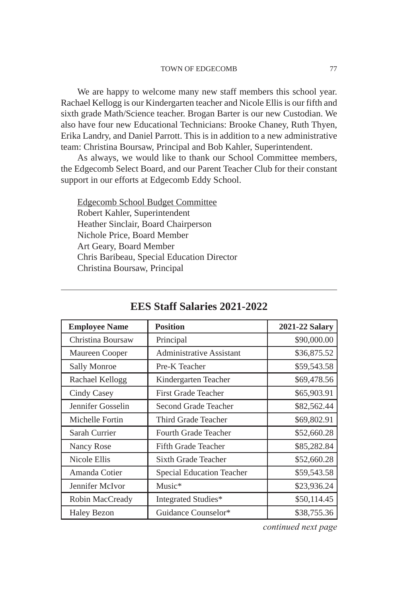#### TOWN OF EDGECOMB 77

We are happy to welcome many new staff members this school year. Rachael Kellogg is our Kindergarten teacher and Nicole Ellis is our fifth and sixth grade Math/Science teacher. Brogan Barter is our new Custodian. We also have four new Educational Technicians: Brooke Chaney, Ruth Thyen, Erika Landry, and Daniel Parrott. This is in addition to a new administrative team: Christina Boursaw, Principal and Bob Kahler, Superintendent.

As always, we would like to thank our School Committee members, the Edgecomb Select Board, and our Parent Teacher Club for their constant support in our efforts at Edgecomb Eddy School.

Edgecomb School Budget Committee Robert Kahler, Superintendent Heather Sinclair, Board Chairperson Nichole Price, Board Member Art Geary, Board Member Chris Baribeau, Special Education Director Christina Boursaw, Principal

| <b>Employee Name</b> | <b>Position</b>                  | 2021-22 Salary |
|----------------------|----------------------------------|----------------|
| Christina Boursaw    | Principal                        | \$90,000.00    |
| Maureen Cooper       | <b>Administrative Assistant</b>  | \$36,875.52    |
| <b>Sally Monroe</b>  | Pre-K Teacher                    | \$59,543.58    |
| Rachael Kellogg      | Kindergarten Teacher             | \$69,478.56    |
| Cindy Casey          | First Grade Teacher              | \$65,903.91    |
| Jennifer Gosselin    | Second Grade Teacher             | \$82,562.44    |
| Michelle Fortin      | Third Grade Teacher              | \$69,802.91    |
| Sarah Currier        | <b>Fourth Grade Teacher</b>      | \$52,660.28    |
| Nancy Rose           | Fifth Grade Teacher              | \$85,282.84    |
| Nicole Ellis         | <b>Sixth Grade Teacher</b>       | \$52,660.28    |
| Amanda Cotier        | <b>Special Education Teacher</b> | \$59,543.58    |
| Jennifer McIvor      | $Music*$                         | \$23,936.24    |
| Robin MacCready      | Integrated Studies*              | \$50,114.45    |
| <b>Haley Bezon</b>   | Guidance Counselor*              | \$38,755.36    |

### **EES Staff Salaries 2021-2022**

*continued next page*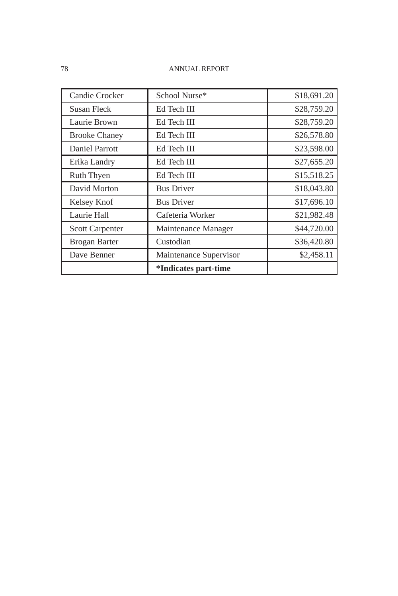### 78 ANNUAL REPORT

| Candie Crocker         | School Nurse*          | \$18,691.20 |
|------------------------|------------------------|-------------|
| <b>Susan Fleck</b>     | Ed Tech III            | \$28,759.20 |
| Laurie Brown           | Ed Tech III            | \$28,759.20 |
| <b>Brooke Chaney</b>   | Ed Tech III            | \$26,578.80 |
| Daniel Parrott         | Ed Tech III            | \$23,598.00 |
| Erika Landry           | Ed Tech III            | \$27,655.20 |
| Ruth Thyen             | Ed Tech III            | \$15,518.25 |
| David Morton           | <b>Bus Driver</b>      | \$18,043.80 |
| Kelsey Knof            | <b>Bus Driver</b>      | \$17,696.10 |
| Laurie Hall            | Cafeteria Worker       | \$21,982.48 |
| <b>Scott Carpenter</b> | Maintenance Manager    | \$44,720.00 |
| <b>Brogan Barter</b>   | Custodian              | \$36,420.80 |
| Dave Benner            | Maintenance Supervisor | \$2,458.11  |
|                        | *Indicates part-time   |             |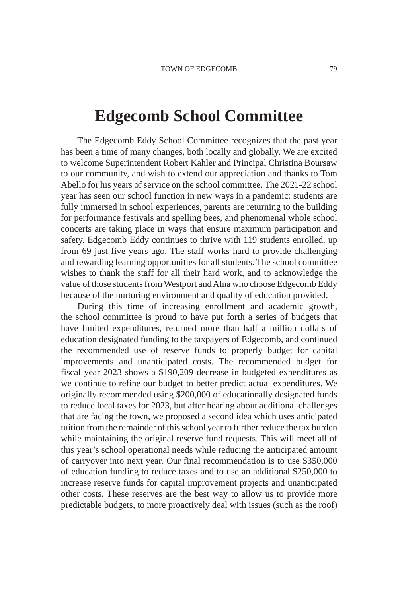### **Edgecomb School Committee**

The Edgecomb Eddy School Committee recognizes that the past year has been a time of many changes, both locally and globally. We are excited to welcome Superintendent Robert Kahler and Principal Christina Boursaw to our community, and wish to extend our appreciation and thanks to Tom Abello for his years of service on the school committee. The 2021-22 school year has seen our school function in new ways in a pandemic: students are fully immersed in school experiences, parents are returning to the building for performance festivals and spelling bees, and phenomenal whole school concerts are taking place in ways that ensure maximum participation and safety. Edgecomb Eddy continues to thrive with 119 students enrolled, up from 69 just five years ago. The staff works hard to provide challenging and rewarding learning opportunities for all students. The school committee wishes to thank the staff for all their hard work, and to acknowledge the value of those students from Westport and Alna who choose Edgecomb Eddy because of the nurturing environment and quality of education provided.

During this time of increasing enrollment and academic growth, the school committee is proud to have put forth a series of budgets that have limited expenditures, returned more than half a million dollars of education designated funding to the taxpayers of Edgecomb, and continued the recommended use of reserve funds to properly budget for capital improvements and unanticipated costs. The recommended budget for fiscal year 2023 shows a \$190,209 decrease in budgeted expenditures as we continue to refine our budget to better predict actual expenditures. We originally recommended using \$200,000 of educationally designated funds to reduce local taxes for 2023, but after hearing about additional challenges that are facing the town, we proposed a second idea which uses anticipated tuition from the remainder of this school year to further reduce the tax burden while maintaining the original reserve fund requests. This will meet all of this year's school operational needs while reducing the anticipated amount of carryover into next year. Our final recommendation is to use \$350,000 of education funding to reduce taxes and to use an additional \$250,000 to increase reserve funds for capital improvement projects and unanticipated other costs. These reserves are the best way to allow us to provide more predictable budgets, to more proactively deal with issues (such as the roof)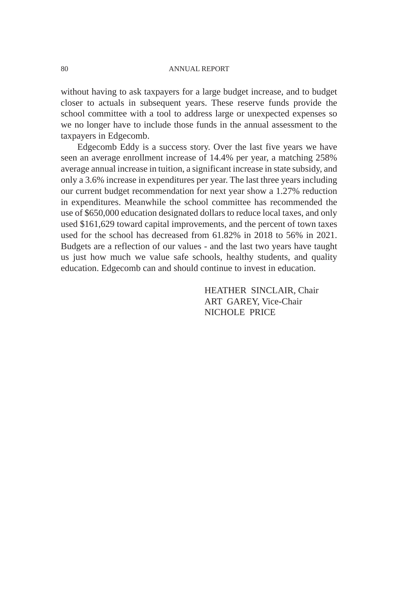#### 80 ANNUAL REPORT

without having to ask taxpayers for a large budget increase, and to budget closer to actuals in subsequent years. These reserve funds provide the school committee with a tool to address large or unexpected expenses so we no longer have to include those funds in the annual assessment to the taxpayers in Edgecomb.

Edgecomb Eddy is a success story. Over the last five years we have seen an average enrollment increase of 14.4% per year, a matching 258% average annual increase in tuition, a significant increase in state subsidy, and only a 3.6% increase in expenditures per year. The last three years including our current budget recommendation for next year show a 1.27% reduction in expenditures. Meanwhile the school committee has recommended the use of \$650,000 education designated dollars to reduce local taxes, and only used \$161,629 toward capital improvements, and the percent of town taxes used for the school has decreased from 61.82% in 2018 to 56% in 2021. Budgets are a reflection of our values - and the last two years have taught us just how much we value safe schools, healthy students, and quality education. Edgecomb can and should continue to invest in education.

> HEATHER SINCLAIR, Chair ART GAREY, Vice-Chair Nichole Price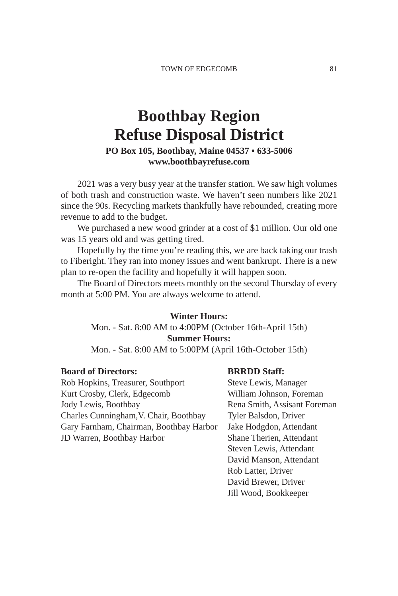# **Boothbay Region Refuse Disposal District**

### **PO Box 105, Boothbay, Maine 04537 • 633-5006 www.boothbayrefuse.com**

2021 was a very busy year at the transfer station. We saw high volumes of both trash and construction waste. We haven't seen numbers like 2021 since the 90s. Recycling markets thankfully have rebounded, creating more revenue to add to the budget.

We purchased a new wood grinder at a cost of \$1 million. Our old one was 15 years old and was getting tired.

Hopefully by the time you're reading this, we are back taking our trash to Fiberight. They ran into money issues and went bankrupt. There is a new plan to re-open the facility and hopefully it will happen soon.

The Board of Directors meets monthly on the second Thursday of every month at 5:00 PM. You are always welcome to attend.

### **Winter Hours:**

Mon. - Sat. 8:00 AM to 4:00PM (October 16th-April 15th) **Summer Hours:**

Mon. - Sat. 8:00 AM to 5:00PM (April 16th-October 15th)

### **Board of Directors: BRRDD Staff:**

Rob Hopkins, Treasurer, Southport Steve Lewis, Manager Kurt Crosby, Clerk, Edgecomb William Johnson, Foreman Jody Lewis, Boothbay Rena Smith, Assisant Foreman Charles Cunningham,V. Chair, Boothbay Tyler Balsdon, Driver Gary Farnham, Chairman, Boothbay Harbor Jake Hodgdon, Attendant JD Warren, Boothbay Harbor Shane Therien, Attendant

Steven Lewis, Attendant David Manson, Attendant Rob Latter, Driver David Brewer, Driver Jill Wood, Bookkeeper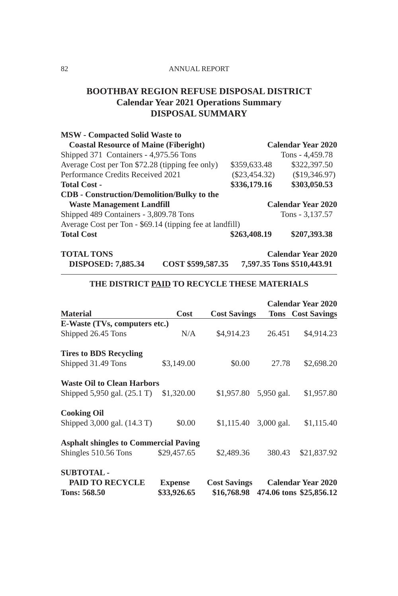#### 82 ANNUAL REPORT

### **BOOTHBAY REGION REFUSE DISPOSAL DISTRICT Calendar Year 2021 Operations Summary DISPOSAL SUMMARY**

| <b>MSW</b> - Compacted Solid Waste to                    |                 |                           |
|----------------------------------------------------------|-----------------|---------------------------|
| <b>Coastal Resource of Maine (Fiberight)</b>             |                 | <b>Calendar Year 2020</b> |
| Shipped 371 Containers - 4,975.56 Tons                   |                 | Tons - 4,459.78           |
| Average Cost per Ton \$72.28 (tipping fee only)          | \$359,633.48    | \$322,397.50              |
| Performance Credits Received 2021                        | $(\$23,454.32)$ | (\$19,346.97)             |
| <b>Total Cost -</b>                                      | \$336,179.16    | \$303,050.53              |
| <b>CDB</b> - Construction/Demolition/Bulky to the        |                 |                           |
| <b>Waste Management Landfill</b>                         |                 | <b>Calendar Year 2020</b> |
| Shipped 489 Containers - 3,809.78 Tons                   |                 | Tons - 3,137.57           |
| Average Cost per Ton - \$69.14 (tipping fee at landfill) |                 |                           |
| <b>Total Cost</b>                                        | \$263,408.19    | \$207,393.38              |

### **TOTAL TONS Calendar Year 2020 DISPOSED: 7,885.34 COST \$599,587.35 7,597.35 Tons \$510,443.91**

### **THE DISTRICT PAID TO RECYCLE THESE MATERIALS**

|                                              |                |                        |        | <b>Calendar Year 2020</b>           |
|----------------------------------------------|----------------|------------------------|--------|-------------------------------------|
| <b>Material</b>                              | Cost           | <b>Cost Savings</b>    |        | <b>Tons</b> Cost Savings            |
| E-Waste (TVs, computers etc.)                |                |                        |        |                                     |
| Shipped 26.45 Tons                           | N/A            | \$4,914.23             | 26.451 | \$4,914.23                          |
| <b>Tires to BDS Recycling</b>                |                |                        |        |                                     |
| Shipped 31.49 Tons                           | \$3,149.00     | \$0.00                 | 27.78  | \$2,698.20                          |
| <b>Waste Oil to Clean Harbors</b>            |                |                        |        |                                     |
| Shipped $5,950$ gal. $(25.1 \text{ T})$      | \$1,320.00     | $$1,957.80$ 5,950 gal. |        | \$1,957.80                          |
| <b>Cooking Oil</b>                           |                |                        |        |                                     |
| Shipped 3,000 gal. (14.3 T)                  | \$0.00         | $$1,115.40$ 3,000 gal. |        | \$1,115.40                          |
| <b>Asphalt shingles to Commercial Paving</b> |                |                        |        |                                     |
| Shingles 510.56 Tons                         | \$29,457.65    | \$2,489.36             | 380.43 | \$21,837.92                         |
| <b>SUBTOTAL-</b>                             |                |                        |        |                                     |
| <b>PAID TO RECYCLE</b>                       | <b>Expense</b> | <b>Cost Savings</b>    |        | <b>Calendar Year 2020</b>           |
| <b>Tons: 568.50</b>                          | \$33,926.65    |                        |        | \$16,768.98 474.06 tons \$25,856.12 |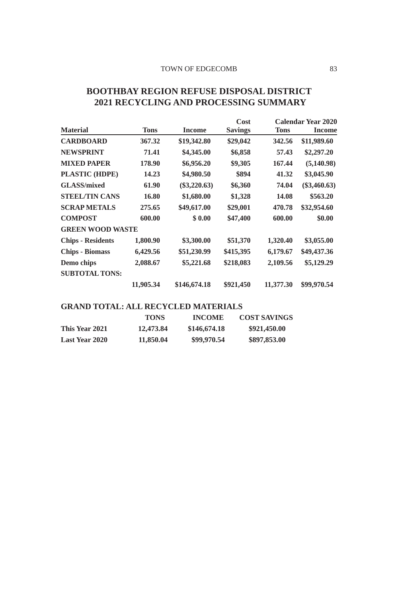#### TOWN OF EDGECOMB 83

### **BOOTHBAY REGION REFUSE DISPOSAL DISTRICT 2021 RECYCLING AND PROCESSING SUMMARY**

|                          |             |                | Cost           |             | <b>Calendar Year 2020</b> |
|--------------------------|-------------|----------------|----------------|-------------|---------------------------|
| <b>Material</b>          | <b>Tons</b> | <b>Income</b>  | <b>Savings</b> | <b>Tons</b> | <b>Income</b>             |
| <b>CARDBOARD</b>         | 367.32      | \$19,342.80    | \$29,042       | 342.56      | \$11,989.60               |
| <b>NEWSPRINT</b>         | 71.41       | \$4,345.00     | \$6,858        | 57.43       | \$2,297.20                |
| <b>MIXED PAPER</b>       | 178.90      | \$6,956.20     | \$9,305        | 167.44      | (5,140.98)                |
| PLASTIC (HDPE)           | 14.23       | \$4,980.50     | \$894          | 41.32       | \$3,045.90                |
| <b>GLASS/mixed</b>       | 61.90       | $(\$3,220.63)$ | \$6,360        | 74.04       | $(\$3,460.63)$            |
| <b>STEEL/TIN CANS</b>    | 16.80       | \$1,680.00     | \$1,328        | 14.08       | \$563.20                  |
| <b>SCRAP METALS</b>      | 275.65      | \$49,617.00    | \$29,001       | 470.78      | \$32,954.60               |
| <b>COMPOST</b>           | 600.00      | \$0.00         | \$47,400       | 600.00      | \$0.00                    |
| <b>GREEN WOOD WASTE</b>  |             |                |                |             |                           |
| <b>Chips - Residents</b> | 1,800.90    | \$3,300.00     | \$51,370       | 1,320.40    | \$3,055.00                |
| <b>Chips - Biomass</b>   | 6,429.56    | \$51,230.99    | \$415,395      | 6,179.67    | \$49,437.36               |
| Demo chips               | 2,088.67    | \$5,221.68     | \$218,083      | 2,109.56    | \$5,129.29                |
| <b>SUBTOTAL TONS:</b>    |             |                |                |             |                           |
|                          | 11,905.34   | \$146,674.18   | \$921,450      | 11,377.30   | \$99,970.54               |

#### **GRAND TOTAL: ALL RECYCLED MATERIALS**

|                       | <b>TONS</b> | <b>INCOME</b> | <b>COST SAVINGS</b> |
|-----------------------|-------------|---------------|---------------------|
| <b>This Year 2021</b> | 12,473.84   | \$146,674.18  | \$921,450.00        |
| <b>Last Year 2020</b> | 11,850.04   | \$99,970.54   | \$897,853,00        |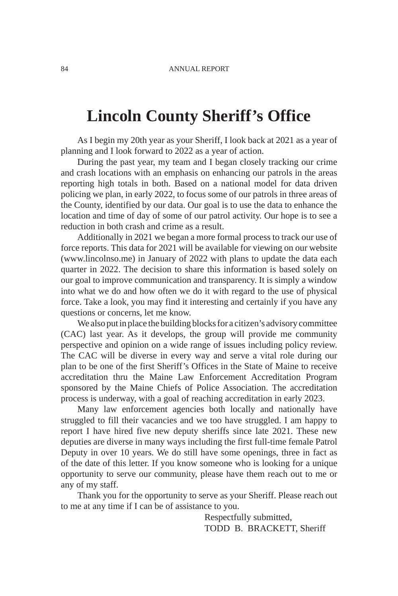### **Lincoln County Sheriff's Office**

As I begin my 20th year as your Sheriff, I look back at 2021 as a year of planning and I look forward to 2022 as a year of action.

During the past year, my team and I began closely tracking our crime and crash locations with an emphasis on enhancing our patrols in the areas reporting high totals in both. Based on a national model for data driven policing we plan, in early 2022, to focus some of our patrols in three areas of the County, identified by our data. Our goal is to use the data to enhance the location and time of day of some of our patrol activity. Our hope is to see a reduction in both crash and crime as a result.

Additionally in 2021 we began a more formal process to track our use of force reports. This data for 2021 will be available for viewing on our website (www.lincolnso.me) in January of 2022 with plans to update the data each quarter in 2022. The decision to share this information is based solely on our goal to improve communication and transparency. It is simply a window into what we do and how often we do it with regard to the use of physical force. Take a look, you may find it interesting and certainly if you have any questions or concerns, let me know.

We also put in place the building blocks for a citizen's advisory committee (CAC) last year. As it develops, the group will provide me community perspective and opinion on a wide range of issues including policy review. The CAC will be diverse in every way and serve a vital role during our plan to be one of the first Sheriff's Offices in the State of Maine to receive accreditation thru the Maine Law Enforcement Accreditation Program sponsored by the Maine Chiefs of Police Association. The accreditation process is underway, with a goal of reaching accreditation in early 2023.

Many law enforcement agencies both locally and nationally have struggled to fill their vacancies and we too have struggled. I am happy to report I have hired five new deputy sheriffs since late 2021. These new deputies are diverse in many ways including the first full-time female Patrol Deputy in over 10 years. We do still have some openings, three in fact as of the date of this letter. If you know someone who is looking for a unique opportunity to serve our community, please have them reach out to me or any of my staff.

Thank you for the opportunity to serve as your Sheriff. Please reach out to me at any time if I can be of assistance to you.

> Respectfully submitted, TODD B. BRACKETT, Sheriff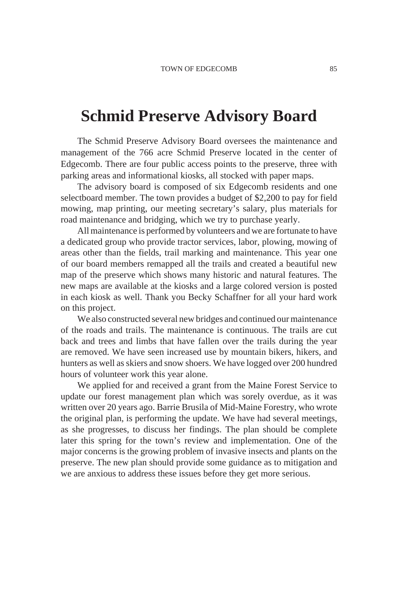### **Schmid Preserve Advisory Board**

The Schmid Preserve Advisory Board oversees the maintenance and management of the 766 acre Schmid Preserve located in the center of Edgecomb. There are four public access points to the preserve, three with parking areas and informational kiosks, all stocked with paper maps.

The advisory board is composed of six Edgecomb residents and one selectboard member. The town provides a budget of \$2,200 to pay for field mowing, map printing, our meeting secretary's salary, plus materials for road maintenance and bridging, which we try to purchase yearly.

All maintenance is performed by volunteers and we are fortunate to have a dedicated group who provide tractor services, labor, plowing, mowing of areas other than the fields, trail marking and maintenance. This year one of our board members remapped all the trails and created a beautiful new map of the preserve which shows many historic and natural features. The new maps are available at the kiosks and a large colored version is posted in each kiosk as well. Thank you Becky Schaffner for all your hard work on this project.

We also constructed several new bridges and continued our maintenance of the roads and trails. The maintenance is continuous. The trails are cut back and trees and limbs that have fallen over the trails during the year are removed. We have seen increased use by mountain bikers, hikers, and hunters as well as skiers and snow shoers. We have logged over 200 hundred hours of volunteer work this year alone.

We applied for and received a grant from the Maine Forest Service to update our forest management plan which was sorely overdue, as it was written over 20 years ago. Barrie Brusila of Mid-Maine Forestry, who wrote the original plan, is performing the update. We have had several meetings, as she progresses, to discuss her findings. The plan should be complete later this spring for the town's review and implementation. One of the major concerns is the growing problem of invasive insects and plants on the preserve. The new plan should provide some guidance as to mitigation and we are anxious to address these issues before they get more serious.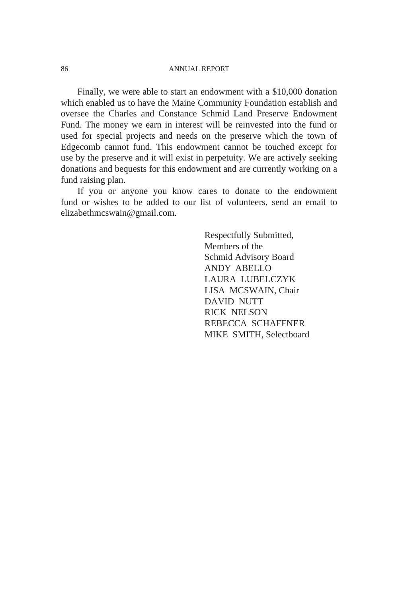#### 86 ANNIJAL REPORT

Finally, we were able to start an endowment with a \$10,000 donation which enabled us to have the Maine Community Foundation establish and oversee the Charles and Constance Schmid Land Preserve Endowment Fund. The money we earn in interest will be reinvested into the fund or used for special projects and needs on the preserve which the town of Edgecomb cannot fund. This endowment cannot be touched except for use by the preserve and it will exist in perpetuity. We are actively seeking donations and bequests for this endowment and are currently working on a fund raising plan.

If you or anyone you know cares to donate to the endowment fund or wishes to be added to our list of volunteers, send an email to elizabethmcswain@gmail.com.

> Respectfully Submitted, Members of the Schmid Advisory Board Andy Abello Laura Lubelczyk Lisa McSwain, Chair DAVID NUTT Rick Nelson Rebecca Schaffner MIKE SMITH, Selectboard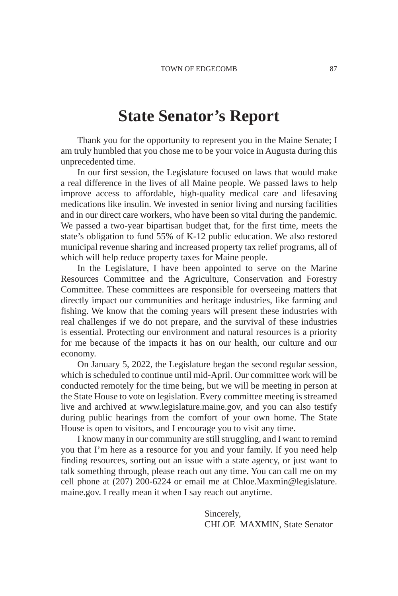### **State Senator's Report**

Thank you for the opportunity to represent you in the Maine Senate; I am truly humbled that you chose me to be your voice in Augusta during this unprecedented time.

In our first session, the Legislature focused on laws that would make a real difference in the lives of all Maine people. We passed laws to help improve access to affordable, high-quality medical care and lifesaving medications like insulin. We invested in senior living and nursing facilities and in our direct care workers, who have been so vital during the pandemic. We passed a two-year bipartisan budget that, for the first time, meets the state's obligation to fund 55% of K-12 public education. We also restored municipal revenue sharing and increased property tax relief programs, all of which will help reduce property taxes for Maine people.

In the Legislature, I have been appointed to serve on the Marine Resources Committee and the Agriculture, Conservation and Forestry Committee. These committees are responsible for overseeing matters that directly impact our communities and heritage industries, like farming and fishing. We know that the coming years will present these industries with real challenges if we do not prepare, and the survival of these industries is essential. Protecting our environment and natural resources is a priority for me because of the impacts it has on our health, our culture and our economy.

On January 5, 2022, the Legislature began the second regular session, which is scheduled to continue until mid-April. Our committee work will be conducted remotely for the time being, but we will be meeting in person at the State House to vote on legislation. Every committee meeting is streamed live and archived at www.legislature.maine.gov, and you can also testify during public hearings from the comfort of your own home. The State House is open to visitors, and I encourage you to visit any time.

I know many in our community are still struggling, and I want to remind you that I'm here as a resource for you and your family. If you need help finding resources, sorting out an issue with a state agency, or just want to talk something through, please reach out any time. You can call me on my cell phone at (207) 200-6224 or email me at Chloe.Maxmin@legislature. maine.gov. I really mean it when I say reach out anytime.

> Sincerely, Chloe Maxmin, State Senator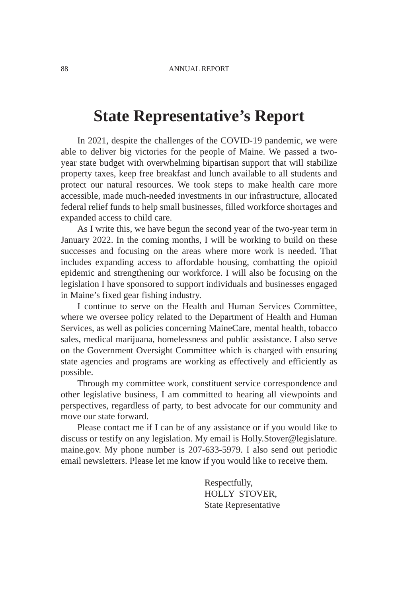### **State Representative's Report**

In 2021, despite the challenges of the COVID-19 pandemic, we were able to deliver big victories for the people of Maine. We passed a twoyear state budget with overwhelming bipartisan support that will stabilize property taxes, keep free breakfast and lunch available to all students and protect our natural resources. We took steps to make health care more accessible, made much-needed investments in our infrastructure, allocated federal relief funds to help small businesses, filled workforce shortages and expanded access to child care.

As I write this, we have begun the second year of the two-year term in January 2022. In the coming months, I will be working to build on these successes and focusing on the areas where more work is needed. That includes expanding access to affordable housing, combatting the opioid epidemic and strengthening our workforce. I will also be focusing on the legislation I have sponsored to support individuals and businesses engaged in Maine's fixed gear fishing industry.

I continue to serve on the Health and Human Services Committee, where we oversee policy related to the Department of Health and Human Services, as well as policies concerning MaineCare, mental health, tobacco sales, medical marijuana, homelessness and public assistance. I also serve on the Government Oversight Committee which is charged with ensuring state agencies and programs are working as effectively and efficiently as possible.

Through my committee work, constituent service correspondence and other legislative business, I am committed to hearing all viewpoints and perspectives, regardless of party, to best advocate for our community and move our state forward.

Please contact me if I can be of any assistance or if you would like to discuss or testify on any legislation. My email is Holly.Stover@legislature. maine.gov. My phone number is 207-633-5979. I also send out periodic email newsletters. Please let me know if you would like to receive them.

> Respectfully, Holly Stover, State Representative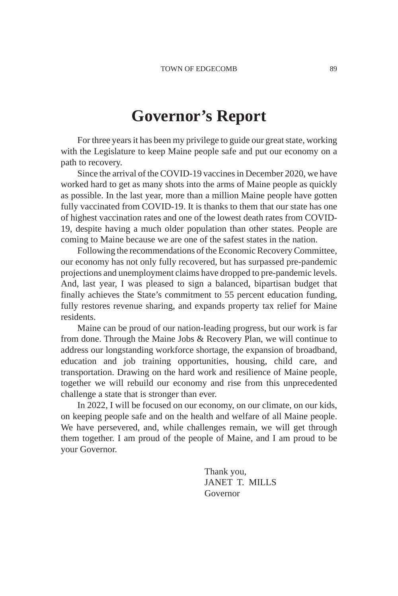## **Governor's Report**

For three years it has been my privilege to guide our great state, working with the Legislature to keep Maine people safe and put our economy on a path to recovery.

Since the arrival of the COVID-19 vaccines in December 2020, we have worked hard to get as many shots into the arms of Maine people as quickly as possible. In the last year, more than a million Maine people have gotten fully vaccinated from COVID-19. It is thanks to them that our state has one of highest vaccination rates and one of the lowest death rates from COVID- 19, despite having a much older population than other states. People are coming to Maine because we are one of the safest states in the nation.

Following the recommendations of the Economic Recovery Committee, our economy has not only fully recovered, but has surpassed pre-pandemic projections and unemployment claims have dropped to pre-pandemic levels. And, last year, I was pleased to sign a balanced, bipartisan budget that finally achieves the State's commitment to 55 percent education funding, fully restores revenue sharing, and expands property tax relief for Maine residents.

Maine can be proud of our nation-leading progress, but our work is far from done. Through the Maine Jobs & Recovery Plan, we will continue to address our longstanding workforce shortage, the expansion of broadband, education and job training opportunities, housing, child care, and transportation. Drawing on the hard work and resilience of Maine people, together we will rebuild our economy and rise from this unprecedented challenge a state that is stronger than ever.

In 2022, I will be focused on our economy, on our climate, on our kids, on keeping people safe and on the health and welfare of all Maine people. We have persevered, and, while challenges remain, we will get through them together. I am proud of the people of Maine, and I am proud to be your Governor.

> Thank you, Janet T. Mills Governor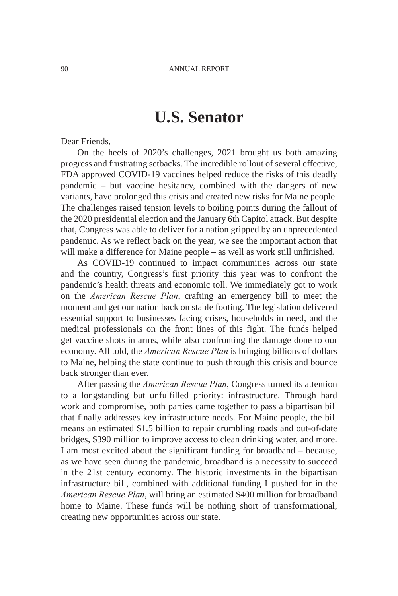### **U.S. Senator**

Dear Friends,

On the heels of 2020's challenges, 2021 brought us both amazing progress and frustrating setbacks. The incredible rollout of several effective, FDA approved COVID-19 vaccines helped reduce the risks of this deadly pandemic – but vaccine hesitancy, combined with the dangers of new variants, have prolonged this crisis and created new risks for Maine people. The challenges raised tension levels to boiling points during the fallout of the 2020 presidential election and the January 6th Capitol attack. But despite that, Congress was able to deliver for a nation gripped by an unprecedented pandemic. As we reflect back on the year, we see the important action that will make a difference for Maine people – as well as work still unfinished.

As COVID-19 continued to impact communities across our state and the country, Congress's first priority this year was to confront the pandemic's health threats and economic toll. We immediately got to work on the *American Rescue Plan*, crafting an emergency bill to meet the moment and get our nation back on stable footing. The legislation delivered essential support to businesses facing crises, households in need, and the medical professionals on the front lines of this fight. The funds helped get vaccine shots in arms, while also confronting the damage done to our economy. All told, the *American Rescue Plan* is bringing billions of dollars to Maine, helping the state continue to push through this crisis and bounce back stronger than ever.

After passing the *American Rescue Plan*, Congress turned its attention to a longstanding but unfulfilled priority: infrastructure. Through hard work and compromise, both parties came together to pass a bipartisan bill that finally addresses key infrastructure needs. For Maine people, the bill means an estimated \$1.5 billion to repair crumbling roads and out-of-date bridges, \$390 million to improve access to clean drinking water, and more. I am most excited about the significant funding for broadband – because, as we have seen during the pandemic, broadband is a necessity to succeed in the 21st century economy. The historic investments in the bipartisan infrastructure bill, combined with additional funding I pushed for in the *American Rescue Plan*, will bring an estimated \$400 million for broadband home to Maine. These funds will be nothing short of transformational, creating new opportunities across our state.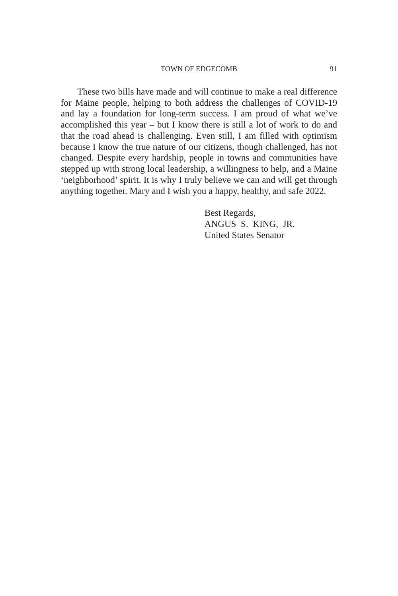#### TOWN OF EDGECOMB 91

These two bills have made and will continue to make a real difference for Maine people, helping to both address the challenges of COVID-19 and lay a foundation for long-term success. I am proud of what we've accomplished this year – but I know there is still a lot of work to do and that the road ahead is challenging. Even still, I am filled with optimism because I know the true nature of our citizens, though challenged, has not changed. Despite every hardship, people in towns and communities have stepped up with strong local leadership, a willingness to help, and a Maine 'neighborhood' spirit. It is why I truly believe we can and will get through anything together. Mary and I wish you a happy, healthy, and safe 2022.

> Best Regards, Angus S. King, Jr. United States Senator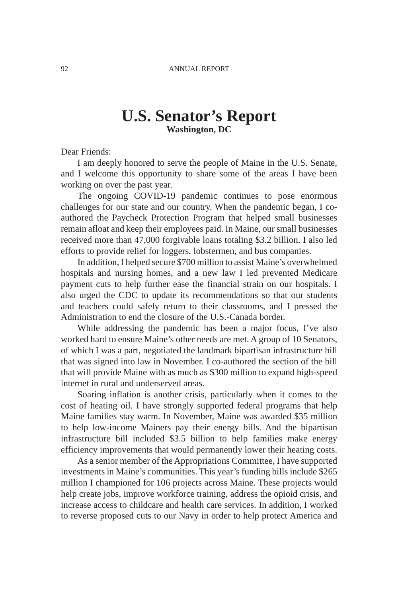### **U.S. Senator's Report Washington, DC**

Dear Friends:

I am deeply honored to serve the people of Maine in the U.S. Senate, and I welcome this opportunity to share some of the areas I have been working on over the past year.

The ongoing COVID-19 pandemic continues to pose enormous challenges for our state and our country. When the pandemic began, I coauthored the Paycheck Protection Program that helped small businesses remain afloat and keep their employees paid. In Maine, our small businesses received more than 47,000 forgivable loans totaling \$3.2 billion. I also led efforts to provide relief for loggers, lobstermen, and bus companies.

In addition, I helped secure \$700 million to assist Maine's overwhelmed hospitals and nursing homes, and a new law I led prevented Medicare payment cuts to help further ease the financial strain on our hospitals. I also urged the CDC to update its recommendations so that our students and teachers could safely return to their classrooms, and I pressed the Administration to end the closure of the U.S.-Canada border.

While addressing the pandemic has been a major focus, I've also worked hard to ensure Maine's other needs are met. A group of 10 Senators, of which I was a part, negotiated the landmark bipartisan infrastructure bill that was signed into law in November. I co-authored the section of the bill that will provide Maine with as much as \$300 million to expand high-speed internet in rural and underserved areas.

Soaring inflation is another crisis, particularly when it comes to the cost of heating oil. I have strongly supported federal programs that help Maine families stay warm. In November, Maine was awarded \$35 million to help low-income Mainers pay their energy bills. And the bipartisan infrastructure bill included \$3.5 billion to help families make energy efficiency improvements that would permanently lower their heating costs.

As a senior member of the Appropriations Committee, I have supported investments in Maine's communities. This year's funding bills include \$265 million I championed for 106 projects across Maine. These projects would help create jobs, improve workforce training, address the opioid crisis, and increase access to childcare and health care services. In addition, I worked to reverse proposed cuts to our Navy in order to help protect America and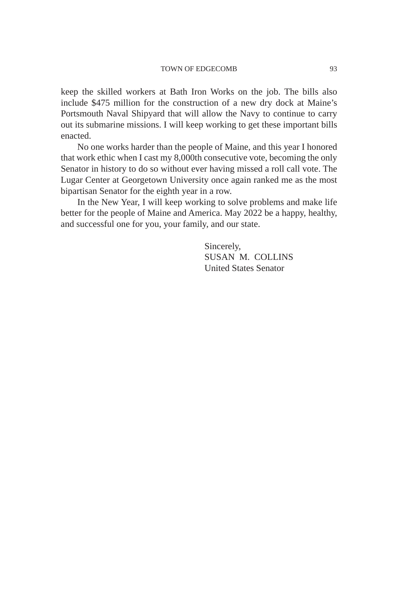#### TOWN OF EDGECOMB 93

keep the skilled workers at Bath Iron Works on the job. The bills also include \$475 million for the construction of a new dry dock at Maine's Portsmouth Naval Shipyard that will allow the Navy to continue to carry out its submarine missions. I will keep working to get these important bills enacted.

No one works harder than the people of Maine, and this year I honored that work ethic when I cast my 8,000th consecutive vote, becoming the only Senator in history to do so without ever having missed a roll call vote. The Lugar Center at Georgetown University once again ranked me as the most bipartisan Senator for the eighth year in a row.

In the New Year, I will keep working to solve problems and make life better for the people of Maine and America. May 2022 be a happy, healthy, and successful one for you, your family, and our state.

> Sincerely, Susan M. Collins United States Senator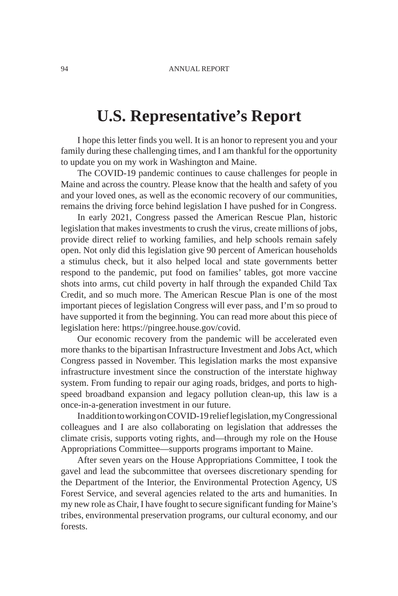### **U.S. Representative's Report**

I hope this letter finds you well. It is an honor to represent you and your family during these challenging times, and I am thankful for the opportunity to update you on my work in Washington and Maine.

The COVID-19 pandemic continues to cause challenges for people in Maine and across the country. Please know that the health and safety of you and your loved ones, as well as the economic recovery of our communities, remains the driving force behind legislation I have pushed for in Congress.

In early 2021, Congress passed the American Rescue Plan, historic legislation that makes investments to crush the virus, create millions of jobs, provide direct relief to working families, and help schools remain safely open. Not only did this legislation give 90 percent of American households a stimulus check, but it also helped local and state governments better respond to the pandemic, put food on families' tables, got more vaccine shots into arms, cut child poverty in half through the expanded Child Tax Credit, and so much more. The American Rescue Plan is one of the most important pieces of legislation Congress will ever pass, and I'm so proud to have supported it from the beginning. You can read more about this piece of legislation here: https://pingree.house.gov/covid.

Our economic recovery from the pandemic will be accelerated even more thanks to the bipartisan Infrastructure Investment and Jobs Act, which Congress passed in November. This legislation marks the most expansive infrastructure investment since the construction of the interstate highway system. From funding to repair our aging roads, bridges, and ports to highspeed broadband expansion and legacy pollution clean-up, this law is a once-in-a-generation investment in our future.

InadditiontoworkingonCOVID-19relieflegislation,myCongressional colleagues and I are also collaborating on legislation that addresses the climate crisis, supports voting rights, and—through my role on the House Appropriations Committee—supports programs important to Maine.

After seven years on the House Appropriations Committee, I took the gavel and lead the subcommittee that oversees discretionary spending for the Department of the Interior, the Environmental Protection Agency, US Forest Service, and several agencies related to the arts and humanities. In my new role as Chair, I have fought to secure significant funding for Maine's tribes, environmental preservation programs, our cultural economy, and our forests.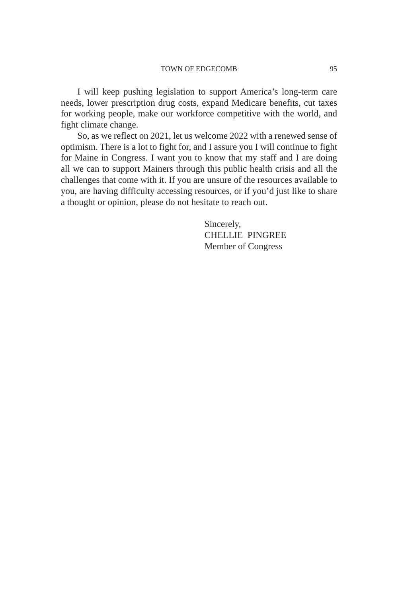I will keep pushing legislation to support America's long-term care needs, lower prescription drug costs, expand Medicare benefits, cut taxes for working people, make our workforce competitive with the world, and fight climate change.

So, as we reflect on 2021, let us welcome 2022 with a renewed sense of optimism. There is a lot to fight for, and I assure you I will continue to fight for Maine in Congress. I want you to know that my staff and I are doing all we can to support Mainers through this public health crisis and all the challenges that come with it. If you are unsure of the resources available to you, are having difficulty accessing resources, or if you'd just like to share a thought or opinion, please do not hesitate to reach out.

> Sincerely, Chellie Pingree Member of Congress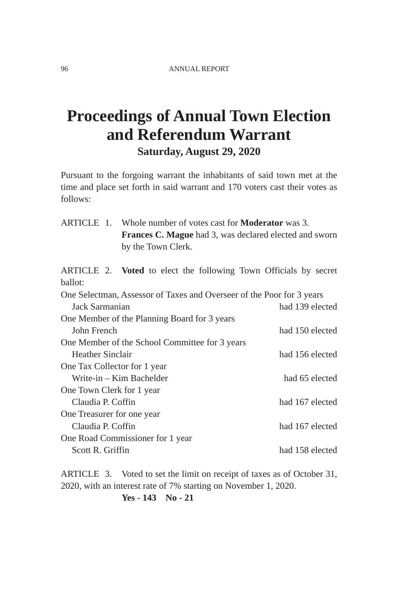### **Proceedings of Annual Town Election and Referendum Warrant Saturday, August 29, 2020**

Pursuant to the forgoing warrant the inhabitants of said town met at the time and place set forth in said warrant and 170 voters cast their votes as follows:

ARTICLE 1. Whole number of votes cast for **Moderator** was 3. **Frances C. Mague** had 3, was declared elected and sworn by the Town Clerk.

ARTICLE 2. Voted to elect the following Town Officials by secret ballot: One Selectman, Assessor of Taxes and Overseer of the Poor for 3 years Jack Sarmanian had 139 elected One Member of the Planning Board for 3 years John French **had 150 elected** One Member of the School Committee for 3 years Heather Sinclair had 156 elected One Tax Collector for 1 year Write-in – Kim Bachelder had 65 elected One Town Clerk for 1 year Claudia P. Coffin had 167 elected One Treasurer for one year Claudia P. Coffin had 167 elected One Road Commissioner for 1 year Scott R. Griffin had 158 elected

ARTICLE 3. Voted to set the limit on receipt of taxes as of October 31, 2020, with an interest rate of 7% starting on November 1, 2020.

 **Yes - 143 No - 21**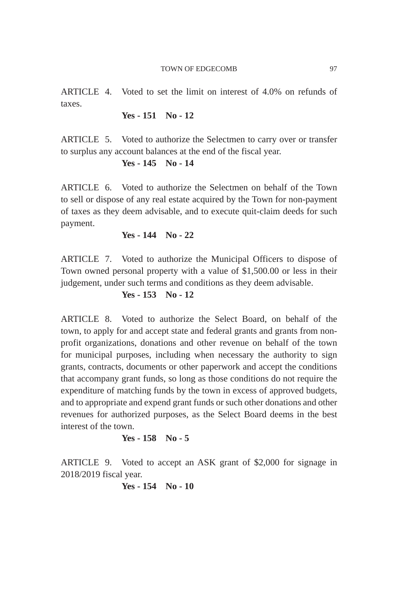ARTICLE 4. Voted to set the limit on interest of 4.0% on refunds of taxes.

### **Yes - 151 No - 12**

ARTICLE 5. Voted to authorize the Selectmen to carry over or transfer to surplus any account balances at the end of the fiscal year.

```
	 	 	 Yes - 145 No - 14
```
ARTICLE 6. Voted to authorize the Selectmen on behalf of the Town to sell or dispose of any real estate acquired by the Town for non-payment of taxes as they deem advisable, and to execute quit-claim deeds for such payment.

### **Yes - 144 No - 22**

ARTICLE 7. Voted to authorize the Municipal Officers to dispose of Town owned personal property with a value of \$1,500.00 or less in their judgement, under such terms and conditions as they deem advisable.

### **Yes - 153 No - 12**

ARTICLE 8. Voted to authorize the Select Board, on behalf of the town, to apply for and accept state and federal grants and grants from nonprofit organizations, donations and other revenue on behalf of the town for municipal purposes, including when necessary the authority to sign grants, contracts, documents or other paperwork and accept the conditions that accompany grant funds, so long as those conditions do not require the expenditure of matching funds by the town in excess of approved budgets, and to appropriate and expend grant funds or such other donations and other revenues for authorized purposes, as the Select Board deems in the best interest of the town.

### **Yes - 158 No - 5**

ARTICLE 9. Voted to accept an ASK grant of \$2,000 for signage in 2018/2019 fiscal year.

$$
Yes - 154 No - 10
$$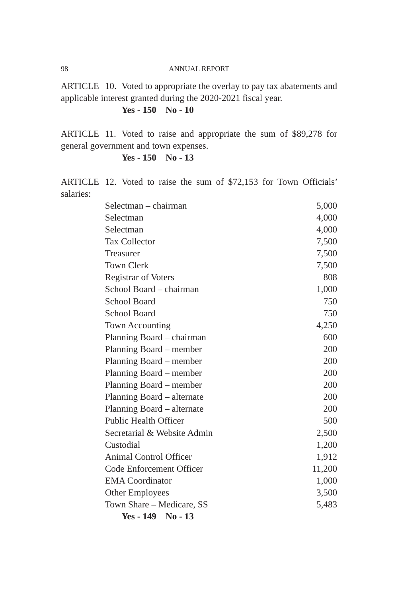#### 98 ANNUAL REPORT

ARTICLE 10. Voted to appropriate the overlay to pay tax abatements and applicable interest granted during the 2020-2021 fiscal year.

### **Yes - 150 No - 10**

ARTICLE 11. Voted to raise and appropriate the sum of \$89,278 for general government and town expenses.

 **Yes - 150 No - 13**

ARTICLE 12. Voted to raise the sum of \$72,153 for Town Officials' salaries:

| Selectman – chairman         | 5,000  |
|------------------------------|--------|
| Selectman                    | 4,000  |
| Selectman                    | 4,000  |
| <b>Tax Collector</b>         | 7,500  |
| Treasurer                    | 7,500  |
| <b>Town Clerk</b>            | 7,500  |
| <b>Registrar of Voters</b>   | 808    |
| School Board – chairman      | 1,000  |
| <b>School Board</b>          | 750    |
| <b>School Board</b>          | 750    |
| Town Accounting              | 4,250  |
| Planning Board – chairman    | 600    |
| Planning Board – member      | 200    |
| Planning Board – member      | 200    |
| Planning Board – member      | 200    |
| Planning Board – member      | 200    |
| Planning Board – alternate   | 200    |
| Planning Board – alternate   | 200    |
| <b>Public Health Officer</b> | 500    |
| Secretarial & Website Admin  | 2,500  |
| Custodial                    | 1,200  |
| Animal Control Officer       | 1,912  |
| Code Enforcement Officer     | 11,200 |
| <b>EMA</b> Coordinator       | 1,000  |
| <b>Other Employees</b>       | 3,500  |
| Town Share – Medicare, SS    | 5,483  |
| $Yes - 149 No - 13$          |        |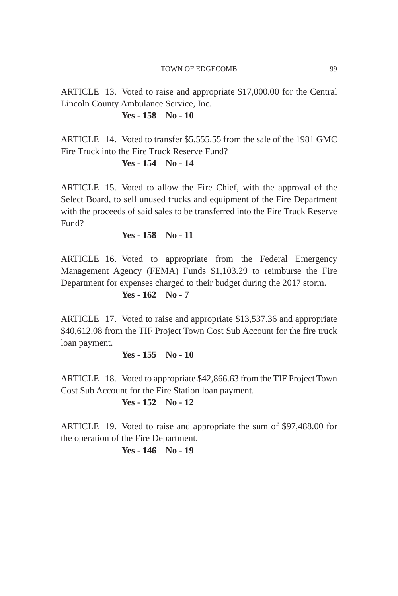ARTICLE 13. Voted to raise and appropriate \$17,000.00 for the Central Lincoln County Ambulance Service, Inc.

 **Yes - 158 No - 10**

ARTICLE 14. Voted to transfer \$5,555.55 from the sale of the 1981 GMC Fire Truck into the Fire Truck Reserve Fund?

 **Yes - 154 No - 14**

ARTICLE 15. Voted to allow the Fire Chief, with the approval of the Select Board, to sell unused trucks and equipment of the Fire Department with the proceeds of said sales to be transferred into the Fire Truck Reserve Fund?

### **Yes - 158 No - 11**

ARTICLE 16. Voted to appropriate from the Federal Emergency Management Agency (FEMA) Funds \$1,103.29 to reimburse the Fire Department for expenses charged to their budget during the 2017 storm.

### **Yes - 162 No - 7**

ARTICLE 17. Voted to raise and appropriate \$13,537.36 and appropriate \$40,612.08 from the TIF Project Town Cost Sub Account for the fire truck loan payment.

#### **Yes - 155 No - 10**

ARTICLE 18. Voted to appropriate \$42,866.63 from the TIF Project Town Cost Sub Account for the Fire Station loan payment.

### **Yes - 152 No - 12**

ARTICLE 19. Voted to raise and appropriate the sum of \$97,488.00 for the operation of the Fire Department.

#### **Yes - 146 No - 19**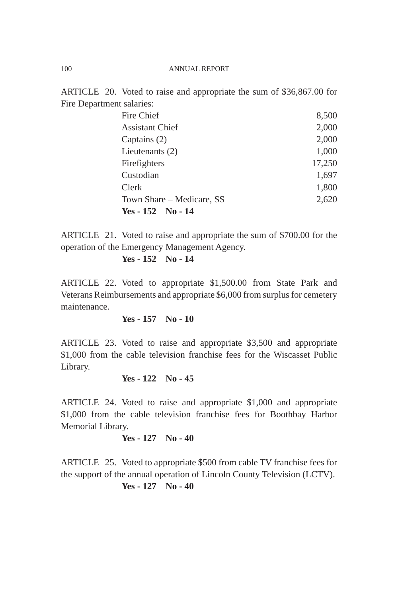ARTICLE 20. Voted to raise and appropriate the sum of \$36,867.00 for Fire Department salaries:

| Fire Chief                | 8,500  |
|---------------------------|--------|
| <b>Assistant Chief</b>    | 2,000  |
| Captains (2)              | 2,000  |
| Lieutenants $(2)$         | 1,000  |
| Firefighters              | 17,250 |
| Custodian                 | 1,697  |
| <b>Clerk</b>              | 1,800  |
| Town Share – Medicare, SS | 2,620  |
| $Yes - 152 No - 14$       |        |

ARTICLE 21. Voted to raise and appropriate the sum of \$700.00 for the operation of the Emergency Management Agency.

 **Yes - 152 No - 14**

ARTICLE 22. Voted to appropriate \$1,500.00 from State Park and Veterans Reimbursements and appropriate \$6,000 from surplus for cemetery maintenance.

$$
Yes - 157 No - 10
$$

ARTICLE 23. Voted to raise and appropriate \$3,500 and appropriate \$1,000 from the cable television franchise fees for the Wiscasset Public Library.

$$
Yes - 122 No - 45
$$

ARTICLE 24. Voted to raise and appropriate \$1,000 and appropriate \$1,000 from the cable television franchise fees for Boothbay Harbor Memorial Library.

### **Yes - 127 No - 40**

ARTICLE 25. Voted to appropriate \$500 from cable TV franchise fees for the support of the annual operation of Lincoln County Television (LCTV).

$$
Yes - 127 No - 40
$$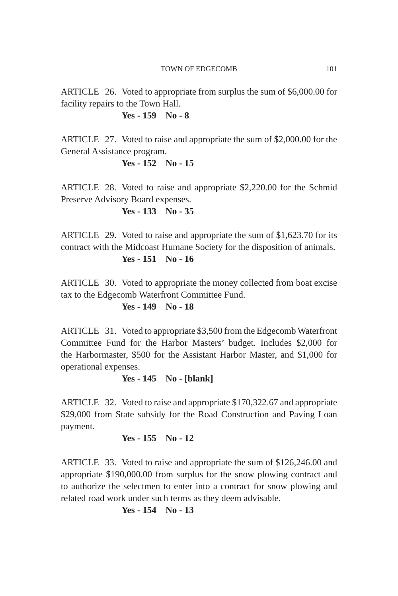ARTICLE 26. Voted to appropriate from surplus the sum of  $$6,000.00$  for facility repairs to the Town Hall.

  **Yes - 159 No - 8**

ARTICLE 27. Voted to raise and appropriate the sum of \$2,000.00 for the General Assistance program.

```
	 	 	 Yes - 152 No - 15
```
ARTICLE 28. Voted to raise and appropriate \$2,220.00 for the Schmid Preserve Advisory Board expenses.

 **Yes - 133 No - 35**

ARTICLE 29. Voted to raise and appropriate the sum of \$1,623.70 for its contract with the Midcoast Humane Society for the disposition of animals. **Yes - 151 No - 16**

ARTICLE 30. Voted to appropriate the money collected from boat excise tax to the Edgecomb Waterfront Committee Fund.

### **Yes - 149 No - 18**

ARTICLE 31. Voted to appropriate \$3,500 from the Edgecomb Waterfront Committee Fund for the Harbor Masters' budget. Includes \$2,000 for the Harbormaster, \$500 for the Assistant Harbor Master, and \$1,000 for operational expenses.

### **Yes - 145 No - [blank]**

ARTICLE 32. Voted to raise and appropriate \$170,322.67 and appropriate \$29,000 from State subsidy for the Road Construction and Paving Loan payment.

### **Yes - 155 No - 12**

ARTICLE 33. Voted to raise and appropriate the sum of \$126,246.00 and appropriate \$190,000.00 from surplus for the snow plowing contract and to authorize the selectmen to enter into a contract for snow plowing and related road work under such terms as they deem advisable.

$$
Yes - 154 \quad No - 13
$$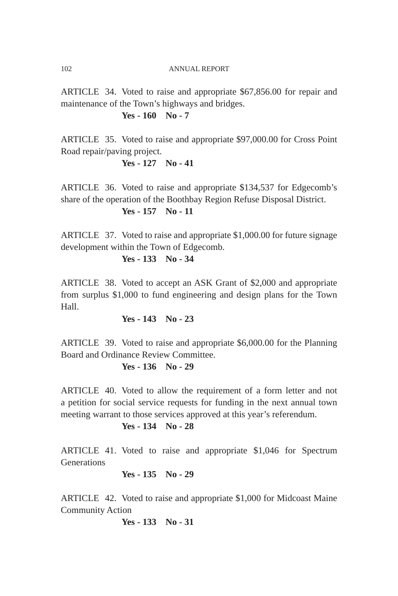ARTICLE 34. Voted to raise and appropriate \$67,856.00 for repair and maintenance of the Town's highways and bridges.

 **Yes - 160 No - 7**

ARTICLE 35. Voted to raise and appropriate \$97,000.00 for Cross Point Road repair/paving project.

 **Yes - 127 No - 41**

ARTICLE 36. Voted to raise and appropriate \$134,537 for Edgecomb's share of the operation of the Boothbay Region Refuse Disposal District.

 **Yes - 157 No - 11**

ARTICLE 37. Voted to raise and appropriate \$1,000.00 for future signage development within the Town of Edgecomb.

 **Yes - 133 No - 34**

ARTICLE 38. Voted to accept an ASK Grant of \$2,000 and appropriate from surplus \$1,000 to fund engineering and design plans for the Town Hall.

 **Yes - 143 No - 23**

ARTICLE 39. Voted to raise and appropriate \$6,000.00 for the Planning Board and Ordinance Review Committee.

 **Yes - 136 No - 29**

ARTICLE 40. Voted to allow the requirement of a form letter and not a petition for social service requests for funding in the next annual town meeting warrant to those services approved at this year's referendum.

### **Yes - 134 No - 28**

ARTICLE 41. Voted to raise and appropriate \$1,046 for Spectrum **Generations** 

 **Yes - 135 No - 29**

ARTICLE 42. Voted to raise and appropriate \$1,000 for Midcoast Maine Community Action

```
	 	 	 Yes - 133 No - 31
```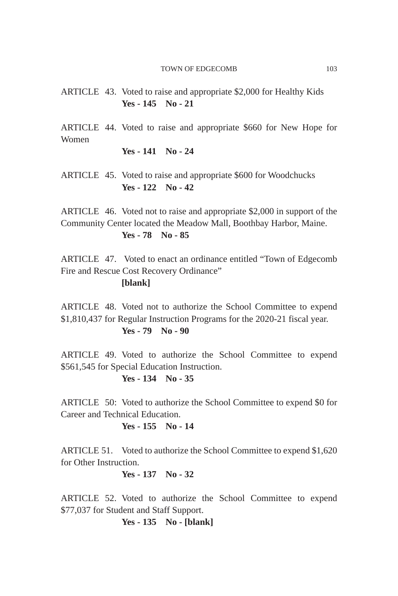#### TOWN OF EDGECOMB

ARTICLE 43. Voted to raise and appropriate \$2,000 for Healthy Kids  **Yes - 145 No - 21**

ARTICLE 44. Voted to raise and appropriate \$660 for New Hope for Women

 **Yes - 141 No - 24**

ARTICLE 45. Voted to raise and appropriate \$600 for Woodchucks **Yes - 122 No - 42**

ARTICLE 46. Voted not to raise and appropriate \$2,000 in support of the Community Center located the Meadow Mall, Boothbay Harbor, Maine. **Yes - 78 No - 85**

ARTICLE 47. Voted to enact an ordinance entitled "Town of Edgecomb" Fire and Rescue Cost Recovery Ordinance"

### **[blank]**

ARTICLE 48. Voted not to authorize the School Committee to expend \$1,810,437 for Regular Instruction Programs for the 2020-21 fiscal year. **Yes - 79 No - 90**

ARTICLE 49. Voted to authorize the School Committee to expend \$561,545 for Special Education Instruction.

 **Yes - 134 No - 35**

ARTICLE 50: Voted to authorize the School Committee to expend \$0 for Career and Technical Education.

 **Yes - 155 No - 14**

ARTICLE 51. Voted to authorize the School Committee to expend \$1,620 for Other Instruction.

 **Yes - 137 No - 32**

ARTICLE 52. Voted to authorize the School Committee to expend \$77,037 for Student and Staff Support.

  **Yes - 135 No - [blank]**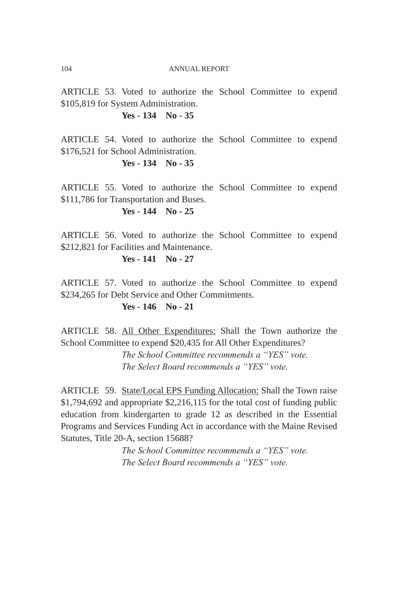#### 104 ANNUAL REPORT

ARTICLE 53. Voted to authorize the School Committee to expend \$105,819 for System Administration.

 **Yes - 134 No - 35**

ARTICLE 54. Voted to authorize the School Committee to expend \$176,521 for School Administration.

 **Yes - 134 No - 35**

ARTICLE 55. Voted to authorize the School Committee to expend \$111,786 for Transportation and Buses.

  **Yes - 144 No - 25**

ARTICLE 56. Voted to authorize the School Committee to expend \$212,821 for Facilities and Maintenance.

### **Yes - 141 No - 27**

ARTICLE 57. Voted to authorize the School Committee to expend \$234,265 for Debt Service and Other Commitments.

### **Yes - 146 No - 21**

ARTICLE 58. All Other Expenditures: Shall the Town authorize the School Committee to expend \$20,435 for All Other Expenditures?

> *The School Committee recommends a "YES" vote. The Select Board recommends a "YES" vote.*

ARTICLE 59. State/Local EPS Funding Allocation: Shall the Town raise \$1,794,692 and appropriate \$2,216,115 for the total cost of funding public education from kindergarten to grade 12 as described in the Essential Programs and Services Funding Act in accordance with the Maine Revised Statutes, Title 20-A, section 15688?

> *The School Committee recommends a "YES" vote. The Select Board recommends a "YES" vote.*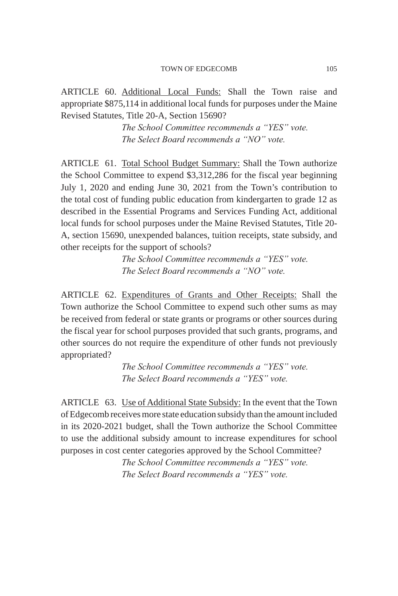ARTICLE 60. Additional Local Funds: Shall the Town raise and appropriate \$875,114 in additional local funds for purposes under the Maine Revised Statutes, Title 20-A, Section 15690?

> *The School Committee recommends a "YES" vote. The Select Board recommends a "NO" vote.*

ARTICLE 61. Total School Budget Summary: Shall the Town authorize the School Committee to expend \$3,312,286 for the fiscal year beginning July 1, 2020 and ending June 30, 2021 from the Town's contribution to the total cost of funding public education from kindergarten to grade 12 as described in the Essential Programs and Services Funding Act, additional local funds for school purposes under the Maine Revised Statutes, Title 20- A, section 15690, unexpended balances, tuition receipts, state subsidy, and other receipts for the support of schools?

> *The School Committee recommends a "YES" vote. The Select Board recommends a "NO" vote.*

ARTICLE 62. Expenditures of Grants and Other Receipts: Shall the Town authorize the School Committee to expend such other sums as may be received from federal or state grants or programs or other sources during the fiscal year for school purposes provided that such grants, programs, and other sources do not require the expenditure of other funds not previously appropriated?

> *The School Committee recommends a "YES" vote. The Select Board recommends a "YES" vote.*

ARTICLE 63. Use of Additional State Subsidy: In the event that the Town ofEdgecomb receivesmore state education subsidy than the amount included in its 2020-2021 budget, shall the Town authorize the School Committee to use the additional subsidy amount to increase expenditures for school purposes in cost center categories approved by the School Committee?

> *The School Committee recommends a "YES" vote. The Select Board recommends a "YES" vote.*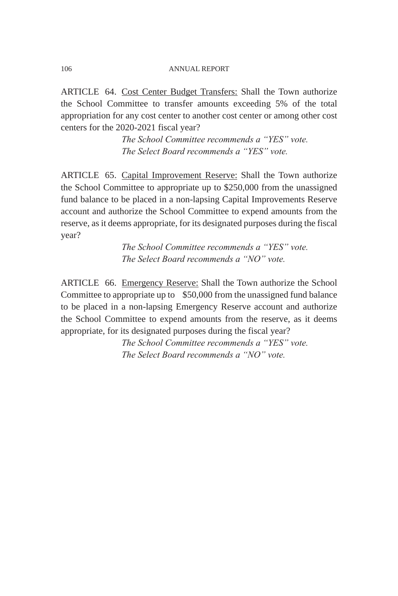ARTICLE 64. Cost Center Budget Transfers: Shall the Town authorize the School Committee to transfer amounts exceeding 5% of the total appropriation for any cost center to another cost center or among other cost centers for the 2020-2021 fiscal year?

> *The School Committee recommends a "YES" vote. The Select Board recommends a "YES" vote.*

ARTICLE 65. Capital Improvement Reserve: Shall the Town authorize the School Committee to appropriate up to \$250,000 from the unassigned fund balance to be placed in a non-lapsing Capital Improvements Reserve account and authorize the School Committee to expend amounts from the reserve, as it deems appropriate, for its designated purposes during the fiscal year?

> *The School Committee recommends a "YES" vote. The Select Board recommends a "NO" vote.*

ARTICLE 66. Emergency Reserve: Shall the Town authorize the School Committee to appropriate up to \$50,000 from the unassigned fund balance to be placed in a non-lapsing Emergency Reserve account and authorize the School Committee to expend amounts from the reserve, as it deems appropriate, for its designated purposes during the fiscal year?

> *The School Committee recommends a "YES" vote. The Select Board recommends a "NO" vote.*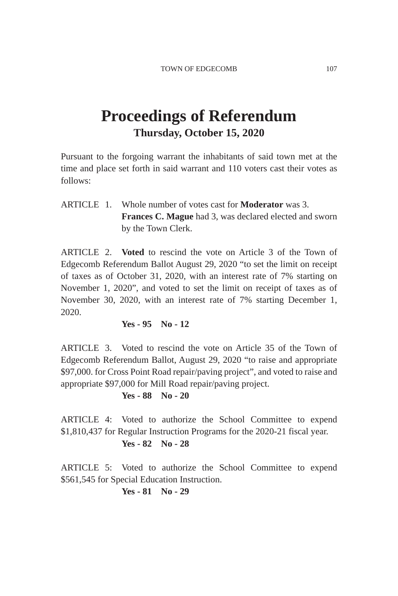### **Proceedings of Referendum Thursday, October 15, 2020**

Pursuant to the forgoing warrant the inhabitants of said town met at the time and place set forth in said warrant and 110 voters cast their votes as follows:

ARTICLE 1. Whole number of votes cast for **Moderator** was 3. **Frances C. Mague** had 3, was declared elected and sworn by the Town Clerk.

ARTICLE 2. **Voted** to rescind the vote on Article 3 of the Town of Edgecomb Referendum Ballot August 29, 2020 "to set the limit on receipt of taxes as of October 31, 2020, with an interest rate of 7% starting on November 1, 2020", and voted to set the limit on receipt of taxes as of November 30, 2020, with an interest rate of 7% starting December 1, 2020.

### **Yes - 95 No - 12**

ARTICLE 3. Voted to rescind the vote on Article 35 of the Town of Edgecomb Referendum Ballot, August 29, 2020 "to raise and appropriate \$97,000. for Cross Point Road repair/paving project", and voted to raise and appropriate \$97,000 for Mill Road repair/paving project.

### **Yes - 88 No - 20**

ARTICLE 4: Voted to authorize the School Committee to expend \$1,810,437 for Regular Instruction Programs for the 2020-21 fiscal year. **Yes - 82 No - 28**

ARTICLE 5: Voted to authorize the School Committee to expend \$561,545 for Special Education Instruction.

 **Yes - 81 No - 29**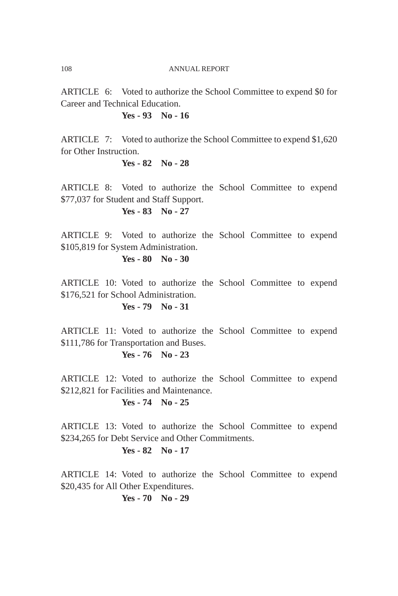ARTICLE 6: Voted to authorize the School Committee to expend \$0 for Career and Technical Education.

 **Yes - 93 No - 16**

ARTICLE 7: Voted to authorize the School Committee to expend \$1,620 for Other Instruction.

 **Yes - 82 No - 28**

ARTICLE 8: Voted to authorize the School Committee to expend \$77,037 for Student and Staff Support.

 **Yes - 83 No - 27**

ARTICLE 9: Voted to authorize the School Committee to expend \$105,819 for System Administration.

 **Yes - 80 No - 30**

ARTICLE 10: Voted to authorize the School Committee to expend \$176,521 for School Administration.

#### **Yes - 79 No - 31**

ARTICLE 11: Voted to authorize the School Committee to expend \$111,786 for Transportation and Buses.

#### **Yes - 76 No - 23**

ARTICLE 12: Voted to authorize the School Committee to expend \$212,821 for Facilities and Maintenance.

 **Yes - 74 No - 25**

ARTICLE 13: Voted to authorize the School Committee to expend \$234,265 for Debt Service and Other Commitments.

#### **Yes - 82 No - 17**

ARTICLE 14: Voted to authorize the School Committee to expend \$20,435 for All Other Expenditures.

 **Yes - 70 No - 29**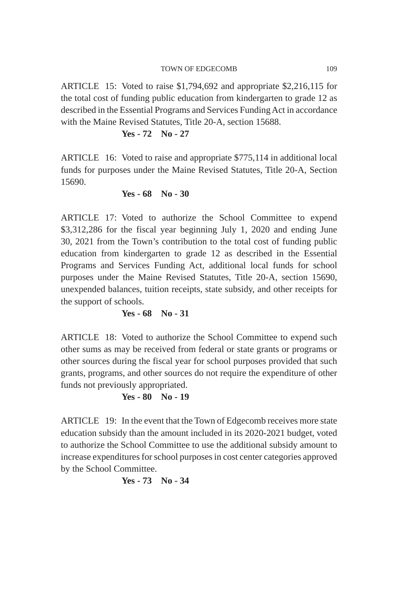ARTICLE 15: Voted to raise \$1,794,692 and appropriate \$2,216,115 for the total cost of funding public education from kindergarten to grade 12 as described in the Essential Programs and Services FundingAct in accordance with the Maine Revised Statutes, Title 20-A, section 15688.

# **Yes - 72 No - 27**

ARTICLE 16: Voted to raise and appropriate \$775,114 in additional local funds for purposes under the Maine Revised Statutes, Title 20-A, Section 15690.

$$
Yes - 68 \quad No - 30
$$

ARTICLE 17: Voted to authorize the School Committee to expend \$3,312,286 for the fiscal year beginning July 1, 2020 and ending June 30, 2021 from the Town's contribution to the total cost of funding public education from kindergarten to grade 12 as described in the Essential Programs and Services Funding Act, additional local funds for school purposes under the Maine Revised Statutes, Title 20-A, section 15690, unexpended balances, tuition receipts, state subsidy, and other receipts for the support of schools.

# **Yes - 68 No - 31**

ARTICLE 18: Voted to authorize the School Committee to expend such other sums as may be received from federal or state grants or programs or other sources during the fiscal year for school purposes provided that such grants, programs, and other sources do not require the expenditure of other funds not previously appropriated.

# **Yes - 80 No - 19**

ARTICLE 19: In the event that the Town of Edgecomb receives more state education subsidy than the amount included in its 2020-2021 budget, voted to authorize the School Committee to use the additional subsidy amount to increase expenditures for school purposes in cost center categories approved by the School Committee.

$$
Yes - 73 No - 34
$$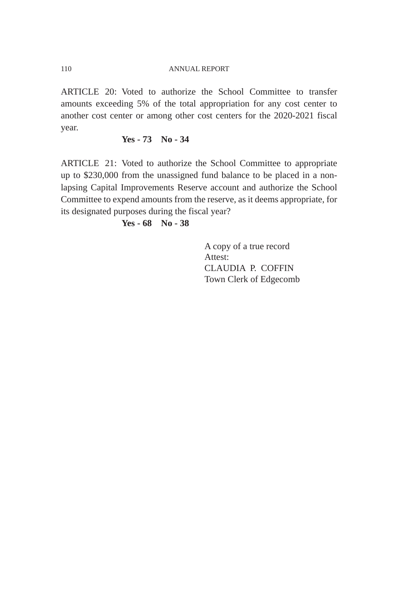ARTICLE 20: Voted to authorize the School Committee to transfer amounts exceeding 5% of the total appropriation for any cost center to another cost center or among other cost centers for the 2020-2021 fiscal year.

# **Yes - 73 No - 34**

ARTICLE 21: Voted to authorize the School Committee to appropriate up to \$230,000 from the unassigned fund balance to be placed in a nonlapsing Capital Improvements Reserve account and authorize the School Committee to expend amounts from the reserve, as it deems appropriate, for its designated purposes during the fiscal year?

 **Yes - 68 No - 38**

A copy of a true record Attest: Claudia P. Coffin Town Clerk of Edgecomb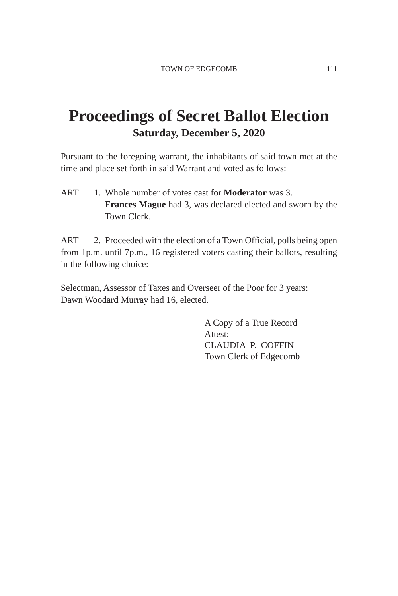# **Proceedings of Secret Ballot Election Saturday, December 5, 2020**

Pursuant to the foregoing warrant, the inhabitants of said town met at the time and place set forth in said Warrant and voted as follows:

ART 1. Whole number of votes cast for **Moderator** was 3. **Frances Mague** had 3, was declared elected and sworn by the Town Clerk.

ART 2. Proceeded with the election of a Town Official, polls being open from 1p.m. until 7p.m., 16 registered voters casting their ballots, resulting in the following choice:

Selectman, Assessor of Taxes and Overseer of the Poor for 3 years: Dawn Woodard Murray had 16, elected.

> A Copy of a True Record Attest: Claudia P. Coffin Town Clerk of Edgecomb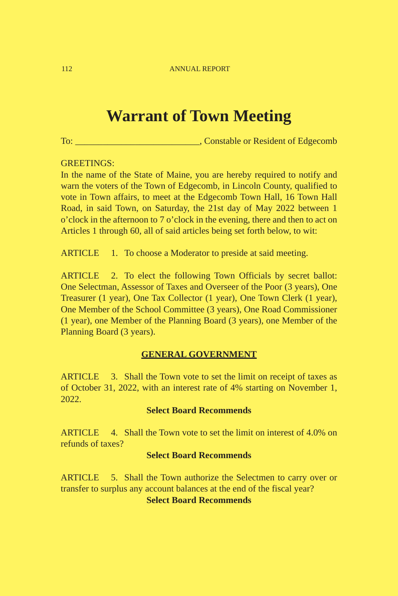# **Warrant of Town Meeting**

To: Constable or Resident of Edgecomb

### GREETINGS:

In the name of the State of Maine, you are hereby required to notify and warn the voters of the Town of Edgecomb, in Lincoln County, qualified to vote in Town affairs, to meet at the Edgecomb Town Hall, 16 Town Hall Road, in said Town, on Saturday, the 21st day of May 2022 between 1 o'clock in the afternoon to 7 o'clock in the evening, there and then to act on Articles 1 through 60, all of said articles being set forth below, to wit:

ARTICLE 1. To choose a Moderator to preside at said meeting.

ARTICLE 2. To elect the following Town Officials by secret ballot: One Selectman, Assessor of Taxes and Overseer of the Poor (3 years), One Treasurer (1 year), One Tax Collector (1 year), One Town Clerk (1 year), One Member of the School Committee (3 years), One Road Commissioner (1 year), one Member of the Planning Board (3 years), one Member of the Planning Board (3 years).

## **GENERAL GOVERNMENT**

ARTICLE 3. Shall the Town vote to set the limit on receipt of taxes as of October 31, 2022, with an interest rate of 4% starting on November 1, 2022.

## **Select Board Recommends**

ARTICLE 4. Shall the Town vote to set the limit on interest of 4.0% on refunds of taxes?

# **Select Board Recommends**

ARTICLE 5. Shall the Town authorize the Selectmen to carry over or transfer to surplus any account balances at the end of the fiscal year? **Select Board Recommends**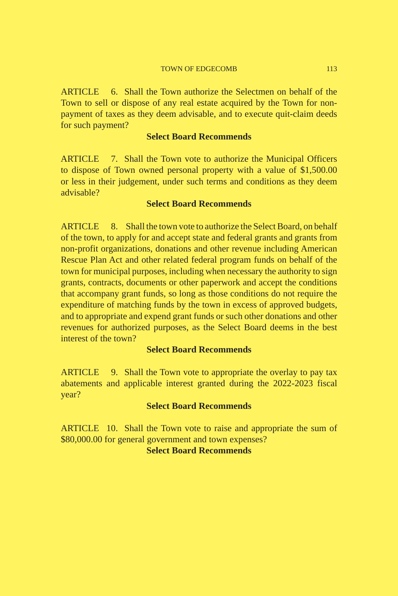ARTICLE 6. Shall the Town authorize the Selectmen on behalf of the Town to sell or dispose of any real estate acquired by the Town for nonpayment of taxes as they deem advisable, and to execute quit-claim deeds for such payment?

### **Select Board Recommends**

ARTICLE 7. Shall the Town vote to authorize the Municipal Officers to dispose of Town owned personal property with a value of \$1,500.00 or less in their judgement, under such terms and conditions as they deem advisable?

### **Select Board Recommends**

ARTICLE 8 Shall the town vote to authorize the Select Board, on behalf of the town, to apply for and accept state and federal grants and grants from non-profit organizations, donations and other revenue including American Rescue Plan Act and other related federal program funds on behalf of the town for municipal purposes, including when necessary the authority to sign grants, contracts, documents or other paperwork and accept the conditions that accompany grant funds, so long as those conditions do not require the expenditure of matching funds by the town in excess of approved budgets, and to appropriate and expend grant funds or such other donations and other revenues for authorized purposes, as the Select Board deems in the best interest of the town?

#### **Select Board Recommends**

ARTICLE  $\quad$  9. Shall the Town vote to appropriate the overlay to pay tax abatements and applicable interest granted during the 2022-2023 fiscal year?

### **Select Board Recommends**

ARTICLE 10. Shall the Town vote to raise and appropriate the sum of \$80,000.00 for general government and town expenses?

## **Select Board Recommends**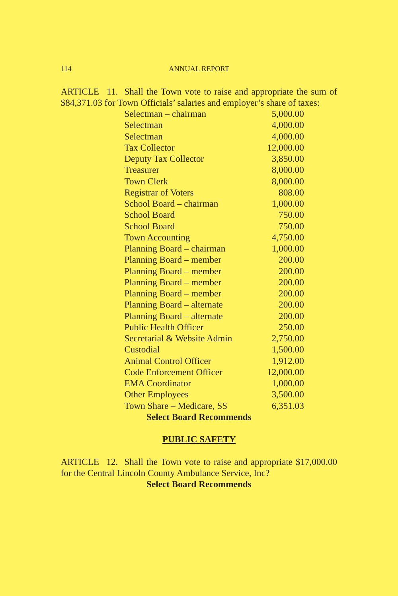|  |  |  | ARTICLE 11. Shall the Town vote to raise and appropriate the sum of     |  |
|--|--|--|-------------------------------------------------------------------------|--|
|  |  |  | \$84,371.03 for Town Officials' salaries and employer's share of taxes: |  |

| Selectman - chairman            | 5,000.00  |
|---------------------------------|-----------|
| Selectman                       | 4,000.00  |
| Selectman                       | 4,000.00  |
| <b>Tax Collector</b>            | 12,000.00 |
| <b>Deputy Tax Collector</b>     | 3,850.00  |
| <b>Treasurer</b>                | 8,000.00  |
| <b>Town Clerk</b>               | 8,000.00  |
| <b>Registrar of Voters</b>      | 808.00    |
| School Board – chairman         | 1,000.00  |
| <b>School Board</b>             | 750.00    |
| <b>School Board</b>             | 750.00    |
| <b>Town Accounting</b>          | 4,750.00  |
| Planning Board - chairman       | 1,000.00  |
| Planning Board – member         | 200.00    |
| <b>Planning Board - member</b>  | 200.00    |
| Planning Board – member         | 200.00    |
| <b>Planning Board - member</b>  | 200.00    |
| Planning Board – alternate      | 200.00    |
| Planning Board – alternate      | 200.00    |
| <b>Public Health Officer</b>    | 250.00    |
| Secretarial & Website Admin     | 2,750.00  |
| Custodial                       | 1,500.00  |
| <b>Animal Control Officer</b>   | 1,912.00  |
| <b>Code Enforcement Officer</b> | 12,000.00 |
| <b>EMA</b> Coordinator          | 1,000.00  |
| <b>Other Employees</b>          | 3,500.00  |
| Town Share - Medicare, SS       | 6,351.03  |
| <b>Select Board Recommends</b>  |           |

# **PUBLIC SAFETY**

ARTICLE 12. Shall the Town vote to raise and appropriate \$17,000.00 for the Central Lincoln County Ambulance Service, Inc? **Select Board Recommends**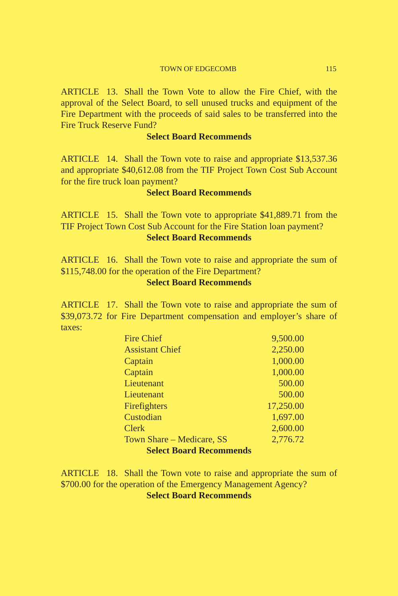ARTICLE 13. Shall the Town Vote to allow the Fire Chief, with the approval of the Select Board, to sell unused trucks and equipment of the Fire Department with the proceeds of said sales to be transferred into the Fire Truck Reserve Fund?

### **Select Board Recommends**

ARTICLE 14. Shall the Town vote to raise and appropriate \$13,537.36 and appropriate \$40,612.08 from the TIF Project Town Cost Sub Account for the fire truck loan payment?

# **Select Board Recommends**

ARTICLE 15. Shall the Town vote to appropriate \$41,889.71 from the TIF Project Town Cost Sub Account for the Fire Station loan payment? **Select Board Recommends**

ARTICLE 16. Shall the Town vote to raise and appropriate the sum of \$115,748.00 for the operation of the Fire Department?

# **Select Board Recommends**

ARTICLE 17. Shall the Town vote to raise and appropriate the sum of \$39,073.72 for Fire Department compensation and employer's share of taxes:

| <b>Fire Chief</b>              | 9,500.00  |
|--------------------------------|-----------|
| <b>Assistant Chief</b>         | 2,250.00  |
| Captain                        | 1,000.00  |
| Captain                        | 1,000.00  |
| Lieutenant                     | 500.00    |
| Lieutenant                     | 500.00    |
| Firefighters                   | 17,250.00 |
| Custodian                      | 1,697.00  |
| <b>Clerk</b>                   | 2,600.00  |
| Town Share – Medicare, SS      | 2,776.72  |
| <b>Select Board Recommends</b> |           |

ARTICLE 18. Shall the Town vote to raise and appropriate the sum of \$700.00 for the operation of the Emergency Management Agency? **Select Board Recommends**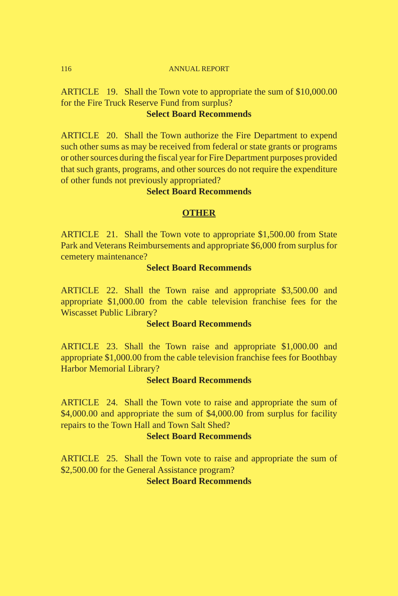ARTICLE 19. Shall the Town vote to appropriate the sum of \$10,000.00 for the Fire Truck Reserve Fund from surplus? **Select Board Recommends**

ARTICLE 20. Shall the Town authorize the Fire Department to expend such other sums as may be received from federal or state grants or programs or other sources during the fiscal year for Fire Department purposes provided that such grants, programs, and other sources do not require the expenditure of other funds not previously appropriated?

## **Select Board Recommends**

#### **OTHER**

ARTICLE 21. Shall the Town vote to appropriate \$1,500.00 from State Park and Veterans Reimbursements and appropriate \$6,000 from surplus for cemetery maintenance?

#### **Select Board Recommends**

ARTICLE 22. Shall the Town raise and appropriate \$3,500.00 and appropriate \$1,000.00 from the cable television franchise fees for the Wiscasset Public Library?

#### **Select Board Recommends**

ARTICLE 23. Shall the Town raise and appropriate \$1,000.00 and appropriate \$1,000.00 from the cable television franchise fees for Boothbay Harbor Memorial Library?

#### **Select Board Recommends**

ARTICLE 24. Shall the Town vote to raise and appropriate the sum of \$4,000.00 and appropriate the sum of \$4,000.00 from surplus for facility repairs to the Town Hall and Town Salt Shed?

#### **Select Board Recommends**

ARTICLE 25. Shall the Town vote to raise and appropriate the sum of \$2,500.00 for the General Assistance program?

**Select Board Recommends**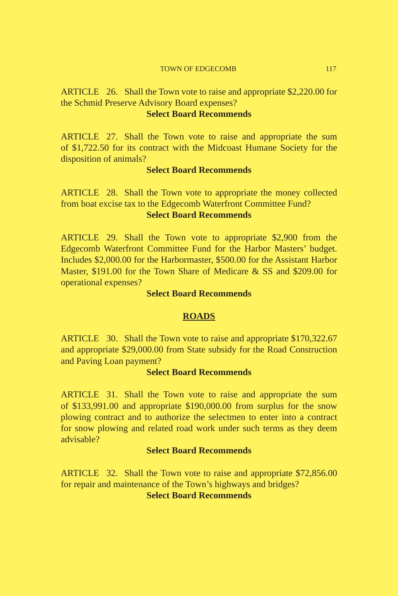#### TOWN OF EDGECOMB
117

# ARTICLE 26. Shall the Town vote to raise and appropriate \$2,220.00 for the Schmid Preserve Advisory Board expenses?

# **Select Board Recommends**

ARTICLE 27. Shall the Town vote to raise and appropriate the sum of \$1,722.50 for its contract with the Midcoast Humane Society for the disposition of animals?

#### **Select Board Recommends**

ARTICLE 28. Shall the Town vote to appropriate the money collected from boat excise tax to the Edgecomb Waterfront Committee Fund? **Select Board Recommends**

ARTICLE 29. Shall the Town vote to appropriate \$2,900 from the Edgecomb Waterfront Committee Fund for the Harbor Masters' budget. Includes \$2,000.00 for the Harbormaster, \$500.00 for the Assistant Harbor Master, \$191.00 for the Town Share of Medicare & SS and \$209.00 for operational expenses?

#### **Select Board Recommends**

#### **ROADS**

ARTICLE 30. Shall the Town vote to raise and appropriate \$170,322.67 and appropriate \$29,000.00 from State subsidy for the Road Construction and Paving Loan payment?

#### **Select Board Recommends**

ARTICLE 31. Shall the Town vote to raise and appropriate the sum of \$133,991.00 and appropriate \$190,000.00 from surplus for the snow plowing contract and to authorize the selectmen to enter into a contract for snow plowing and related road work under such terms as they deem advisable?

#### **Select Board Recommends**

ARTICLE 32. Shall the Town vote to raise and appropriate \$72,856.00 for repair and maintenance of the Town's highways and bridges? **Select Board Recommends**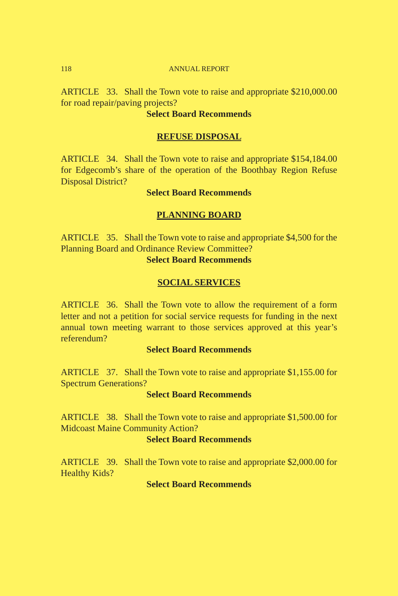ARTICLE 33. Shall the Town vote to raise and appropriate \$210,000.00 for road repair/paving projects?

# **Select Board Recommends**

#### **REFUSE DISPOSAL**

ARTICLE 34. Shall the Town vote to raise and appropriate \$154,184.00 for Edgecomb's share of the operation of the Boothbay Region Refuse Disposal District?

### **Select Board Recommends**

#### **PLANNING BOARD**

ARTICLE 35. Shall the Town vote to raise and appropriate \$4,500 for the Planning Board and Ordinance Review Committee? **Select Board Recommends**

#### **SOCIAL SERVICES**

ARTICLE 36. Shall the Town vote to allow the requirement of a form letter and not a petition for social service requests for funding in the next annual town meeting warrant to those services approved at this year's referendum?

### **Select Board Recommends**

ARTICLE 37. Shall the Town vote to raise and appropriate \$1,155.00 for Spectrum Generations?

# **Select Board Recommends**

ARTICLE 38. Shall the Town vote to raise and appropriate \$1,500.00 for Midcoast Maine Community Action?

#### **Select Board Recommends**

ARTICLE 39. Shall the Town vote to raise and appropriate \$2,000.00 for Healthy Kids?

# **Select Board Recommends**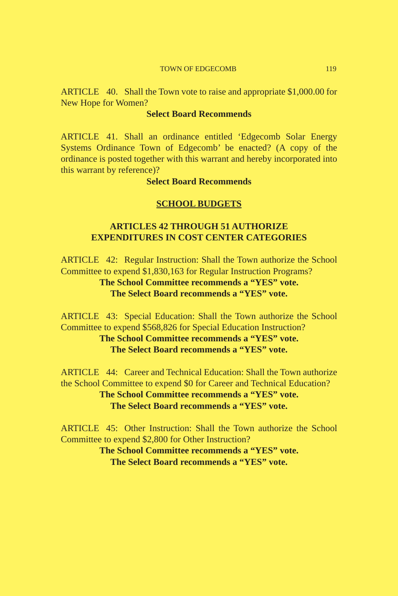#### TOWN OF EDGECOMB
119

ARTICLE 40. Shall the Town vote to raise and appropriate \$1,000.00 for New Hope for Women?

### **Select Board Recommends**

ARTICLE 41. Shall an ordinance entitled 'Edgecomb Solar Energy Systems Ordinance Town of Edgecomb' be enacted? (A copy of the ordinance is posted together with this warrant and hereby incorporated into this warrant by reference)?

#### **Select Board Recommends**

#### **SCHOOL BUDGETS**

# **ARTICLES 42 THROUGH 51 AUTHORIZE EXPENDITURES IN COST CENTER CATEGORIES**

ARTICLE 42: Regular Instruction: Shall the Town authorize the School Committee to expend \$1,830,163 for Regular Instruction Programs? **The School Committee recommends a "YES" vote. The Select Board recommends a "YES" vote.**

ARTICLE 43: Special Education: Shall the Town authorize the School Committee to expend \$568,826 for Special Education Instruction?  **The School Committee recommends a "YES" vote.**

**The Select Board recommends a "YES" vote.**

ARTICLE 44: Career and Technical Education: Shall the Town authorize the School Committee to expend \$0 for Career and Technical Education?  **The School Committee recommends a "YES" vote. The Select Board recommends a "YES" vote.**

ARTICLE 45: Other Instruction: Shall the Town authorize the School Committee to expend \$2,800 for Other Instruction?

 **The School Committee recommends a "YES" vote. The Select Board recommends a "YES" vote.**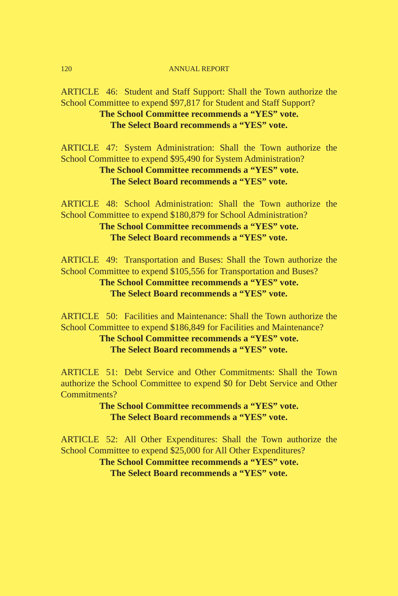# ARTICLE 46: Student and Staff Support: Shall the Town authorize the School Committee to expend \$97,817 for Student and Staff Support?  **The School Committee recommends a "YES" vote. The Select Board recommends a "YES" vote.**

ARTICLE 47: System Administration: Shall the Town authorize the School Committee to expend \$95,490 for System Administration?  **The School Committee recommends a "YES" vote. The Select Board recommends a "YES" vote.**

ARTICLE 48: School Administration: Shall the Town authorize the School Committee to expend \$180,879 for School Administration?  **The School Committee recommends a "YES" vote. The Select Board recommends a "YES" vote.**

ARTICLE 49: Transportation and Buses: Shall the Town authorize the School Committee to expend \$105,556 for Transportation and Buses?  **The School Committee recommends a "YES" vote. The Select Board recommends a "YES" vote.**

ARTICLE 50: Facilities and Maintenance: Shall the Town authorize the School Committee to expend \$186,849 for Facilities and Maintenance?

> **The School Committee recommends a "YES" vote. The Select Board recommends a "YES" vote.**

ARTICLE 51: Debt Service and Other Commitments: Shall the Town authorize the School Committee to expend \$0 for Debt Service and Other Commitments?

> **The School Committee recommends a "YES" vote. The Select Board recommends a "YES" vote.**

ARTICLE 52: All Other Expenditures: Shall the Town authorize the School Committee to expend \$25,000 for All Other Expenditures?

> **The School Committee recommends a "YES" vote. The Select Board recommends a "YES" vote.**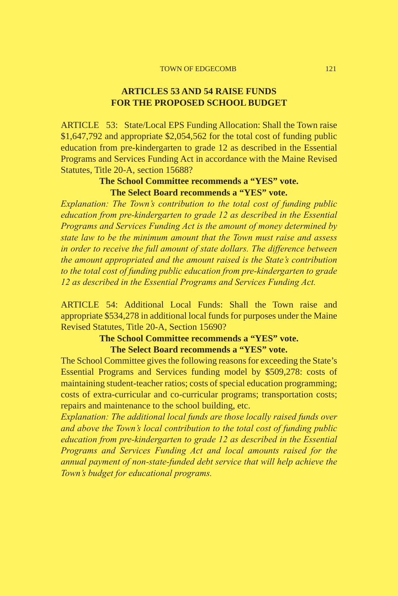#### TOWN OF EDGECOMB 12

# **ARTICLES 53 AND 54 RAISE FUNDS FOR THE PROPOSED SCHOOL BUDGET**

ARTICLE 53: State/Local EPS Funding Allocation: Shall the Town raise \$1,647,792 and appropriate \$2,054,562 for the total cost of funding public education from pre-kindergarten to grade 12 as described in the Essential Programs and Services Funding Act in accordance with the Maine Revised Statutes, Title 20-A, section 15688?

# **The School Committee recommends a "YES" vote. The Select Board recommends a "YES" vote.**

*Explanation: The Town's contribution to the total cost of funding public education from pre-kindergarten to grade 12 as described in the Essential Programs and Services Funding Act is the amount of money determined by state law to be the minimum amount that the Town must raise and assess in order to receive the full amount of state dollars. The difference between the amount appropriated and the amount raised is the State's contribution to the total cost of funding public education from pre-kindergarten to grade 12 as described in the Essential Programs and Services Funding Act.*

ARTICLE 54: Additional Local Funds: Shall the Town raise and appropriate \$534,278 in additional local funds for purposes under the Maine Revised Statutes, Title 20-A, Section 15690?

# **The School Committee recommends a "YES" vote. The Select Board recommends a "YES" vote.**

The School Committee gives the following reasons for exceeding the State's Essential Programs and Services funding model by \$509,278: costs of maintaining student-teacher ratios; costs of special education programming; costs of extra-curricular and co-curricular programs; transportation costs; repairs and maintenance to the school building, etc.

*Explanation: The additional local funds are those locally raised funds over and above the Town's local contribution to the total cost of funding public education from pre-kindergarten to grade 12 as described in the Essential Programs and Services Funding Act and local amounts raised for the annual payment of non-state-funded debt service that will help achieve the Town's budget for educational programs.*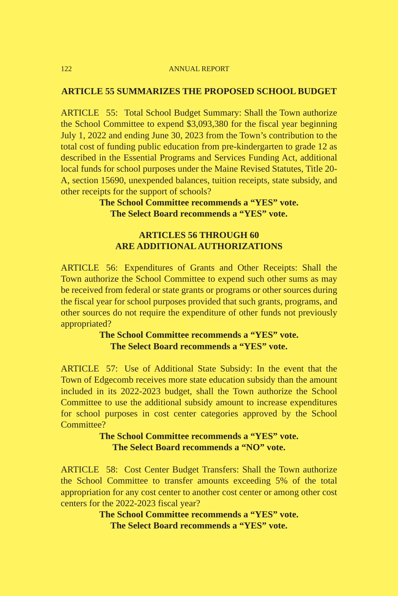#### **ARTICLE 55 SUMMARIZES THE PROPOSED SCHOOL BUDGET**

ARTICLE 55: Total School Budget Summary: Shall the Town authorize the School Committee to expend \$3,093,380 for the fiscal year beginning July 1, 2022 and ending June 30, 2023 from the Town's contribution to the total cost of funding public education from pre-kindergarten to grade 12 as described in the Essential Programs and Services Funding Act, additional local funds for school purposes under the Maine Revised Statutes, Title 20- A, section 15690, unexpended balances, tuition receipts, state subsidy, and other receipts for the support of schools?

> **The School Committee recommends a "YES" vote. The Select Board recommends a "YES" vote.**

# **ARTICLES 56 THROUGH 60 ARE ADDITIONALAUTHORIZATIONS**

ARTICLE 56: Expenditures of Grants and Other Receipts: Shall the Town authorize the School Committee to expend such other sums as may be received from federal or state grants or programs or other sources during the fiscal year for school purposes provided that such grants, programs, and other sources do not require the expenditure of other funds not previously appropriated?

> **The School Committee recommends a "YES" vote. The Select Board recommends a "YES" vote.**

ARTICLE 57: Use of Additional State Subsidy: In the event that the Town of Edgecomb receives more state education subsidy than the amount included in its 2022-2023 budget, shall the Town authorize the School Committee to use the additional subsidy amount to increase expenditures for school purposes in cost center categories approved by the School Committee?

# **The School Committee recommends a "YES" vote. The Select Board recommends a "NO" vote.**

ARTICLE 58: Cost Center Budget Transfers: Shall the Town authorize the School Committee to transfer amounts exceeding 5% of the total appropriation for any cost center to another cost center or among other cost centers for the 2022-2023 fiscal year?

> **The School Committee recommends a "YES" vote. The Select Board recommends a "YES" vote.**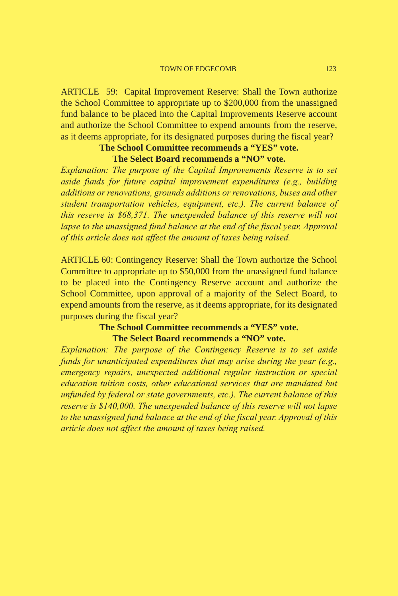ARTICLE 59: Capital Improvement Reserve: Shall the Town authorize the School Committee to appropriate up to \$200,000 from the unassigned fund balance to be placed into the Capital Improvements Reserve account and authorize the School Committee to expend amounts from the reserve, as it deems appropriate, for its designated purposes during the fiscal year?

# **The School Committee recommends a "YES" vote. The Select Board recommends a "NO" vote.**

*Explanation: The purpose of the Capital Improvements Reserve is to set aside funds for future capital improvement expenditures (e.g., building additions or renovations, grounds additions or renovations, buses and other student transportation vehicles, equipment, etc.). The current balance of this reserve is \$68,371. The unexpended balance of this reserve will not lapse to the unassigned fund balance at the end of the fiscal year. Approval of this article does not affect the amount of taxes being raised.*

ARTICLE 60: Contingency Reserve: Shall the Town authorize the School Committee to appropriate up to \$50,000 from the unassigned fund balance to be placed into the Contingency Reserve account and authorize the School Committee, upon approval of a majority of the Select Board, to expend amounts from the reserve, as it deems appropriate, for its designated purposes during the fiscal year?

# **The School Committee recommends a "YES" vote. The Select Board recommends a "NO" vote.**

*Explanation: The purpose of the Contingency Reserve is to set aside funds for unanticipated expenditures that may arise during the year (e.g., emergency repairs, unexpected additional regular instruction or special education tuition costs, other educational services that are mandated but unfunded by federal or state governments, etc.). The current balance of this reserve is \$140,000. The unexpended balance of this reserve will not lapse to the unassigned fund balance at the end of the fiscal year. Approval of this article does not affect the amount of taxes being raised.*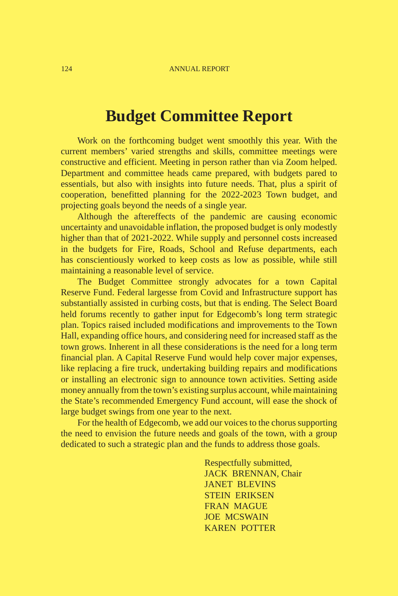# **Budget Committee Report**

Work on the forthcoming budget went smoothly this year. With the current members' varied strengths and skills, committee meetings were constructive and efficient. Meeting in person rather than via Zoom helped. Department and committee heads came prepared, with budgets pared to essentials, but also with insights into future needs. That, plus a spirit of cooperation, benefitted planning for the 2022-2023 Town budget, and projecting goals beyond the needs of a single year.

Although the aftereffects of the pandemic are causing economic uncertainty and unavoidable inflation, the proposed budget is only modestly higher than that of 2021-2022. While supply and personnel costs increased in the budgets for Fire, Roads, School and Refuse departments, each has conscientiously worked to keep costs as low as possible, while still maintaining a reasonable level of service.

The Budget Committee strongly advocates for a town Capital Reserve Fund. Federal largesse from Covid and Infrastructure support has substantially assisted in curbing costs, but that is ending. The Select Board held forums recently to gather input for Edgecomb's long term strategic plan. Topics raised included modifications and improvements to the Town Hall, expanding office hours, and considering need for increased staff as the town grows. Inherent in all these considerations is the need for a long term financial plan. A Capital Reserve Fund would help cover major expenses, like replacing a fire truck, undertaking building repairs and modifications or installing an electronic sign to announce town activities. Setting aside money annually from the town's existing surplus account, while maintaining the State's recommended Emergency Fund account, will ease the shock of large budget swings from one year to the next.

For the health of Edgecomb, we add our voices to the chorus supporting the need to envision the future needs and goals of the town, with a group dedicated to such a strategic plan and the funds to address those goals.

> Respectfully submitted, Jack Brennan, Chair Janet Blevins Stein Eriksen FRAN MAGUE Joe McSwain Karen Potter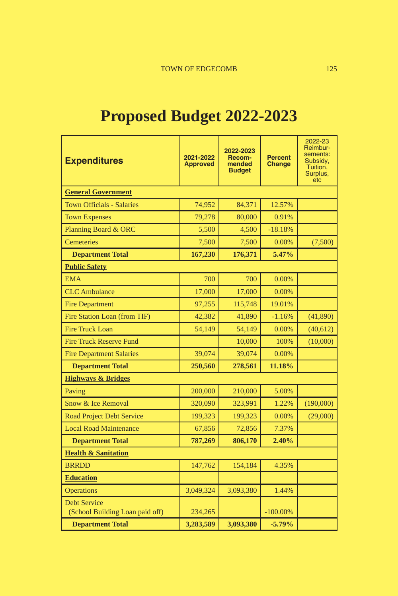#### **Expenditures 2021-2022 Approved 2022-2023 Recommended Budget Percent Change** 2022-23 Reimbursements: Subsidy, Tuition, Surplus, etc **General Government** Town Officials - Salaries 19, 14,952 84,371 12.57% Town Expenses  $\begin{array}{|c|c|c|c|c|c|c|c|c|c|c|c|} \hline \end{array}$  79.278 80,000 0.91% Planning Board & ORC 65,500 4,500 -18.18% Cemeteries 1 7,500 7,500 0.00% (7,500) **Department Total 167,230 176,371 5.47% Public Safety** EMA 700 700 700 0.00%  $CLC$  Ambulance  $17,000$  17,000 0.00% Fire Department 197,255 115,748 19.01% Fire Station Loan (from TIF) 42,382 41,890 -1.16% (41,890) Fire Truck Loan 54,149 54,149 0.00% (40,612) Fire Truck Reserve Fund 10.000 100% (10,000) 100% (10,000) Fire Department Salaries 1 39,074 39,074 0.00% **Department Total 250,560 278,561 11.18% Highways & Bridges** Paving 200,000 210,000 5.00% Snow & Ice Removal 320,090 323,991 1.22% (190,000) Road Project Debt Service 199,323 199,323 0.00% (29,000) Local Road Maintenance 1 67,856 72,856 7.37% **Department Total 787,269 806,170 2.40% Health & Sanitation** BRRDD 147,762 154,184 4.35% **Education** Operations 3,049,324 3,093,380 1.44% Debt Service  $(School Building Loan paid off)$  234,265 -100.00% **Department Total 3,283,589 3,093,380 -5.79%**

# **Proposed Budget 2022-2023**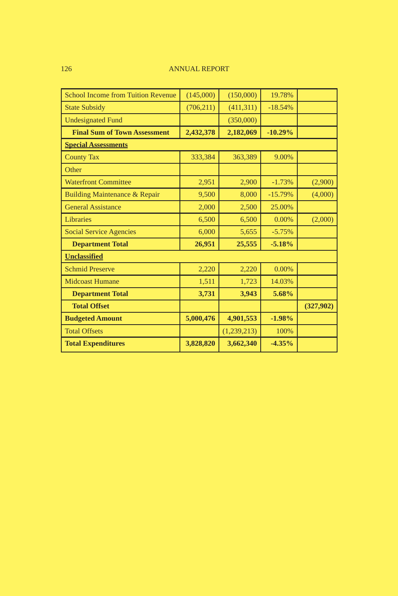| <b>School Income from Tuition Revenue</b> | (145,000)  | (150,000)   | 19.78%    |           |  |  |
|-------------------------------------------|------------|-------------|-----------|-----------|--|--|
| <b>State Subsidy</b>                      | (706, 211) | (411, 311)  | $-18.54%$ |           |  |  |
| <b>Undesignated Fund</b>                  |            | (350,000)   |           |           |  |  |
| <b>Final Sum of Town Assessment</b>       | 2,432,378  | 2,182,069   | $-10.29%$ |           |  |  |
| <b>Special Assessments</b>                |            |             |           |           |  |  |
| <b>County Tax</b>                         | 333,384    | 363,389     | 9.00%     |           |  |  |
| Other                                     |            |             |           |           |  |  |
| <b>Waterfront Committee</b>               | 2,951      | 2,900       | $-1.73%$  | (2,900)   |  |  |
| Building Maintenance & Repair             | 9,500      | 8.000       | $-15.79%$ | (4,000)   |  |  |
| <b>General Assistance</b>                 | 2,000      | 2,500       | 25.00%    |           |  |  |
| Libraries                                 | 6,500      | 6,500       | 0.00%     | (2,000)   |  |  |
| <b>Social Service Agencies</b>            | 6,000      | 5,655       | $-5.75%$  |           |  |  |
| <b>Department Total</b>                   | 26,951     | 25,555      | $-5.18%$  |           |  |  |
| <b>Unclassified</b>                       |            |             |           |           |  |  |
| <b>Schmid Preserve</b>                    | 2,220      | 2,220       | $0.00\%$  |           |  |  |
| <b>Midcoast Humane</b>                    | 1,511      | 1,723       | 14.03%    |           |  |  |
| <b>Department Total</b>                   | 3,731      | 3,943       | 5.68%     |           |  |  |
| <b>Total Offset</b>                       |            |             |           | (327,902) |  |  |
| <b>Budgeted Amount</b>                    | 5,000,476  | 4,901,553   | $-1.98%$  |           |  |  |
| <b>Total Offsets</b>                      |            | (1,239,213) | 100%      |           |  |  |
| <b>Total Expenditures</b>                 | 3,828,820  | 3,662,340   | $-4.35%$  |           |  |  |

126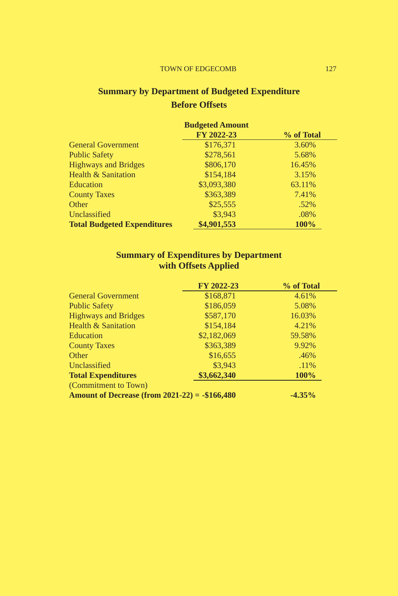#### TOWN OF EDGECOMB
127

# **Summary by Department of Budgeted Expenditure Before Offsets**

|                                    | <b>Budgeted Amount</b> |            |
|------------------------------------|------------------------|------------|
|                                    | FY 2022-23             | % of Total |
| <b>General Government</b>          | \$176,371              | 3.60%      |
| <b>Public Safety</b>               | \$278,561              | 5.68%      |
| <b>Highways and Bridges</b>        | \$806,170              | 16.45%     |
| <b>Health &amp; Sanitation</b>     | \$154,184              | 3.15%      |
| Education                          | \$3,093,380            | 63.11%     |
| <b>County Taxes</b>                | \$363,389              | 7.41%      |
| Other                              | \$25,555               | .52%       |
| Unclassified                       | \$3,943                | .08%       |
| <b>Total Budgeted Expenditures</b> | \$4,901,553            | 100%       |

# **Summary of Expenditures by Department with Offsets Applied**

|                                                      | FY 2022-23  | % of Total |
|------------------------------------------------------|-------------|------------|
| <b>General Government</b>                            | \$168,871   | 4.61%      |
| <b>Public Safety</b>                                 | \$186,059   | 5.08%      |
| <b>Highways and Bridges</b>                          | \$587,170   | 16.03%     |
| <b>Health &amp; Sanitation</b>                       | \$154,184   | 4.21%      |
| Education                                            | \$2,182,069 | 59.58%     |
| <b>County Taxes</b>                                  | \$363,389   | 9.92%      |
| Other                                                | \$16,655    | .46%       |
| Unclassified                                         | \$3,943     | .11%       |
| <b>Total Expenditures</b>                            | \$3,662,340 | $100\%$    |
| (Commitment to Town)                                 |             |            |
| Amount of Decrease (from $2021-22$ ) = $-$ \$166,480 | $-4.35\%$   |            |